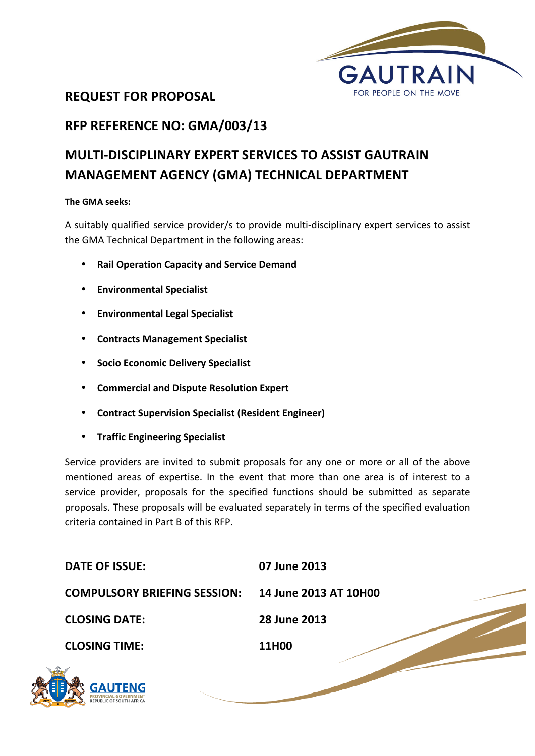

## **REQUEST FOR PROPOSAL**

## **RFP REFERENCE NO: GMA/003/13**

# **MULTI-DISCIPLINARY EXPERT SERVICES TO ASSIST GAUTRAIN MANAGEMENT AGENCY (GMA) TECHNICAL DEPARTMENT**

#### **The GMA seeks:**

A suitably qualified service provider/s to provide multi-disciplinary expert services to assist the GMA Technical Department in the following areas:

- **Rail Operation Capacity and Service Demand**
- **Environmental Specialist**
- **Environmental Legal Specialist**
- **Contracts Management Specialist**
- **Socio Economic Delivery Specialist**
- **Commercial and Dispute Resolution Expert**
- **Contract Supervision Specialist (Resident Engineer)**
- **Traffic Engineering Specialist**

VINCIAL GOVERNMENT<br>JBLIC OF SOUTH AFRICA

Service providers are invited to submit proposals for any one or more or all of the above mentioned areas of expertise. In the event that more than one area is of interest to a service provider, proposals for the specified functions should be submitted as separate proposals. These proposals will be evaluated separately in terms of the specified evaluation criteria contained in Part B of this RFP.

| <b>DATE OF ISSUE:</b>               | 07 June 2013          |
|-------------------------------------|-----------------------|
| <b>COMPULSORY BRIEFING SESSION:</b> | 14 June 2013 AT 10H00 |
| <b>CLOSING DATE:</b>                | 28 June 2013          |
| <b>CLOSING TIME:</b>                | 11H00                 |
| E<br>GALITENG                       |                       |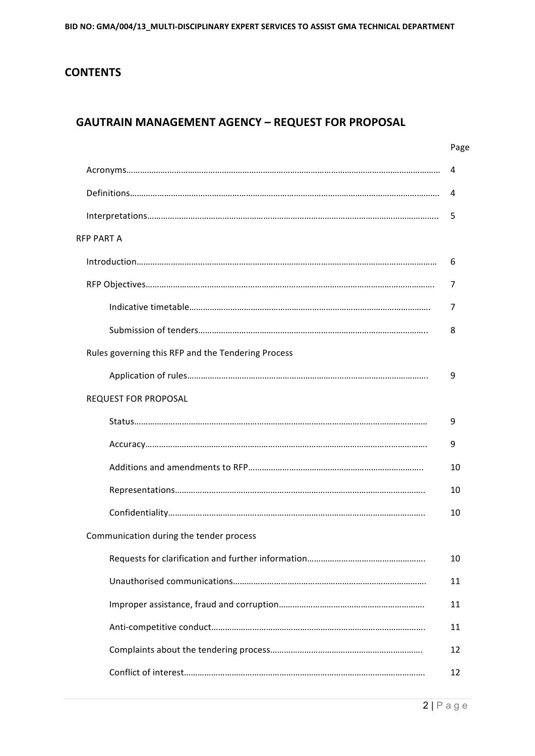## **CONTENTS**

## **GAUTRAIN MANAGEMENT AGENCY - REQUEST FOR PROPOSAL**

|                                                    | Page |
|----------------------------------------------------|------|
|                                                    | 4    |
|                                                    | 4    |
|                                                    | 5    |
| <b>RFP PART A</b>                                  |      |
|                                                    | 6    |
|                                                    | 7    |
|                                                    | 7    |
|                                                    | 8    |
| Rules governing this RFP and the Tendering Process |      |
|                                                    | 9    |
| <b>REQUEST FOR PROPOSAL</b>                        |      |
|                                                    | 9    |
|                                                    | 9    |
|                                                    | 10   |
|                                                    | 10   |
|                                                    | 10   |
| Communication during the tender process            |      |
|                                                    | 10   |
|                                                    | 11   |
|                                                    | 11   |
|                                                    | 11   |
|                                                    | 12   |
|                                                    | 12   |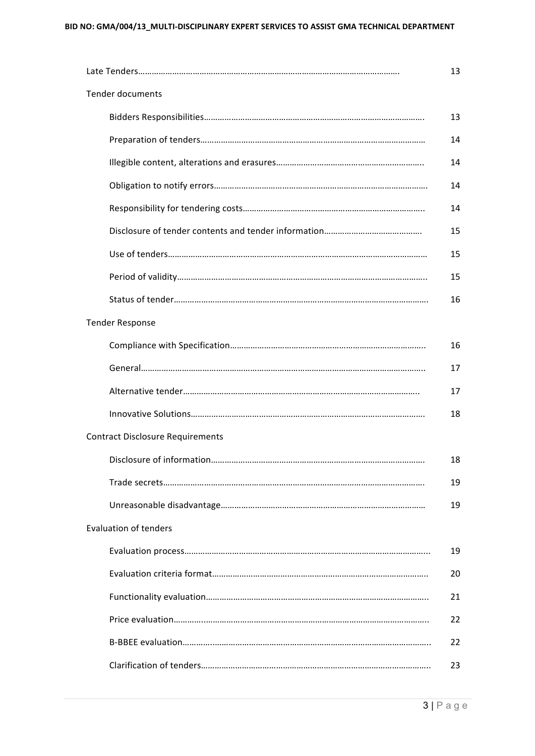|                                         | 13 |
|-----------------------------------------|----|
| <b>Tender documents</b>                 |    |
|                                         | 13 |
|                                         | 14 |
|                                         | 14 |
|                                         | 14 |
|                                         | 14 |
|                                         | 15 |
|                                         | 15 |
|                                         | 15 |
|                                         | 16 |
| <b>Tender Response</b>                  |    |
|                                         | 16 |
|                                         | 17 |
|                                         | 17 |
|                                         | 18 |
| <b>Contract Disclosure Requirements</b> |    |
|                                         | 18 |
|                                         | 19 |
|                                         | 19 |
| <b>Evaluation of tenders</b>            |    |
|                                         | 19 |
|                                         | 20 |
|                                         | 21 |
|                                         | 22 |
|                                         | 22 |
|                                         | 23 |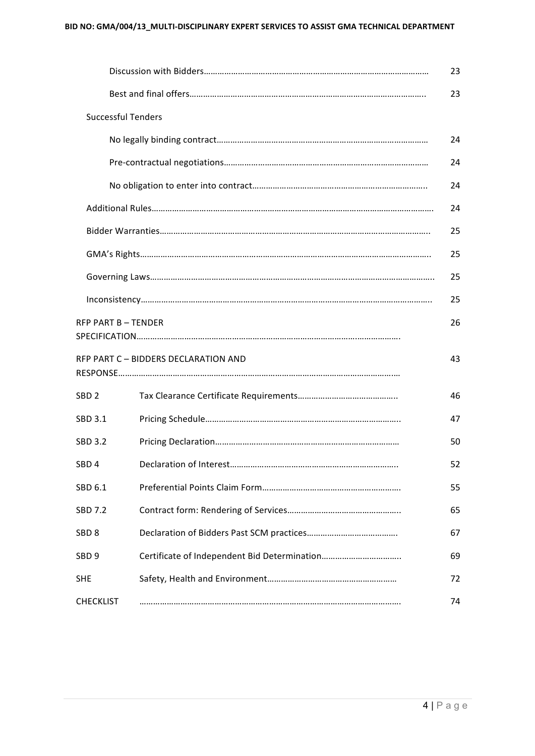|                           |                                      | 23 |
|---------------------------|--------------------------------------|----|
|                           |                                      | 23 |
| <b>Successful Tenders</b> |                                      |    |
|                           |                                      | 24 |
|                           |                                      | 24 |
|                           |                                      | 24 |
|                           |                                      | 24 |
|                           |                                      | 25 |
|                           |                                      | 25 |
|                           |                                      | 25 |
|                           |                                      | 25 |
| <b>RFP PART B-TENDER</b>  |                                      | 26 |
|                           | RFP PART C - BIDDERS DECLARATION AND | 43 |
| SBD <sub>2</sub>          |                                      | 46 |
| SBD 3.1                   |                                      | 47 |
| <b>SBD 3.2</b>            |                                      | 50 |
| SBD 4                     |                                      | 52 |
| SBD 6.1                   |                                      | 55 |
| <b>SBD 7.2</b>            |                                      | 65 |
| SBD <sub>8</sub>          |                                      | 67 |
| SBD <sub>9</sub>          |                                      | 69 |
| <b>SHE</b>                |                                      | 72 |
| <b>CHECKLIST</b>          |                                      | 74 |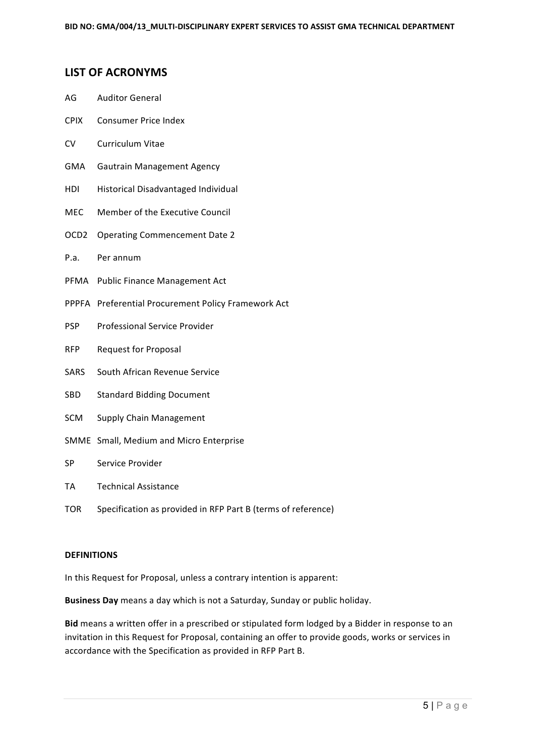#### **LIST OF ACRONYMS**

- AG Auditor General
- CPIX Consumer Price Index
- CV Curriculum Vitae
- GMA Gautrain Management Agency
- HDI Historical Disadvantaged Individual
- MEC Member of the Executive Council
- OCD2 Operating Commencement Date 2
- P.a. Per annum
- PFMA Public Finance Management Act
- PPPFA Preferential Procurement Policy Framework Act
- PSP Professional Service Provider
- RFP Request for Proposal
- SARS South African Revenue Service
- SBD Standard Bidding Document
- SCM Supply Chain Management
- SMME Small, Medium and Micro Enterprise
- SP Service Provider
- TA Technical Assistance
- TOR Specification as provided in RFP Part B (terms of reference)

#### **DEFINITIONS**

In this Request for Proposal, unless a contrary intention is apparent:

**Business Day** means a day which is not a Saturday, Sunday or public holiday.

Bid means a written offer in a prescribed or stipulated form lodged by a Bidder in response to an invitation in this Request for Proposal, containing an offer to provide goods, works or services in accordance with the Specification as provided in RFP Part B.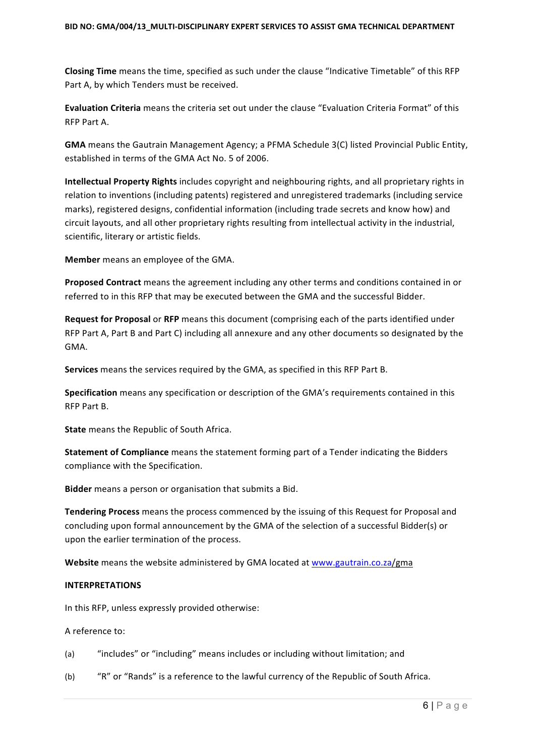**Closing Time** means the time, specified as such under the clause "Indicative Timetable" of this RFP Part A, by which Tenders must be received.

Evaluation Criteria means the criteria set out under the clause "Evaluation Criteria Format" of this RFP Part A.

**GMA** means the Gautrain Management Agency; a PFMA Schedule 3(C) listed Provincial Public Entity, established in terms of the GMA Act No. 5 of 2006.

**Intellectual Property Rights** includes copyright and neighbouring rights, and all proprietary rights in relation to inventions (including patents) registered and unregistered trademarks (including service marks), registered designs, confidential information (including trade secrets and know how) and circuit layouts, and all other proprietary rights resulting from intellectual activity in the industrial, scientific, literary or artistic fields.

**Member** means an employee of the GMA.

**Proposed Contract** means the agreement including any other terms and conditions contained in or referred to in this RFP that may be executed between the GMA and the successful Bidder.

**Request for Proposal** or RFP means this document (comprising each of the parts identified under RFP Part A, Part B and Part C) including all annexure and any other documents so designated by the GMA. 

**Services** means the services required by the GMA, as specified in this RFP Part B.

**Specification** means any specification or description of the GMA's requirements contained in this RFP Part B.

**State** means the Republic of South Africa.

**Statement of Compliance** means the statement forming part of a Tender indicating the Bidders compliance with the Specification.

**Bidder** means a person or organisation that submits a Bid.

Tendering Process means the process commenced by the issuing of this Request for Proposal and concluding upon formal announcement by the GMA of the selection of a successful Bidder(s) or upon the earlier termination of the process.

**Website** means the website administered by GMA located at www.gautrain.co.za/gma

#### **INTERPRETATIONS**

In this RFP, unless expressly provided otherwise:

A reference to:

(a) "includes" or "including" means includes or including without limitation; and

(b) "R" or "Rands" is a reference to the lawful currency of the Republic of South Africa.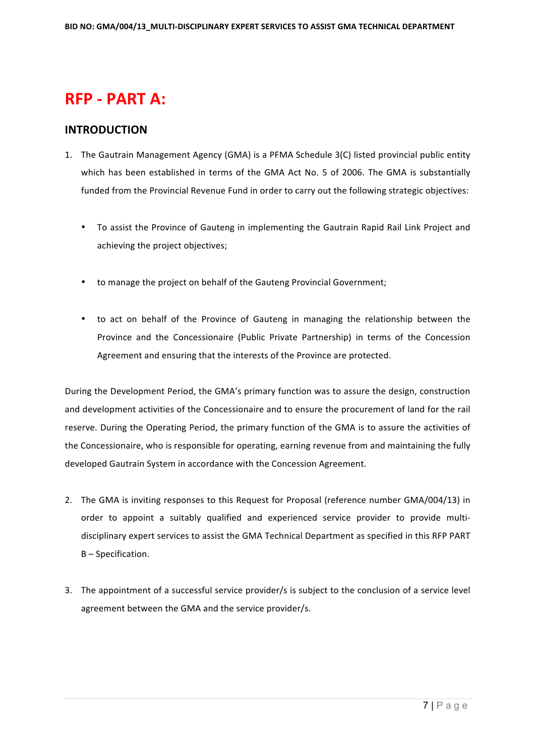# **RFP - PART A:**

#### **INTRODUCTION**

- 1. The Gautrain Management Agency (GMA) is a PFMA Schedule 3(C) listed provincial public entity which has been established in terms of the GMA Act No. 5 of 2006. The GMA is substantially funded from the Provincial Revenue Fund in order to carry out the following strategic objectives:
	- To assist the Province of Gauteng in implementing the Gautrain Rapid Rail Link Project and achieving the project objectives;
	- to manage the project on behalf of the Gauteng Provincial Government;
	- to act on behalf of the Province of Gauteng in managing the relationship between the Province and the Concessionaire (Public Private Partnership) in terms of the Concession Agreement and ensuring that the interests of the Province are protected.

During the Development Period, the GMA's primary function was to assure the design, construction and development activities of the Concessionaire and to ensure the procurement of land for the rail reserve. During the Operating Period, the primary function of the GMA is to assure the activities of the Concessionaire, who is responsible for operating, earning revenue from and maintaining the fully developed Gautrain System in accordance with the Concession Agreement.

- 2. The GMA is inviting responses to this Request for Proposal (reference number GMA/004/13) in order to appoint a suitably qualified and experienced service provider to provide multidisciplinary expert services to assist the GMA Technical Department as specified in this RFP PART B - Specification.
- 3. The appointment of a successful service provider/s is subject to the conclusion of a service level agreement between the GMA and the service provider/s.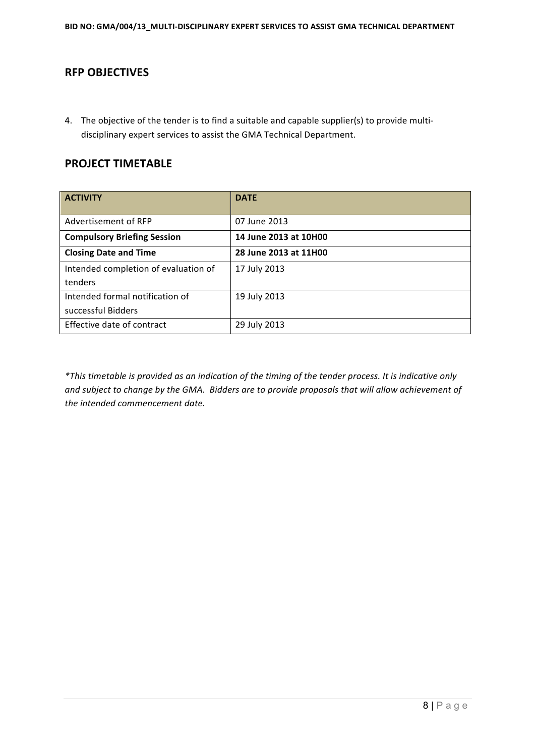## **RFP OBJECTIVES**

4. The objective of the tender is to find a suitable and capable supplier(s) to provide multidisciplinary expert services to assist the GMA Technical Department.

#### **PROJECT TIMETABLE**

| <b>ACTIVITY</b>                      | <b>DATE</b>           |
|--------------------------------------|-----------------------|
| Advertisement of RFP                 | 07 June 2013          |
| <b>Compulsory Briefing Session</b>   | 14 June 2013 at 10H00 |
| <b>Closing Date and Time</b>         | 28 June 2013 at 11H00 |
| Intended completion of evaluation of | 17 July 2013          |
| tenders                              |                       |
| Intended formal notification of      | 19 July 2013          |
| successful Bidders                   |                       |
| Effective date of contract           | 29 July 2013          |

*\*This timetable is provided as an indication of the timing of the tender process. It is indicative only*  and subject to change by the GMA. Bidders are to provide proposals that will allow achievement of *the intended commencement date.*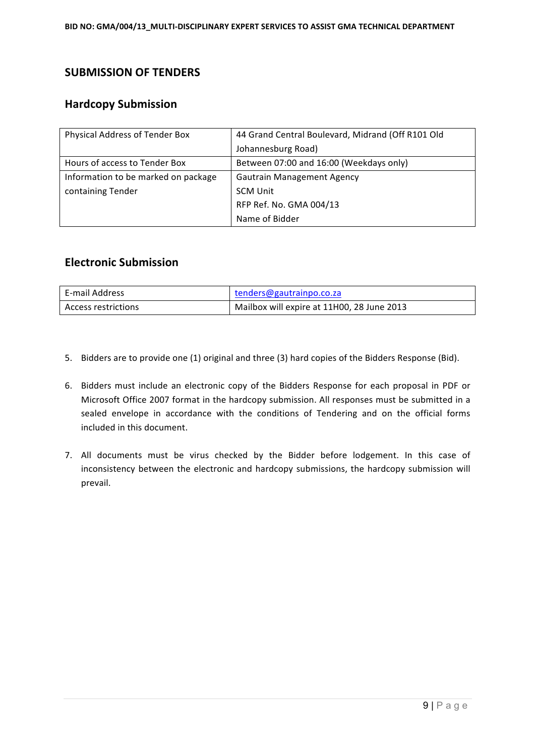## **SUBMISSION OF TENDERS**

## **Hardcopy Submission**

| Physical Address of Tender Box      | 44 Grand Central Boulevard, Midrand (Off R101 Old |  |
|-------------------------------------|---------------------------------------------------|--|
|                                     | Johannesburg Road)                                |  |
| Hours of access to Tender Box       | Between 07:00 and 16:00 (Weekdays only)           |  |
| Information to be marked on package | <b>Gautrain Management Agency</b>                 |  |
| containing Tender                   | <b>SCM Unit</b>                                   |  |
|                                     | RFP Ref. No. GMA 004/13                           |  |
|                                     | Name of Bidder                                    |  |

#### **Electronic Submission**

| E-mail Address      | tenders@gautrainpo.co.za                   |
|---------------------|--------------------------------------------|
| Access restrictions | Mailbox will expire at 11H00, 28 June 2013 |

- 5. Bidders are to provide one (1) original and three (3) hard copies of the Bidders Response (Bid).
- 6. Bidders must include an electronic copy of the Bidders Response for each proposal in PDF or Microsoft Office 2007 format in the hardcopy submission. All responses must be submitted in a sealed envelope in accordance with the conditions of Tendering and on the official forms included in this document.
- 7. All documents must be virus checked by the Bidder before lodgement. In this case of inconsistency between the electronic and hardcopy submissions, the hardcopy submission will prevail.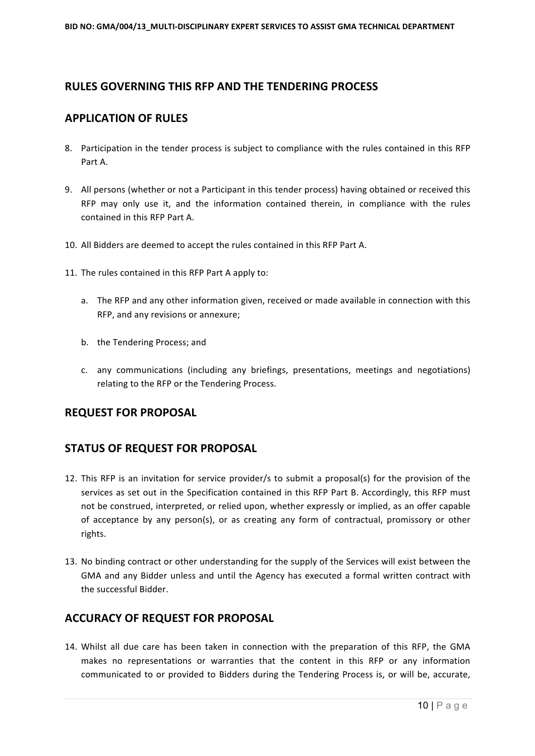## **RULES GOVERNING THIS RFP AND THE TENDERING PROCESS**

#### **APPLICATION OF RULES**

- 8. Participation in the tender process is subject to compliance with the rules contained in this RFP Part A.
- 9. All persons (whether or not a Participant in this tender process) having obtained or received this RFP may only use it, and the information contained therein, in compliance with the rules contained in this RFP Part A.
- 10. All Bidders are deemed to accept the rules contained in this RFP Part A.
- 11. The rules contained in this RFP Part A apply to:
	- a. The RFP and any other information given, received or made available in connection with this RFP, and any revisions or annexure;
	- b. the Tendering Process; and
	- c. any communications (including any briefings, presentations, meetings and negotiations) relating to the RFP or the Tendering Process.

#### **REQUEST FOR PROPOSAL**

## **STATUS OF REQUEST FOR PROPOSAL**

- 12. This RFP is an invitation for service provider/s to submit a proposal(s) for the provision of the services as set out in the Specification contained in this RFP Part B. Accordingly, this RFP must not be construed, interpreted, or relied upon, whether expressly or implied, as an offer capable of acceptance by any person(s), or as creating any form of contractual, promissory or other rights.
- 13. No binding contract or other understanding for the supply of the Services will exist between the GMA and any Bidder unless and until the Agency has executed a formal written contract with the successful Bidder.

## **ACCURACY OF REQUEST FOR PROPOSAL**

14. Whilst all due care has been taken in connection with the preparation of this RFP, the GMA makes no representations or warranties that the content in this RFP or any information communicated to or provided to Bidders during the Tendering Process is, or will be, accurate,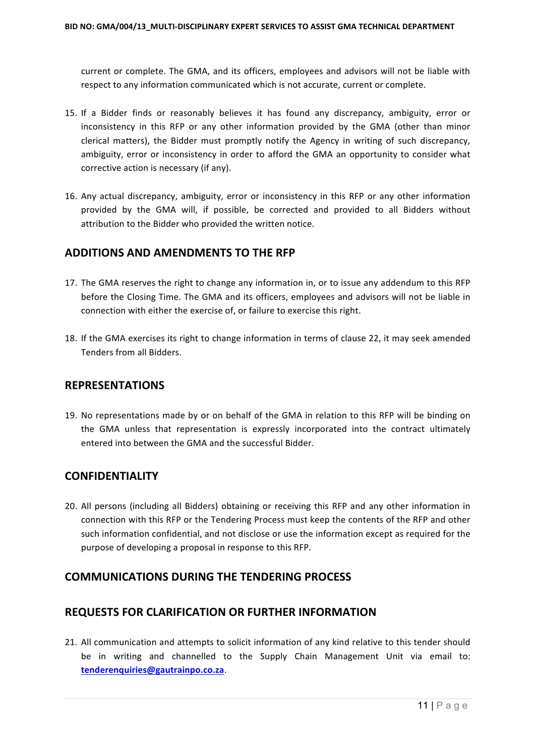current or complete. The GMA, and its officers, employees and advisors will not be liable with respect to any information communicated which is not accurate, current or complete.

- 15. If a Bidder finds or reasonably believes it has found any discrepancy, ambiguity, error or inconsistency in this RFP or any other information provided by the GMA (other than minor clerical matters), the Bidder must promptly notify the Agency in writing of such discrepancy, ambiguity, error or inconsistency in order to afford the GMA an opportunity to consider what corrective action is necessary (if any).
- 16. Any actual discrepancy, ambiguity, error or inconsistency in this RFP or any other information provided by the GMA will, if possible, be corrected and provided to all Bidders without attribution to the Bidder who provided the written notice.

## **ADDITIONS AND AMENDMENTS TO THE RFP**

- 17. The GMA reserves the right to change any information in, or to issue any addendum to this RFP before the Closing Time. The GMA and its officers, employees and advisors will not be liable in connection with either the exercise of, or failure to exercise this right.
- 18. If the GMA exercises its right to change information in terms of clause 22, it may seek amended Tenders from all Bidders.

#### **REPRESENTATIONS**

19. No representations made by or on behalf of the GMA in relation to this RFP will be binding on the GMA unless that representation is expressly incorporated into the contract ultimately entered into between the GMA and the successful Bidder.

#### **CONFIDENTIALITY**

20. All persons (including all Bidders) obtaining or receiving this RFP and any other information in connection with this RFP or the Tendering Process must keep the contents of the RFP and other such information confidential, and not disclose or use the information except as required for the purpose of developing a proposal in response to this RFP.

## **COMMUNICATIONS DURING THE TENDERING PROCESS**

## **REQUESTS FOR CLARIFICATION OR FURTHER INFORMATION**

21. All communication and attempts to solicit information of any kind relative to this tender should be in writing and channelled to the Supply Chain Management Unit via email to: **tenderenquiries@gautrainpo.co.za**.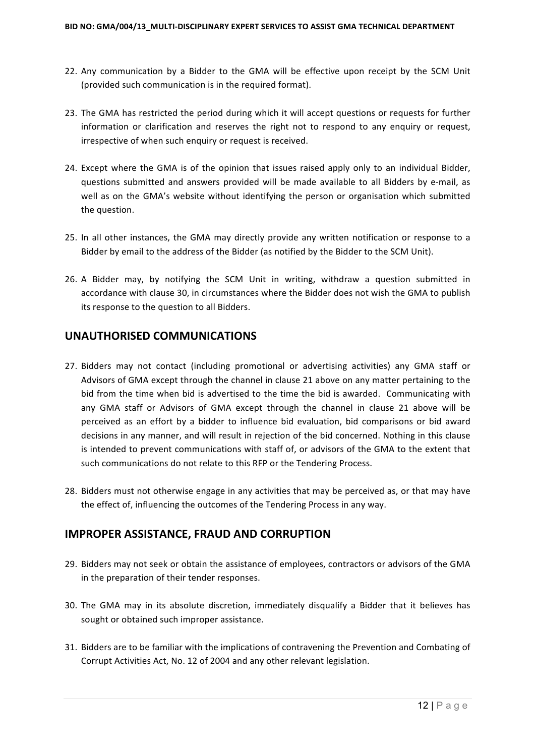- 22. Any communication by a Bidder to the GMA will be effective upon receipt by the SCM Unit (provided such communication is in the required format).
- 23. The GMA has restricted the period during which it will accept questions or requests for further information or clarification and reserves the right not to respond to any enquiry or request, irrespective of when such enquiry or request is received.
- 24. Except where the GMA is of the opinion that issues raised apply only to an individual Bidder, questions submitted and answers provided will be made available to all Bidders by e-mail, as well as on the GMA's website without identifying the person or organisation which submitted the question.
- 25. In all other instances, the GMA may directly provide any written notification or response to a Bidder by email to the address of the Bidder (as notified by the Bidder to the SCM Unit).
- 26. A Bidder may, by notifying the SCM Unit in writing, withdraw a question submitted in accordance with clause 30, in circumstances where the Bidder does not wish the GMA to publish its response to the question to all Bidders.

#### **UNAUTHORISED COMMUNICATIONS**

- 27. Bidders may not contact (including promotional or advertising activities) any GMA staff or Advisors of GMA except through the channel in clause 21 above on any matter pertaining to the bid from the time when bid is advertised to the time the bid is awarded. Communicating with any GMA staff or Advisors of GMA except through the channel in clause 21 above will be perceived as an effort by a bidder to influence bid evaluation, bid comparisons or bid award decisions in any manner, and will result in rejection of the bid concerned. Nothing in this clause is intended to prevent communications with staff of, or advisors of the GMA to the extent that such communications do not relate to this RFP or the Tendering Process.
- 28. Bidders must not otherwise engage in any activities that may be perceived as, or that may have the effect of, influencing the outcomes of the Tendering Process in any way.

## **IMPROPER ASSISTANCE, FRAUD AND CORRUPTION**

- 29. Bidders may not seek or obtain the assistance of employees, contractors or advisors of the GMA in the preparation of their tender responses.
- 30. The GMA may in its absolute discretion, immediately disqualify a Bidder that it believes has sought or obtained such improper assistance.
- 31. Bidders are to be familiar with the implications of contravening the Prevention and Combating of Corrupt Activities Act, No. 12 of 2004 and any other relevant legislation.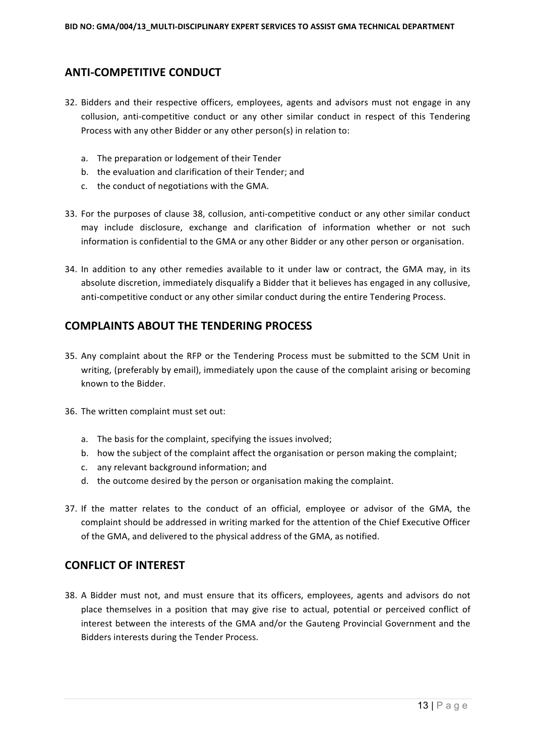## **ANTI-COMPETITIVE CONDUCT**

- 32. Bidders and their respective officers, employees, agents and advisors must not engage in any collusion, anti-competitive conduct or any other similar conduct in respect of this Tendering Process with any other Bidder or any other person(s) in relation to:
	- a. The preparation or lodgement of their Tender
	- b. the evaluation and clarification of their Tender; and
	- c. the conduct of negotiations with the GMA.
- 33. For the purposes of clause 38, collusion, anti-competitive conduct or any other similar conduct may include disclosure, exchange and clarification of information whether or not such information is confidential to the GMA or any other Bidder or any other person or organisation.
- 34. In addition to any other remedies available to it under law or contract, the GMA may, in its absolute discretion, immediately disqualify a Bidder that it believes has engaged in any collusive, anti-competitive conduct or any other similar conduct during the entire Tendering Process.

#### **COMPLAINTS ABOUT THE TENDERING PROCESS**

- 35. Any complaint about the RFP or the Tendering Process must be submitted to the SCM Unit in writing, (preferably by email), immediately upon the cause of the complaint arising or becoming known to the Bidder.
- 36. The written complaint must set out:
	- a. The basis for the complaint, specifying the issues involved;
	- b. how the subject of the complaint affect the organisation or person making the complaint;
	- c. any relevant background information; and
	- d. the outcome desired by the person or organisation making the complaint.
- 37. If the matter relates to the conduct of an official, employee or advisor of the GMA, the complaint should be addressed in writing marked for the attention of the Chief Executive Officer of the GMA, and delivered to the physical address of the GMA, as notified.

## **CONFLICT OF INTEREST**

38. A Bidder must not, and must ensure that its officers, employees, agents and advisors do not place themselves in a position that may give rise to actual, potential or perceived conflict of interest between the interests of the GMA and/or the Gauteng Provincial Government and the Bidders interests during the Tender Process.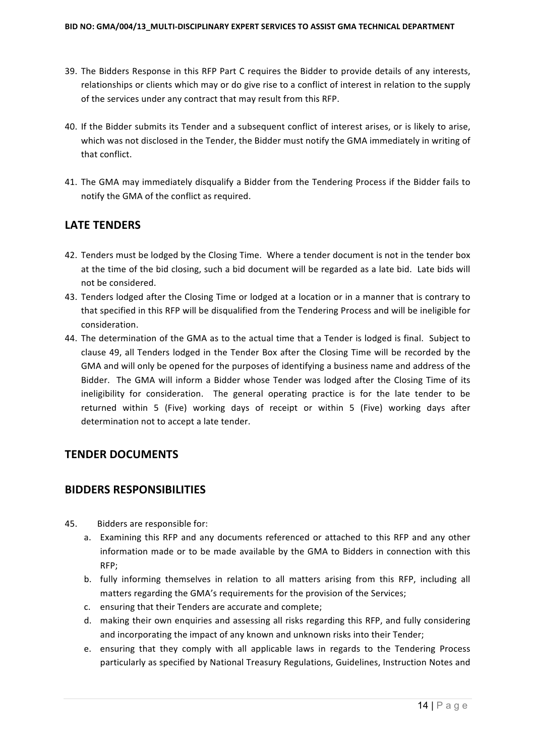- 39. The Bidders Response in this RFP Part C requires the Bidder to provide details of any interests, relationships or clients which may or do give rise to a conflict of interest in relation to the supply of the services under any contract that may result from this RFP.
- 40. If the Bidder submits its Tender and a subsequent conflict of interest arises, or is likely to arise, which was not disclosed in the Tender, the Bidder must notify the GMA immediately in writing of that conflict.
- 41. The GMA may immediately disqualify a Bidder from the Tendering Process if the Bidder fails to notify the GMA of the conflict as required.

## **LATE TENDERS**

- 42. Tenders must be lodged by the Closing Time. Where a tender document is not in the tender box at the time of the bid closing, such a bid document will be regarded as a late bid. Late bids will not be considered.
- 43. Tenders lodged after the Closing Time or lodged at a location or in a manner that is contrary to that specified in this RFP will be disqualified from the Tendering Process and will be ineligible for consideration.
- 44. The determination of the GMA as to the actual time that a Tender is lodged is final. Subject to clause 49, all Tenders lodged in the Tender Box after the Closing Time will be recorded by the GMA and will only be opened for the purposes of identifying a business name and address of the Bidder. The GMA will inform a Bidder whose Tender was lodged after the Closing Time of its ineligibility for consideration. The general operating practice is for the late tender to be returned within 5 (Five) working days of receipt or within 5 (Five) working days after determination not to accept a late tender.

## **TENDER DOCUMENTS**

## **BIDDERS RESPONSIBILITIES**

- 45. Bidders are responsible for:
	- a. Examining this RFP and any documents referenced or attached to this RFP and any other information made or to be made available by the GMA to Bidders in connection with this RFP;
	- b. fully informing themselves in relation to all matters arising from this RFP, including all matters regarding the GMA's requirements for the provision of the Services;
	- c. ensuring that their Tenders are accurate and complete;
	- d. making their own enquiries and assessing all risks regarding this RFP, and fully considering and incorporating the impact of any known and unknown risks into their Tender;
	- e. ensuring that they comply with all applicable laws in regards to the Tendering Process particularly as specified by National Treasury Regulations, Guidelines, Instruction Notes and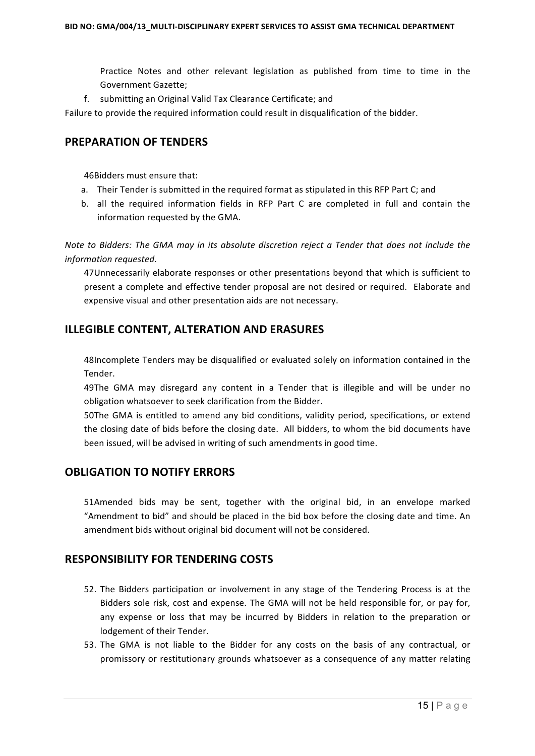Practice Notes and other relevant legislation as published from time to time in the Government Gazette:

f. submitting an Original Valid Tax Clearance Certificate; and

Failure to provide the required information could result in disqualification of the bidder.

#### **PREPARATION OF TENDERS**

46Bidders must ensure that:

- a. Their Tender is submitted in the required format as stipulated in this RFP Part C; and
- b. all the required information fields in RFP Part C are completed in full and contain the information requested by the GMA.

*Note to Bidders: The GMA may in its absolute discretion reject a Tender that does not include the information requested.*

47Unnecessarily elaborate responses or other presentations beyond that which is sufficient to present a complete and effective tender proposal are not desired or required. Elaborate and expensive visual and other presentation aids are not necessary.

#### **ILLEGIBLE CONTENT, ALTERATION AND ERASURES**

48Incomplete Tenders may be disqualified or evaluated solely on information contained in the Tender.

49The GMA may disregard any content in a Tender that is illegible and will be under no obligation whatsoever to seek clarification from the Bidder.

50The GMA is entitled to amend any bid conditions, validity period, specifications, or extend the closing date of bids before the closing date. All bidders, to whom the bid documents have been issued, will be advised in writing of such amendments in good time.

## **OBLIGATION TO NOTIFY ERRORS**

51Amended bids may be sent, together with the original bid, in an envelope marked "Amendment to bid" and should be placed in the bid box before the closing date and time. An amendment bids without original bid document will not be considered.

## **RESPONSIBILITY FOR TENDERING COSTS**

- 52. The Bidders participation or involvement in any stage of the Tendering Process is at the Bidders sole risk, cost and expense. The GMA will not be held responsible for, or pay for, any expense or loss that may be incurred by Bidders in relation to the preparation or lodgement of their Tender.
- 53. The GMA is not liable to the Bidder for any costs on the basis of any contractual, or promissory or restitutionary grounds whatsoever as a consequence of any matter relating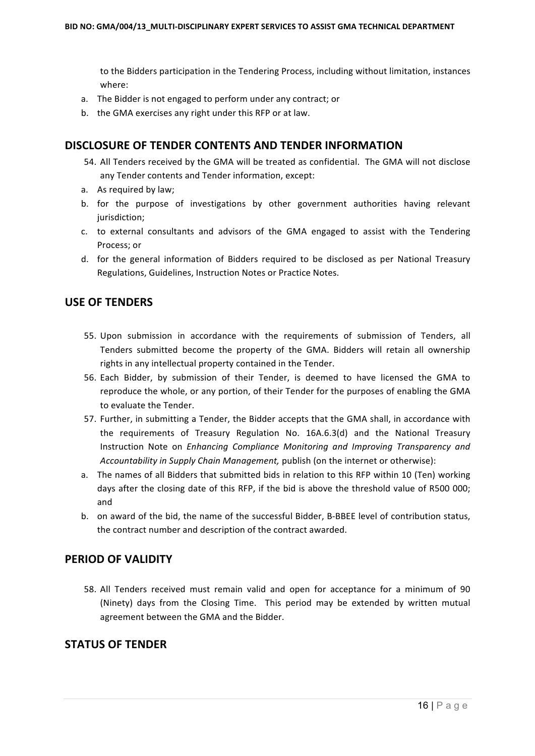to the Bidders participation in the Tendering Process, including without limitation, instances where:

- a. The Bidder is not engaged to perform under any contract; or
- b. the GMA exercises any right under this RFP or at law.

#### **DISCLOSURE OF TENDER CONTENTS AND TENDER INFORMATION**

- 54. All Tenders received by the GMA will be treated as confidential. The GMA will not disclose any Tender contents and Tender information, except:
- a. As required by law;
- b. for the purpose of investigations by other government authorities having relevant jurisdiction;
- c. to external consultants and advisors of the GMA engaged to assist with the Tendering Process; or
- d. for the general information of Bidders required to be disclosed as per National Treasury Regulations, Guidelines, Instruction Notes or Practice Notes.

#### **USE OF TENDERS**

- 55. Upon submission in accordance with the requirements of submission of Tenders, all Tenders submitted become the property of the GMA. Bidders will retain all ownership rights in any intellectual property contained in the Tender.
- 56. Each Bidder, by submission of their Tender, is deemed to have licensed the GMA to reproduce the whole, or any portion, of their Tender for the purposes of enabling the GMA to evaluate the Tender.
- 57. Further, in submitting a Tender, the Bidder accepts that the GMA shall, in accordance with the requirements of Treasury Regulation No. 16A.6.3(d) and the National Treasury Instruction Note on *Enhancing Compliance Monitoring and Improving Transparency and Accountability in Supply Chain Management, publish (on the internet or otherwise):*
- a. The names of all Bidders that submitted bids in relation to this RFP within 10 (Ten) working days after the closing date of this RFP, if the bid is above the threshold value of R500 000; and
- b. on award of the bid, the name of the successful Bidder, B-BBEE level of contribution status, the contract number and description of the contract awarded.

#### **PERIOD OF VALIDITY**

58. All Tenders received must remain valid and open for acceptance for a minimum of 90 (Ninety) days from the Closing Time. This period may be extended by written mutual agreement between the GMA and the Bidder.

#### **STATUS OF TENDER**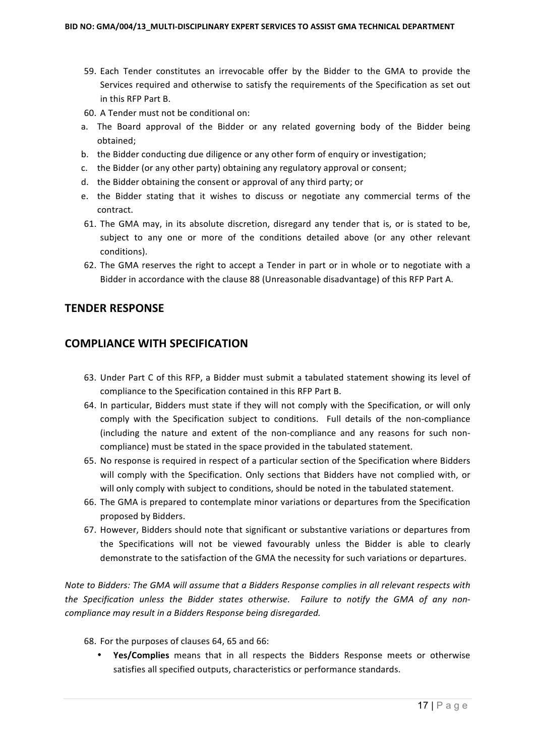- 59. Each Tender constitutes an irrevocable offer by the Bidder to the GMA to provide the Services required and otherwise to satisfy the requirements of the Specification as set out in this RFP Part B.
- 60. A Tender must not be conditional on:
- a. The Board approval of the Bidder or any related governing body of the Bidder being obtained;
- b. the Bidder conducting due diligence or any other form of enquiry or investigation;
- c. the Bidder (or any other party) obtaining any regulatory approval or consent;
- d. the Bidder obtaining the consent or approval of any third party; or
- e. the Bidder stating that it wishes to discuss or negotiate any commercial terms of the contract.
- 61. The GMA may, in its absolute discretion, disregard any tender that is, or is stated to be, subject to any one or more of the conditions detailed above (or any other relevant conditions).
- 62. The GMA reserves the right to accept a Tender in part or in whole or to negotiate with a Bidder in accordance with the clause 88 (Unreasonable disadvantage) of this RFP Part A.

#### **TENDER RESPONSE**

#### **COMPLIANCE WITH SPECIFICATION**

- 63. Under Part C of this RFP, a Bidder must submit a tabulated statement showing its level of compliance to the Specification contained in this RFP Part B.
- 64. In particular, Bidders must state if they will not comply with the Specification, or will only comply with the Specification subject to conditions. Full details of the non-compliance (including the nature and extent of the non-compliance and any reasons for such noncompliance) must be stated in the space provided in the tabulated statement.
- 65. No response is required in respect of a particular section of the Specification where Bidders will comply with the Specification. Only sections that Bidders have not complied with, or will only comply with subject to conditions, should be noted in the tabulated statement.
- 66. The GMA is prepared to contemplate minor variations or departures from the Specification proposed by Bidders.
- 67. However, Bidders should note that significant or substantive variations or departures from the Specifications will not be viewed favourably unless the Bidder is able to clearly demonstrate to the satisfaction of the GMA the necessity for such variations or departures.

*Note to Bidders: The GMA will assume that a Bidders Response complies in all relevant respects with* the Specification unless the Bidder states otherwise. Failure to notify the GMA of any non*compliance may result in a Bidders Response being disregarded.* 

- 68. For the purposes of clauses 64, 65 and 66:
	- Yes/Complies means that in all respects the Bidders Response meets or otherwise satisfies all specified outputs, characteristics or performance standards.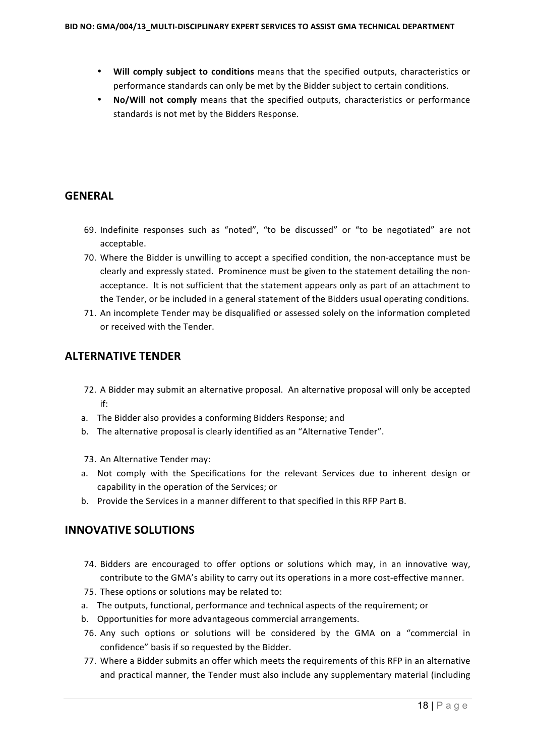- Will comply subject to conditions means that the specified outputs, characteristics or performance standards can only be met by the Bidder subject to certain conditions.
- No/Will not comply means that the specified outputs, characteristics or performance standards is not met by the Bidders Response.

## **GENERAL**

- 69. Indefinite responses such as "noted", "to be discussed" or "to be negotiated" are not acceptable.
- 70. Where the Bidder is unwilling to accept a specified condition, the non-acceptance must be clearly and expressly stated. Prominence must be given to the statement detailing the nonacceptance. It is not sufficient that the statement appears only as part of an attachment to the Tender, or be included in a general statement of the Bidders usual operating conditions.
- 71. An incomplete Tender may be disqualified or assessed solely on the information completed or received with the Tender.

## **ALTERNATIVE TENDER**

- 72. A Bidder may submit an alternative proposal. An alternative proposal will only be accepted if:
- a. The Bidder also provides a conforming Bidders Response; and
- b. The alternative proposal is clearly identified as an "Alternative Tender".
- 73. An Alternative Tender may:
- a. Not comply with the Specifications for the relevant Services due to inherent design or capability in the operation of the Services; or
- b. Provide the Services in a manner different to that specified in this RFP Part B.

## **INNOVATIVE SOLUTIONS**

- 74. Bidders are encouraged to offer options or solutions which may, in an innovative way, contribute to the GMA's ability to carry out its operations in a more cost-effective manner.
- 75. These options or solutions may be related to:
- a. The outputs, functional, performance and technical aspects of the requirement; or
- b. Opportunities for more advantageous commercial arrangements.
- 76. Any such options or solutions will be considered by the GMA on a "commercial in confidence" basis if so requested by the Bidder.
- 77. Where a Bidder submits an offer which meets the requirements of this RFP in an alternative and practical manner, the Tender must also include any supplementary material (including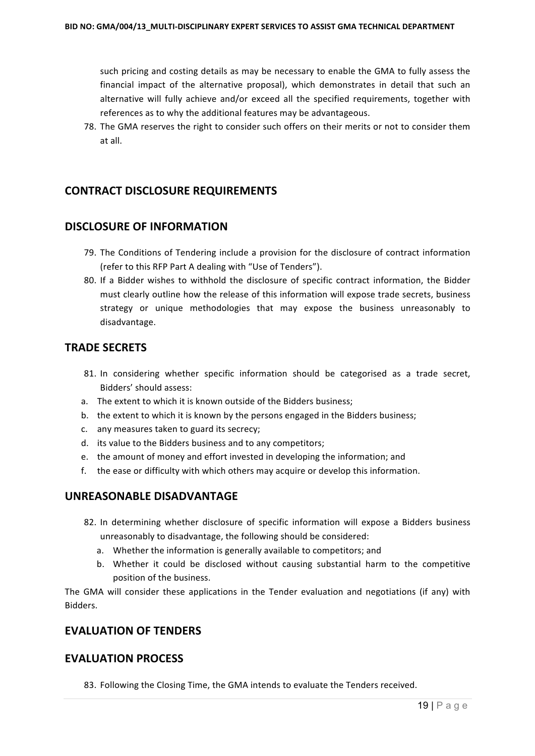such pricing and costing details as may be necessary to enable the GMA to fully assess the financial impact of the alternative proposal), which demonstrates in detail that such an alternative will fully achieve and/or exceed all the specified requirements, together with references as to why the additional features may be advantageous.

78. The GMA reserves the right to consider such offers on their merits or not to consider them at all.

#### **CONTRACT DISCLOSURE REQUIREMENTS**

#### **DISCLOSURE OF INFORMATION**

- 79. The Conditions of Tendering include a provision for the disclosure of contract information (refer to this RFP Part A dealing with "Use of Tenders").
- 80. If a Bidder wishes to withhold the disclosure of specific contract information, the Bidder must clearly outline how the release of this information will expose trade secrets, business strategy or unique methodologies that may expose the business unreasonably to disadvantage.

#### **TRADE SECRETS**

- 81. In considering whether specific information should be categorised as a trade secret, Bidders' should assess:
- a. The extent to which it is known outside of the Bidders business;
- b. the extent to which it is known by the persons engaged in the Bidders business;
- c. any measures taken to guard its secrecy;
- d. its value to the Bidders business and to any competitors;
- e. the amount of money and effort invested in developing the information; and
- f. the ease or difficulty with which others may acquire or develop this information.

#### **UNREASONABLE DISADVANTAGE**

- 82. In determining whether disclosure of specific information will expose a Bidders business unreasonably to disadvantage, the following should be considered:
	- a. Whether the information is generally available to competitors; and
	- b. Whether it could be disclosed without causing substantial harm to the competitive position of the business.

The GMA will consider these applications in the Tender evaluation and negotiations (if any) with Bidders.

#### **EVALUATION OF TENDERS**

#### **EVALUATION PROCESS**

83. Following the Closing Time, the GMA intends to evaluate the Tenders received.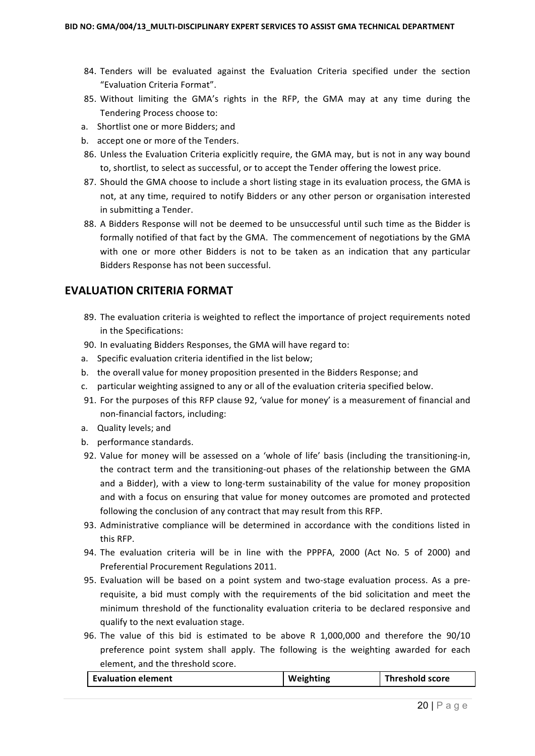- 84. Tenders will be evaluated against the Evaluation Criteria specified under the section "Evaluation Criteria Format".
- 85. Without limiting the GMA's rights in the RFP, the GMA may at any time during the Tendering Process choose to:
- a. Shortlist one or more Bidders; and
- b. accept one or more of the Tenders.
- 86. Unless the Evaluation Criteria explicitly require, the GMA may, but is not in any way bound to, shortlist, to select as successful, or to accept the Tender offering the lowest price.
- 87. Should the GMA choose to include a short listing stage in its evaluation process, the GMA is not, at any time, required to notify Bidders or any other person or organisation interested in submitting a Tender.
- 88. A Bidders Response will not be deemed to be unsuccessful until such time as the Bidder is formally notified of that fact by the GMA. The commencement of negotiations by the GMA with one or more other Bidders is not to be taken as an indication that any particular Bidders Response has not been successful.

#### **EVALUATION CRITERIA FORMAT**

- 89. The evaluation criteria is weighted to reflect the importance of project requirements noted in the Specifications:
- 90. In evaluating Bidders Responses, the GMA will have regard to:
- a. Specific evaluation criteria identified in the list below;
- b. the overall value for money proposition presented in the Bidders Response; and
- c. particular weighting assigned to any or all of the evaluation criteria specified below.
- 91. For the purposes of this RFP clause 92. 'value for money' is a measurement of financial and non-financial factors, including:
- a. Quality levels: and
- b. performance standards.
- 92. Value for money will be assessed on a 'whole of life' basis (including the transitioning-in, the contract term and the transitioning-out phases of the relationship between the GMA and a Bidder), with a view to long-term sustainability of the value for money proposition and with a focus on ensuring that value for money outcomes are promoted and protected following the conclusion of any contract that may result from this RFP.
- 93. Administrative compliance will be determined in accordance with the conditions listed in this RFP.
- 94. The evaluation criteria will be in line with the PPPFA, 2000 (Act No. 5 of 2000) and Preferential Procurement Regulations 2011.
- 95. Evaluation will be based on a point system and two-stage evaluation process. As a prerequisite, a bid must comply with the requirements of the bid solicitation and meet the minimum threshold of the functionality evaluation criteria to be declared responsive and qualify to the next evaluation stage.
- 96. The value of this bid is estimated to be above R 1,000,000 and therefore the 90/10 preference point system shall apply. The following is the weighting awarded for each element, and the threshold score.

| <b>Evaluation element</b> | Weighting | Threshold score |
|---------------------------|-----------|-----------------|
|                           |           |                 |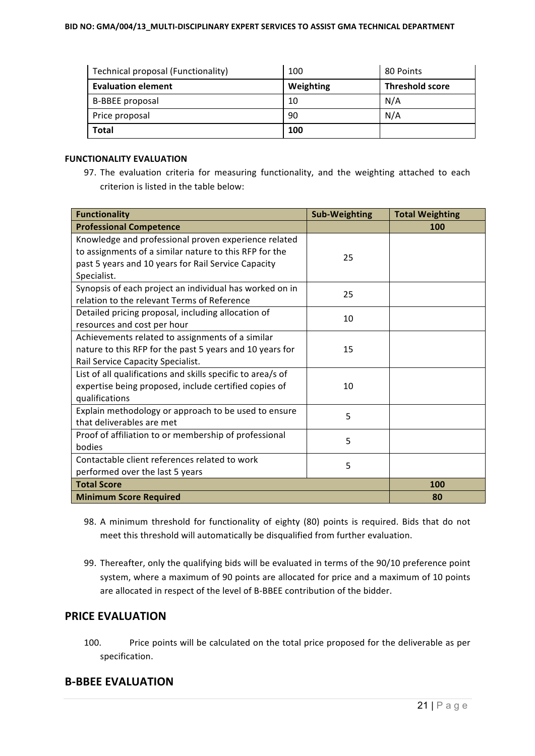| Technical proposal (Functionality) | 100       | 80 Points              |
|------------------------------------|-----------|------------------------|
| <b>Evaluation element</b>          | Weighting | <b>Threshold score</b> |
| B-BBEE proposal                    | 10        | N/A                    |
| Price proposal                     | 90        | N/A                    |
| <b>Total</b>                       | 100       |                        |

#### **FUNCTIONALITY EVALUATION**

97. The evaluation criteria for measuring functionality, and the weighting attached to each criterion is listed in the table below:

| <b>Functionality</b>                                        | <b>Sub-Weighting</b> | <b>Total Weighting</b> |
|-------------------------------------------------------------|----------------------|------------------------|
| <b>Professional Competence</b>                              |                      | 100                    |
| Knowledge and professional proven experience related        |                      |                        |
| to assignments of a similar nature to this RFP for the      | 25                   |                        |
| past 5 years and 10 years for Rail Service Capacity         |                      |                        |
| Specialist.                                                 |                      |                        |
| Synopsis of each project an individual has worked on in     | 25                   |                        |
| relation to the relevant Terms of Reference                 |                      |                        |
| Detailed pricing proposal, including allocation of          | 10                   |                        |
| resources and cost per hour                                 |                      |                        |
| Achievements related to assignments of a similar            |                      |                        |
| nature to this RFP for the past 5 years and 10 years for    | 15                   |                        |
| Rail Service Capacity Specialist.                           |                      |                        |
| List of all qualifications and skills specific to area/s of |                      |                        |
| expertise being proposed, include certified copies of       | 10                   |                        |
| qualifications                                              |                      |                        |
| Explain methodology or approach to be used to ensure        | 5                    |                        |
| that deliverables are met                                   |                      |                        |
| Proof of affiliation to or membership of professional       | 5                    |                        |
| bodies                                                      |                      |                        |
| Contactable client references related to work               | 5                    |                        |
| performed over the last 5 years                             |                      |                        |
| <b>Total Score</b>                                          |                      | 100                    |
| <b>Minimum Score Required</b>                               |                      | 80                     |

- 98. A minimum threshold for functionality of eighty (80) points is required. Bids that do not meet this threshold will automatically be disqualified from further evaluation.
- 99. Thereafter, only the qualifying bids will be evaluated in terms of the 90/10 preference point system, where a maximum of 90 points are allocated for price and a maximum of 10 points are allocated in respect of the level of B-BBEE contribution of the bidder.

#### **PRICE EVALUATION**

100. Price points will be calculated on the total price proposed for the deliverable as per specification. 

#### **B-BBEE EVALUATION**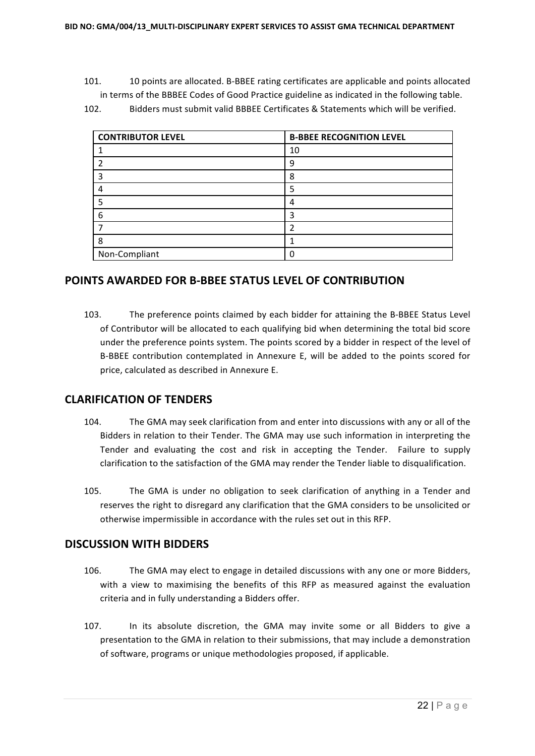- 101. 10 points are allocated. B-BBEE rating certificates are applicable and points allocated in terms of the BBBEE Codes of Good Practice guideline as indicated in the following table.
- 102. Bidders must submit valid BBBEE Certificates & Statements which will be verified.

| <b>CONTRIBUTOR LEVEL</b> | <b>B-BBEE RECOGNITION LEVEL</b> |
|--------------------------|---------------------------------|
|                          | 10                              |
|                          | ٩                               |
|                          | 8                               |
|                          | 5                               |
|                          | 4                               |
| 6                        | 3                               |
|                          |                                 |
| 8                        |                                 |
| Non-Compliant            | U                               |

#### **POINTS AWARDED FOR B-BBEE STATUS LEVEL OF CONTRIBUTION**

103. The preference points claimed by each bidder for attaining the B-BBEE Status Level of Contributor will be allocated to each qualifying bid when determining the total bid score under the preference points system. The points scored by a bidder in respect of the level of B-BBEE contribution contemplated in Annexure E, will be added to the points scored for price, calculated as described in Annexure E.

#### **CLARIFICATION OF TENDERS**

- 104. The GMA may seek clarification from and enter into discussions with any or all of the Bidders in relation to their Tender. The GMA may use such information in interpreting the Tender and evaluating the cost and risk in accepting the Tender. Failure to supply clarification to the satisfaction of the GMA may render the Tender liable to disqualification.
- 105. The GMA is under no obligation to seek clarification of anything in a Tender and reserves the right to disregard any clarification that the GMA considers to be unsolicited or otherwise impermissible in accordance with the rules set out in this RFP.

#### **DISCUSSION WITH BIDDERS**

- 106. The GMA may elect to engage in detailed discussions with any one or more Bidders, with a view to maximising the benefits of this RFP as measured against the evaluation criteria and in fully understanding a Bidders offer.
- 107. In its absolute discretion, the GMA may invite some or all Bidders to give a presentation to the GMA in relation to their submissions, that may include a demonstration of software, programs or unique methodologies proposed, if applicable.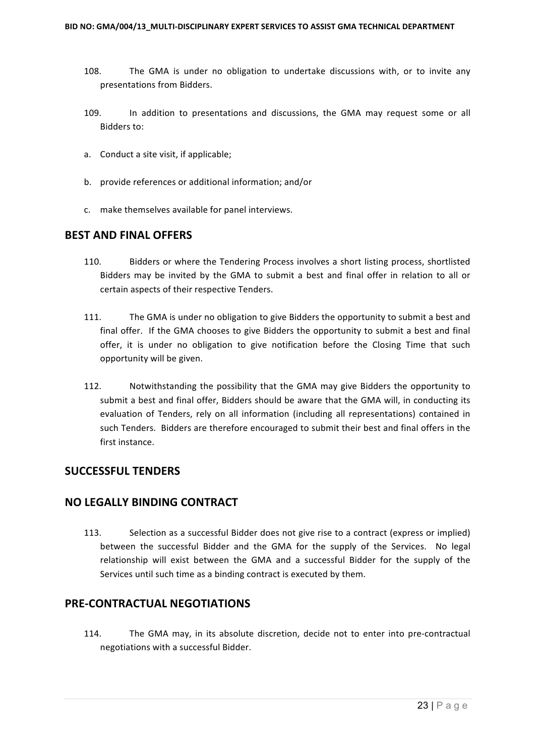- 108. The GMA is under no obligation to undertake discussions with, or to invite any presentations from Bidders.
- 109. In addition to presentations and discussions, the GMA may request some or all Bidders to:
- a. Conduct a site visit, if applicable;
- b. provide references or additional information; and/or
- c. make themselves available for panel interviews.

#### **BEST AND FINAL OFFERS**

- 110. Bidders or where the Tendering Process involves a short listing process, shortlisted Bidders may be invited by the GMA to submit a best and final offer in relation to all or certain aspects of their respective Tenders.
- 111. The GMA is under no obligation to give Bidders the opportunity to submit a best and final offer. If the GMA chooses to give Bidders the opportunity to submit a best and final offer, it is under no obligation to give notification before the Closing Time that such opportunity will be given.
- 112. Notwithstanding the possibility that the GMA may give Bidders the opportunity to submit a best and final offer. Bidders should be aware that the GMA will, in conducting its evaluation of Tenders, rely on all information (including all representations) contained in such Tenders. Bidders are therefore encouraged to submit their best and final offers in the first instance.

#### **SUCCESSFUL TENDERS**

#### **NO LEGALLY BINDING CONTRACT**

113. Selection as a successful Bidder does not give rise to a contract (express or implied) between the successful Bidder and the GMA for the supply of the Services. No legal relationship will exist between the GMA and a successful Bidder for the supply of the Services until such time as a binding contract is executed by them.

#### **PRE-CONTRACTUAL NEGOTIATIONS**

114. The GMA may, in its absolute discretion, decide not to enter into pre-contractual negotiations with a successful Bidder.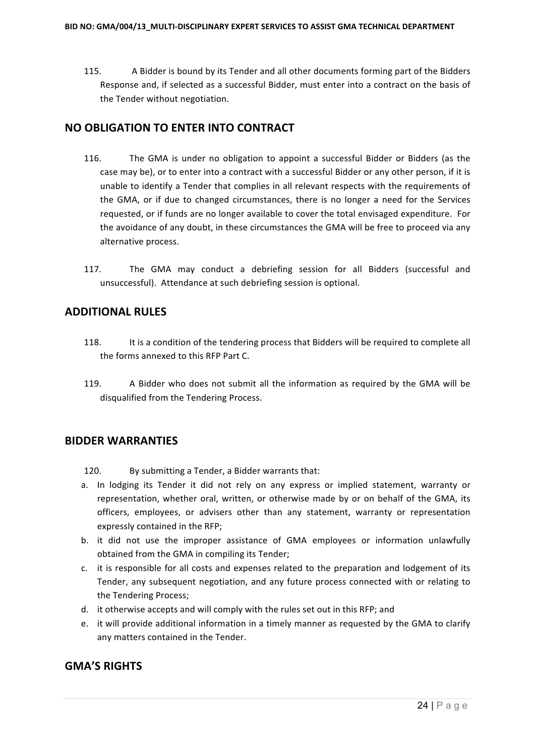115. A Bidder is bound by its Tender and all other documents forming part of the Bidders Response and, if selected as a successful Bidder, must enter into a contract on the basis of the Tender without negotiation.

#### **NO OBLIGATION TO ENTER INTO CONTRACT**

- 116. The GMA is under no obligation to appoint a successful Bidder or Bidders (as the case may be), or to enter into a contract with a successful Bidder or any other person, if it is unable to identify a Tender that complies in all relevant respects with the requirements of the GMA, or if due to changed circumstances, there is no longer a need for the Services requested, or if funds are no longer available to cover the total envisaged expenditure. For the avoidance of any doubt, in these circumstances the GMA will be free to proceed via any alternative process.
- 117. The GMA may conduct a debriefing session for all Bidders (successful and unsuccessful). Attendance at such debriefing session is optional.

## **ADDITIONAL RULES**

- 118. It is a condition of the tendering process that Bidders will be required to complete all the forms annexed to this RFP Part C.
- 119. A Bidder who does not submit all the information as required by the GMA will be disqualified from the Tendering Process.

#### **BIDDER WARRANTIES**

120. By submitting a Tender, a Bidder warrants that:

- a. In lodging its Tender it did not rely on any express or implied statement, warranty or representation, whether oral, written, or otherwise made by or on behalf of the GMA, its officers, employees, or advisers other than any statement, warranty or representation expressly contained in the RFP:
- b. it did not use the improper assistance of GMA employees or information unlawfully obtained from the GMA in compiling its Tender;
- c. it is responsible for all costs and expenses related to the preparation and lodgement of its Tender, any subsequent negotiation, and any future process connected with or relating to the Tendering Process:
- d. it otherwise accepts and will comply with the rules set out in this RFP; and
- e. it will provide additional information in a timely manner as requested by the GMA to clarify any matters contained in the Tender.

## **GMA'S RIGHTS**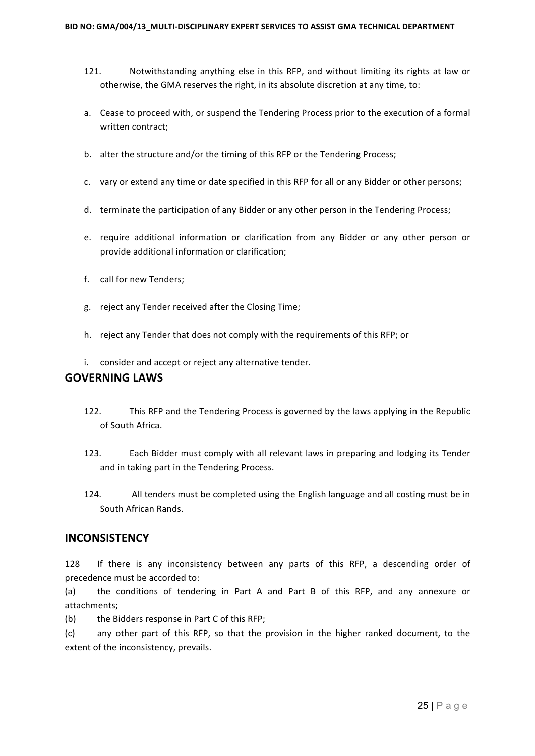- 121. Notwithstanding anything else in this RFP, and without limiting its rights at law or otherwise, the GMA reserves the right, in its absolute discretion at any time, to:
- a. Cease to proceed with, or suspend the Tendering Process prior to the execution of a formal written contract;
- b. alter the structure and/or the timing of this RFP or the Tendering Process;
- c. vary or extend any time or date specified in this RFP for all or any Bidder or other persons;
- d. terminate the participation of any Bidder or any other person in the Tendering Process;
- e. require additional information or clarification from any Bidder or any other person or provide additional information or clarification;
- f. call for new Tenders:
- g. reject any Tender received after the Closing Time;
- h. reject any Tender that does not comply with the requirements of this RFP; or
- i. consider and accept or reject any alternative tender.

#### **GOVERNING LAWS**

- 122. This RFP and the Tendering Process is governed by the laws applying in the Republic of South Africa.
- 123. Each Bidder must comply with all relevant laws in preparing and lodging its Tender and in taking part in the Tendering Process.
- 124. All tenders must be completed using the English language and all costing must be in South African Rands.

#### **INCONSISTENCY**

128 If there is any inconsistency between any parts of this RFP, a descending order of precedence must be accorded to:

(a) the conditions of tendering in Part A and Part B of this RFP, and any annexure or attachments;

(b) the Bidders response in Part C of this RFP;

(c) any other part of this RFP, so that the provision in the higher ranked document, to the extent of the inconsistency, prevails.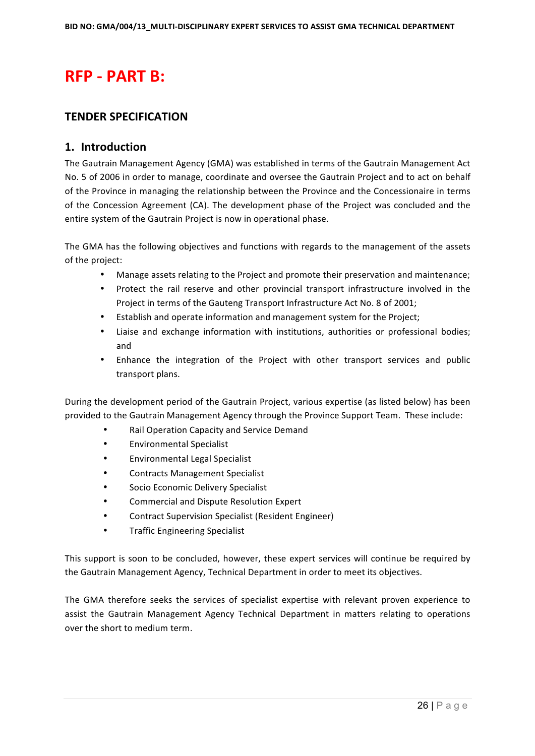# **RFP - PART B:**

#### **TENDER SPECIFICATION**

#### **1. Introduction**

The Gautrain Management Agency (GMA) was established in terms of the Gautrain Management Act No. 5 of 2006 in order to manage, coordinate and oversee the Gautrain Project and to act on behalf of the Province in managing the relationship between the Province and the Concessionaire in terms of the Concession Agreement (CA). The development phase of the Project was concluded and the entire system of the Gautrain Project is now in operational phase.

The GMA has the following objectives and functions with regards to the management of the assets of the project:

- Manage assets relating to the Project and promote their preservation and maintenance;
- Protect the rail reserve and other provincial transport infrastructure involved in the Project in terms of the Gauteng Transport Infrastructure Act No. 8 of 2001;
- Establish and operate information and management system for the Project;
- Liaise and exchange information with institutions, authorities or professional bodies; and
- Enhance the integration of the Project with other transport services and public transport plans.

During the development period of the Gautrain Project, various expertise (as listed below) has been provided to the Gautrain Management Agency through the Province Support Team. These include:

- Rail Operation Capacity and Service Demand
- Environmental Specialist
- Environmental Legal Specialist
- Contracts Management Specialist
- Socio Economic Delivery Specialist
- Commercial and Dispute Resolution Expert
- Contract Supervision Specialist (Resident Engineer)
- Traffic Engineering Specialist

This support is soon to be concluded, however, these expert services will continue be required by the Gautrain Management Agency, Technical Department in order to meet its objectives.

The GMA therefore seeks the services of specialist expertise with relevant proven experience to assist the Gautrain Management Agency Technical Department in matters relating to operations over the short to medium term.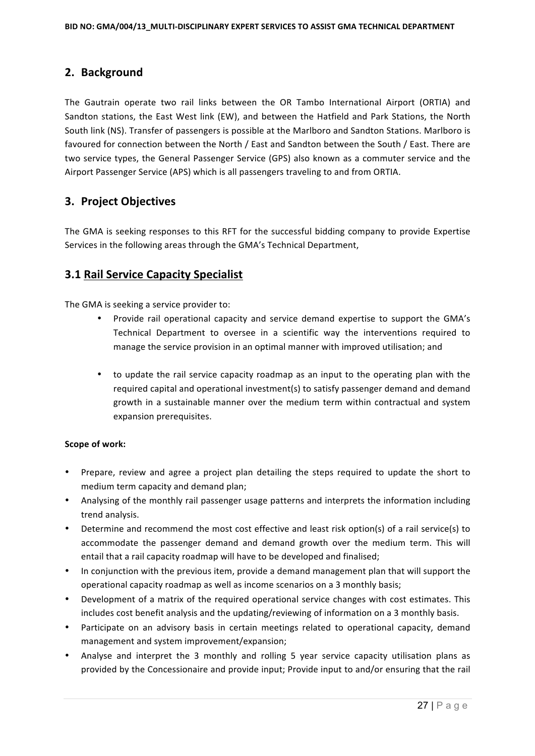## **2. Background**

The Gautrain operate two rail links between the OR Tambo International Airport (ORTIA) and Sandton stations, the East West link (EW), and between the Hatfield and Park Stations, the North South link (NS). Transfer of passengers is possible at the Marlboro and Sandton Stations. Marlboro is favoured for connection between the North / East and Sandton between the South / East. There are two service types, the General Passenger Service (GPS) also known as a commuter service and the Airport Passenger Service (APS) which is all passengers traveling to and from ORTIA.

## **3. Project Objectives**

The GMA is seeking responses to this RFT for the successful bidding company to provide Expertise Services in the following areas through the GMA's Technical Department,

## **3.1 Rail Service Capacity Specialist**

The GMA is seeking a service provider to:

- Provide rail operational capacity and service demand expertise to support the GMA's Technical Department to oversee in a scientific way the interventions required to manage the service provision in an optimal manner with improved utilisation; and
- to update the rail service capacity roadmap as an input to the operating plan with the required capital and operational investment(s) to satisfy passenger demand and demand growth in a sustainable manner over the medium term within contractual and system expansion prerequisites.

#### **Scope of work:**

- Prepare, review and agree a project plan detailing the steps required to update the short to medium term capacity and demand plan;
- Analysing of the monthly rail passenger usage patterns and interprets the information including trend analysis.
- Determine and recommend the most cost effective and least risk option(s) of a rail service(s) to accommodate the passenger demand and demand growth over the medium term. This will entail that a rail capacity roadmap will have to be developed and finalised:
- In conjunction with the previous item, provide a demand management plan that will support the operational capacity roadmap as well as income scenarios on a 3 monthly basis;
- Development of a matrix of the required operational service changes with cost estimates. This includes cost benefit analysis and the updating/reviewing of information on a 3 monthly basis.
- Participate on an advisory basis in certain meetings related to operational capacity, demand management and system improvement/expansion;
- Analyse and interpret the 3 monthly and rolling 5 year service capacity utilisation plans as provided by the Concessionaire and provide input; Provide input to and/or ensuring that the rail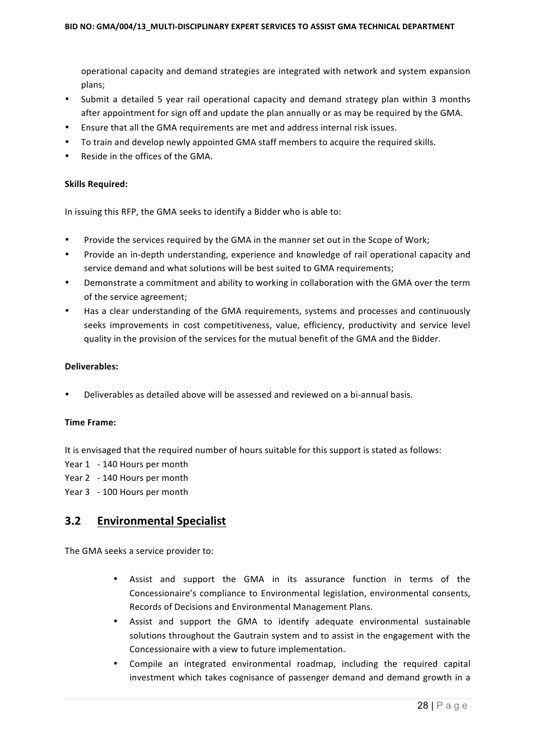operational capacity and demand strategies are integrated with network and system expansion plans;

- Submit a detailed 5 year rail operational capacity and demand strategy plan within 3 months after appointment for sign off and update the plan annually or as may be required by the GMA.
- Ensure that all the GMA requirements are met and address internal risk issues.
- To train and develop newly appointed GMA staff members to acquire the required skills.
- Reside in the offices of the GMA.

#### **Skills Required:**

In issuing this RFP, the GMA seeks to identify a Bidder who is able to:

- Provide the services required by the GMA in the manner set out in the Scope of Work;
- Provide an in-depth understanding, experience and knowledge of rail operational capacity and service demand and what solutions will be best suited to GMA requirements;
- Demonstrate a commitment and ability to working in collaboration with the GMA over the term of the service agreement;
- Has a clear understanding of the GMA requirements, systems and processes and continuously seeks improvements in cost competitiveness, value, efficiency, productivity and service level quality in the provision of the services for the mutual benefit of the GMA and the Bidder.

#### **Deliverables:**

Deliverables as detailed above will be assessed and reviewed on a bi-annual basis.

#### **Time Frame:**

It is envisaged that the required number of hours suitable for this support is stated as follows:

- Year 1 140 Hours per month
- Year 2 140 Hours per month
- Year 3 100 Hours per month

#### **3.2 Environmental Specialist**

The GMA seeks a service provider to:

- Assist and support the GMA in its assurance function in terms of the Concessionaire's compliance to Environmental legislation, environmental consents, Records of Decisions and Environmental Management Plans.
- Assist and support the GMA to identify adequate environmental sustainable solutions throughout the Gautrain system and to assist in the engagement with the Concessionaire with a view to future implementation.
- Compile an integrated environmental roadmap, including the required capital investment which takes cognisance of passenger demand and demand growth in a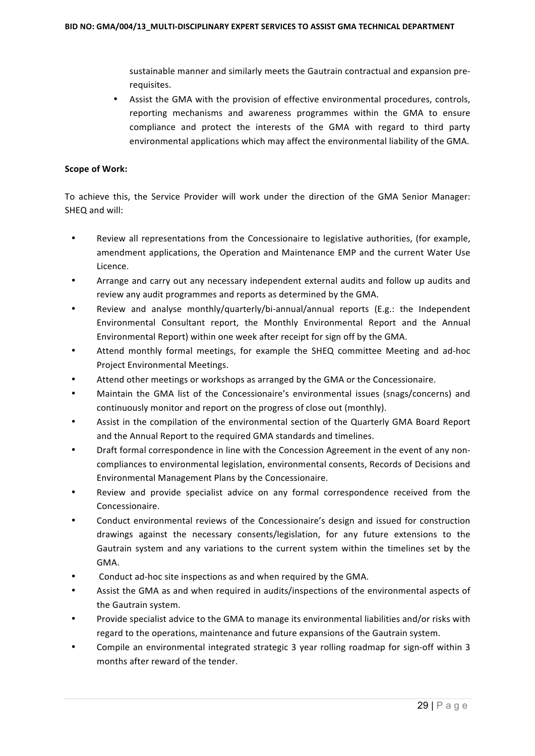sustainable manner and similarly meets the Gautrain contractual and expansion prerequisites.

Assist the GMA with the provision of effective environmental procedures, controls, reporting mechanisms and awareness programmes within the GMA to ensure compliance and protect the interests of the GMA with regard to third party environmental applications which may affect the environmental liability of the GMA.

#### **Scope of Work:**

To achieve this, the Service Provider will work under the direction of the GMA Senior Manager: SHEQ and will:

- Review all representations from the Concessionaire to legislative authorities, (for example, amendment applications, the Operation and Maintenance EMP and the current Water Use Licence.
- Arrange and carry out any necessary independent external audits and follow up audits and review any audit programmes and reports as determined by the GMA.
- Review and analyse monthly/quarterly/bi-annual/annual reports (E.g.: the Independent Environmental Consultant report, the Monthly Environmental Report and the Annual Environmental Report) within one week after receipt for sign off by the GMA.
- Attend monthly formal meetings, for example the SHEQ committee Meeting and ad-hoc Project Environmental Meetings.
- Attend other meetings or workshops as arranged by the GMA or the Concessionaire.
- Maintain the GMA list of the Concessionaire's environmental issues (snags/concerns) and continuously monitor and report on the progress of close out (monthly).
- Assist in the compilation of the environmental section of the Quarterly GMA Board Report and the Annual Report to the required GMA standards and timelines.
- Draft formal correspondence in line with the Concession Agreement in the event of any noncompliances to environmental legislation, environmental consents, Records of Decisions and Environmental Management Plans by the Concessionaire.
- Review and provide specialist advice on any formal correspondence received from the Concessionaire.
- Conduct environmental reviews of the Concessionaire's design and issued for construction drawings against the necessary consents/legislation, for any future extensions to the Gautrain system and any variations to the current system within the timelines set by the GMA.
- Conduct ad-hoc site inspections as and when required by the GMA.
- Assist the GMA as and when required in audits/inspections of the environmental aspects of the Gautrain system.
- Provide specialist advice to the GMA to manage its environmental liabilities and/or risks with regard to the operations, maintenance and future expansions of the Gautrain system.
- Compile an environmental integrated strategic 3 year rolling roadmap for sign-off within 3 months after reward of the tender.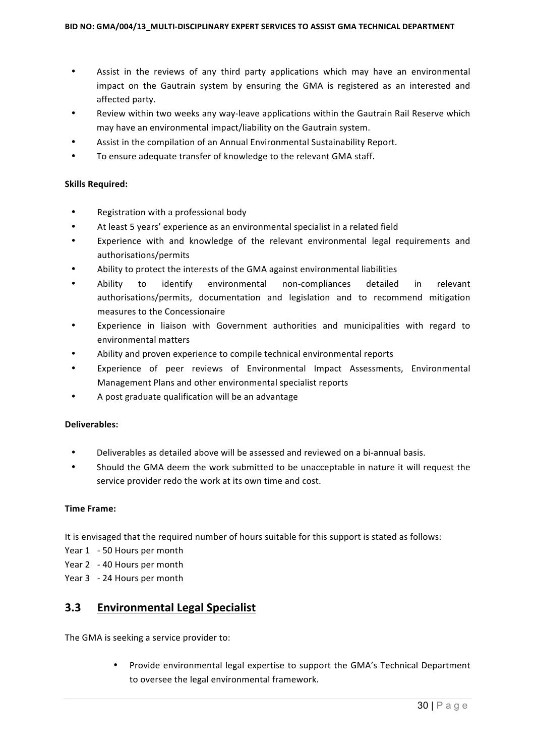- Assist in the reviews of any third party applications which may have an environmental impact on the Gautrain system by ensuring the GMA is registered as an interested and affected party.
- Review within two weeks any way-leave applications within the Gautrain Rail Reserve which may have an environmental impact/liability on the Gautrain system.
- Assist in the compilation of an Annual Environmental Sustainability Report.
- To ensure adequate transfer of knowledge to the relevant GMA staff.

#### **Skills Required:**

- Registration with a professional body
- At least 5 years' experience as an environmental specialist in a related field
- Experience with and knowledge of the relevant environmental legal requirements and authorisations/permits
- Ability to protect the interests of the GMA against environmental liabilities
- Ability to identify environmental non-compliances detailed in relevant authorisations/permits, documentation and legislation and to recommend mitigation measures to the Concessionaire
- Experience in liaison with Government authorities and municipalities with regard to environmental matters
- Ability and proven experience to compile technical environmental reports
- Experience of peer reviews of Environmental Impact Assessments, Environmental Management Plans and other environmental specialist reports
- A post graduate qualification will be an advantage

#### **Deliverables:**

- Deliverables as detailed above will be assessed and reviewed on a bi-annual basis.
- Should the GMA deem the work submitted to be unacceptable in nature it will request the service provider redo the work at its own time and cost.

#### **Time Frame:**

It is envisaged that the required number of hours suitable for this support is stated as follows:

- Year 1 50 Hours per month
- Year 2 40 Hours per month
- Year 3 24 Hours per month

#### **3.3 Environmental Legal Specialist**

The GMA is seeking a service provider to:

• Provide environmental legal expertise to support the GMA's Technical Department to oversee the legal environmental framework.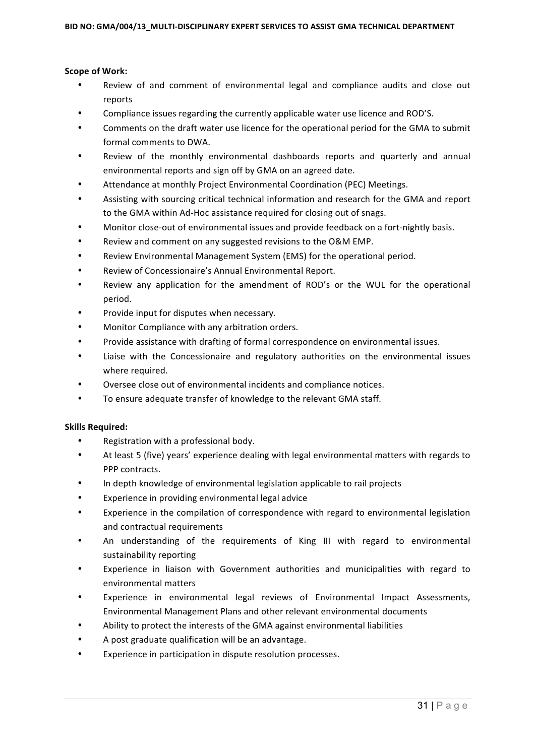#### **Scope of Work:**

- Review of and comment of environmental legal and compliance audits and close out reports
- Compliance issues regarding the currently applicable water use licence and ROD'S.
- Comments on the draft water use licence for the operational period for the GMA to submit formal comments to DWA.
- Review of the monthly environmental dashboards reports and quarterly and annual environmental reports and sign off by GMA on an agreed date.
- Attendance at monthly Project Environmental Coordination (PEC) Meetings.
- Assisting with sourcing critical technical information and research for the GMA and report to the GMA within Ad-Hoc assistance required for closing out of snags.
- Monitor close-out of environmental issues and provide feedback on a fort-nightly basis.
- Review and comment on any suggested revisions to the O&M EMP.
- Review Environmental Management System (EMS) for the operational period.
- Review of Concessionaire's Annual Environmental Report.
- Review any application for the amendment of ROD's or the WUL for the operational period.
- Provide input for disputes when necessary.
- Monitor Compliance with any arbitration orders.
- Provide assistance with drafting of formal correspondence on environmental issues.
- Liaise with the Concessionaire and regulatory authorities on the environmental issues where required.
- Oversee close out of environmental incidents and compliance notices.
- To ensure adequate transfer of knowledge to the relevant GMA staff.

#### **Skills Required:**

- Registration with a professional body.
- At least 5 (five) years' experience dealing with legal environmental matters with regards to PPP contracts.
- In depth knowledge of environmental legislation applicable to rail projects
- Experience in providing environmental legal advice
- Experience in the compilation of correspondence with regard to environmental legislation and contractual requirements
- An understanding of the requirements of King III with regard to environmental sustainability reporting
- Experience in liaison with Government authorities and municipalities with regard to environmental matters
- Experience in environmental legal reviews of Environmental Impact Assessments, Environmental Management Plans and other relevant environmental documents
- Ability to protect the interests of the GMA against environmental liabilities
- A post graduate qualification will be an advantage.
- Experience in participation in dispute resolution processes.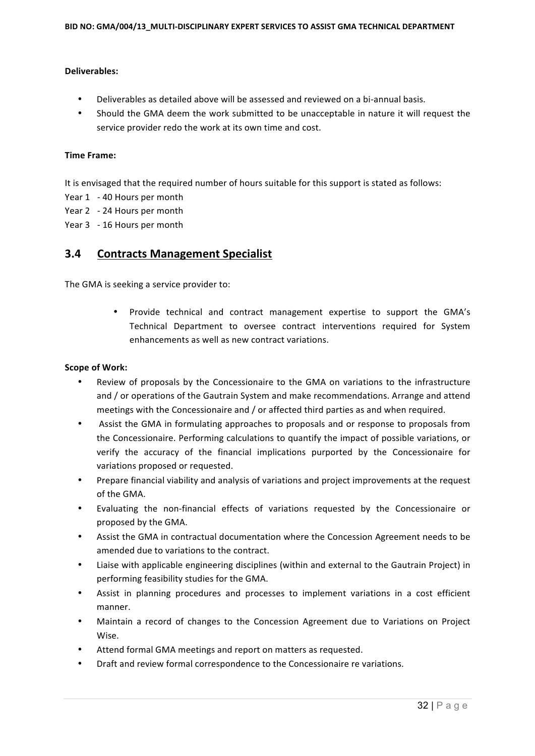#### **Deliverables:**

- Deliverables as detailed above will be assessed and reviewed on a bi-annual basis.
- Should the GMA deem the work submitted to be unacceptable in nature it will request the service provider redo the work at its own time and cost.

#### **Time Frame:**

It is envisaged that the required number of hours suitable for this support is stated as follows:

- Year 1 40 Hours per month
- Year 2 24 Hours per month
- Year 3 16 Hours per month

#### **3.4 Contracts Management Specialist**

The GMA is seeking a service provider to:

Provide technical and contract management expertise to support the GMA's Technical Department to oversee contract interventions required for System enhancements as well as new contract variations.

#### **Scope of Work:**

- Review of proposals by the Concessionaire to the GMA on variations to the infrastructure and / or operations of the Gautrain System and make recommendations. Arrange and attend meetings with the Concessionaire and / or affected third parties as and when required.
- Assist the GMA in formulating approaches to proposals and or response to proposals from the Concessionaire. Performing calculations to quantify the impact of possible variations, or verify the accuracy of the financial implications purported by the Concessionaire for variations proposed or requested.
- Prepare financial viability and analysis of variations and project improvements at the request of the GMA.
- Evaluating the non-financial effects of variations requested by the Concessionaire or proposed by the GMA.
- Assist the GMA in contractual documentation where the Concession Agreement needs to be amended due to variations to the contract.
- Liaise with applicable engineering disciplines (within and external to the Gautrain Project) in performing feasibility studies for the GMA.
- Assist in planning procedures and processes to implement variations in a cost efficient manner.
- Maintain a record of changes to the Concession Agreement due to Variations on Project Wise.
- Attend formal GMA meetings and report on matters as requested.
- Draft and review formal correspondence to the Concessionaire re variations.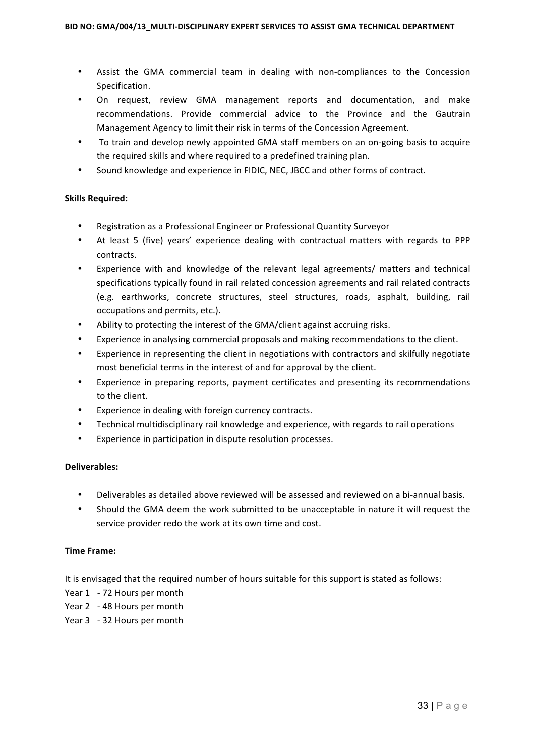- Assist the GMA commercial team in dealing with non-compliances to the Concession Specification.
- On request, review GMA management reports and documentation, and make recommendations. Provide commercial advice to the Province and the Gautrain Management Agency to limit their risk in terms of the Concession Agreement.
- To train and develop newly appointed GMA staff members on an on-going basis to acquire the required skills and where required to a predefined training plan.
- Sound knowledge and experience in FIDIC, NEC, JBCC and other forms of contract.

#### **Skills Required:**

- Registration as a Professional Engineer or Professional Quantity Surveyor
- At least 5 (five) years' experience dealing with contractual matters with regards to PPP contracts.
- Experience with and knowledge of the relevant legal agreements/ matters and technical specifications typically found in rail related concession agreements and rail related contracts (e.g. earthworks, concrete structures, steel structures, roads, asphalt, building, rail occupations and permits, etc.).
- Ability to protecting the interest of the GMA/client against accruing risks.
- Experience in analysing commercial proposals and making recommendations to the client.
- Experience in representing the client in negotiations with contractors and skilfully negotiate most beneficial terms in the interest of and for approval by the client.
- Experience in preparing reports, payment certificates and presenting its recommendations to the client.
- Experience in dealing with foreign currency contracts.
- Technical multidisciplinary rail knowledge and experience, with regards to rail operations
- Experience in participation in dispute resolution processes.

#### **Deliverables:**

- Deliverables as detailed above reviewed will be assessed and reviewed on a bi-annual basis.
- Should the GMA deem the work submitted to be unacceptable in nature it will request the service provider redo the work at its own time and cost.

#### **Time Frame:**

It is envisaged that the required number of hours suitable for this support is stated as follows:

- Year 1 72 Hours per month
- Year 2 48 Hours per month
- Year 3 32 Hours per month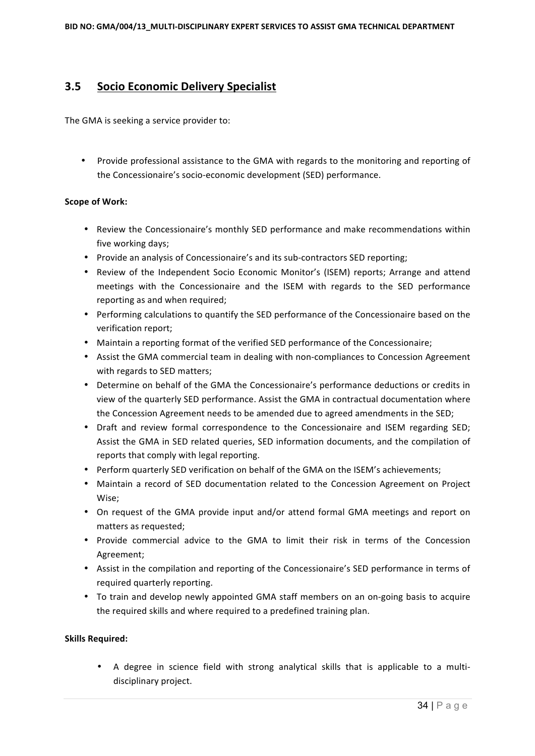## **3.5 Socio Economic Delivery Specialist**

The GMA is seeking a service provider to:

Provide professional assistance to the GMA with regards to the monitoring and reporting of the Concessionaire's socio-economic development (SED) performance.

#### **Scope of Work:**

- Review the Concessionaire's monthly SED performance and make recommendations within five working days;
- Provide an analysis of Concessionaire's and its sub-contractors SED reporting;
- Review of the Independent Socio Economic Monitor's (ISEM) reports; Arrange and attend meetings with the Concessionaire and the ISEM with regards to the SED performance reporting as and when required;
- Performing calculations to quantify the SED performance of the Concessionaire based on the verification report;
- Maintain a reporting format of the verified SED performance of the Concessionaire;
- Assist the GMA commercial team in dealing with non-compliances to Concession Agreement with regards to SED matters;
- Determine on behalf of the GMA the Concessionaire's performance deductions or credits in view of the quarterly SED performance. Assist the GMA in contractual documentation where the Concession Agreement needs to be amended due to agreed amendments in the SED;
- Draft and review formal correspondence to the Concessionaire and ISEM regarding SED; Assist the GMA in SED related queries, SED information documents, and the compilation of reports that comply with legal reporting.
- Perform quarterly SED verification on behalf of the GMA on the ISEM's achievements:
- Maintain a record of SED documentation related to the Concession Agreement on Project Wise;
- On request of the GMA provide input and/or attend formal GMA meetings and report on matters as requested:
- Provide commercial advice to the GMA to limit their risk in terms of the Concession Agreement;
- Assist in the compilation and reporting of the Concessionaire's SED performance in terms of required quarterly reporting.
- To train and develop newly appointed GMA staff members on an on-going basis to acquire the required skills and where required to a predefined training plan.

#### **Skills Required:**

A degree in science field with strong analytical skills that is applicable to a multidisciplinary project.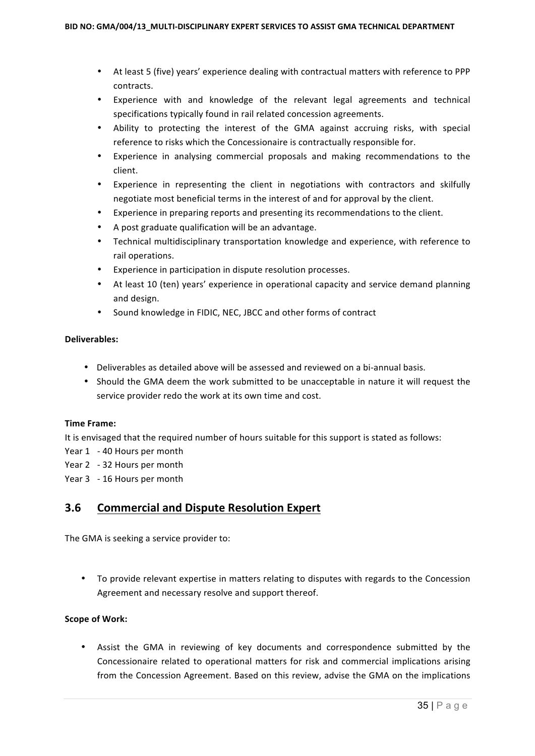- At least 5 (five) years' experience dealing with contractual matters with reference to PPP contracts.
- Experience with and knowledge of the relevant legal agreements and technical specifications typically found in rail related concession agreements.
- Ability to protecting the interest of the GMA against accruing risks, with special reference to risks which the Concessionaire is contractually responsible for.
- Experience in analysing commercial proposals and making recommendations to the client.
- Experience in representing the client in negotiations with contractors and skilfully negotiate most beneficial terms in the interest of and for approval by the client.
- Experience in preparing reports and presenting its recommendations to the client.
- A post graduate qualification will be an advantage.
- Technical multidisciplinary transportation knowledge and experience, with reference to rail operations.
- Experience in participation in dispute resolution processes.
- At least 10 (ten) years' experience in operational capacity and service demand planning and design.
- Sound knowledge in FIDIC, NEC, JBCC and other forms of contract

#### **Deliverables:**

- Deliverables as detailed above will be assessed and reviewed on a bi-annual basis.
- Should the GMA deem the work submitted to be unacceptable in nature it will request the service provider redo the work at its own time and cost.

#### **Time Frame:**

It is envisaged that the required number of hours suitable for this support is stated as follows:

- Year 1 40 Hours per month
- Year 2 32 Hours per month
- Year 3 16 Hours per month

## **3.6 Commercial and Dispute Resolution Expert**

The GMA is seeking a service provider to:

• To provide relevant expertise in matters relating to disputes with regards to the Concession Agreement and necessary resolve and support thereof.

#### **Scope of Work:**

• Assist the GMA in reviewing of key documents and correspondence submitted by the Concessionaire related to operational matters for risk and commercial implications arising from the Concession Agreement. Based on this review, advise the GMA on the implications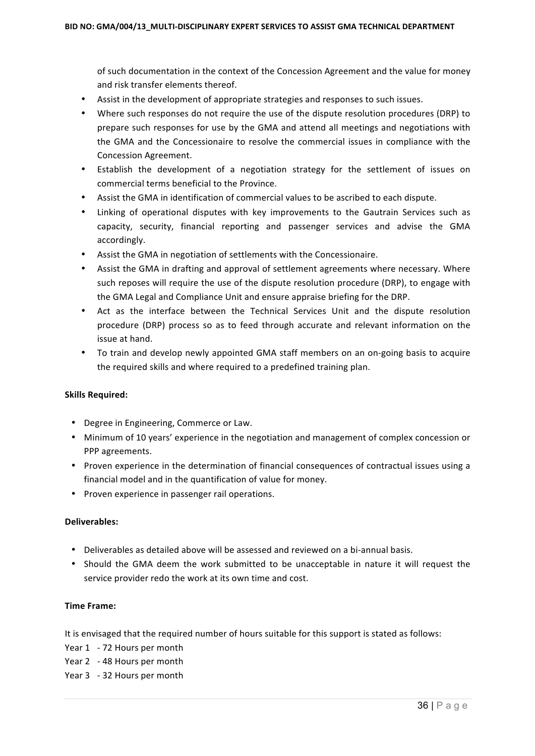of such documentation in the context of the Concession Agreement and the value for money and risk transfer elements thereof.

- Assist in the development of appropriate strategies and responses to such issues.
- Where such responses do not require the use of the dispute resolution procedures (DRP) to prepare such responses for use by the GMA and attend all meetings and negotiations with the GMA and the Concessionaire to resolve the commercial issues in compliance with the Concession Agreement.
- Establish the development of a negotiation strategy for the settlement of issues on commercial terms beneficial to the Province.
- Assist the GMA in identification of commercial values to be ascribed to each dispute.
- Linking of operational disputes with key improvements to the Gautrain Services such as capacity, security, financial reporting and passenger services and advise the GMA accordingly.
- Assist the GMA in negotiation of settlements with the Concessionaire.
- Assist the GMA in drafting and approval of settlement agreements where necessary. Where such reposes will require the use of the dispute resolution procedure (DRP), to engage with the GMA Legal and Compliance Unit and ensure appraise briefing for the DRP.
- Act as the interface between the Technical Services Unit and the dispute resolution procedure (DRP) process so as to feed through accurate and relevant information on the issue at hand.
- To train and develop newly appointed GMA staff members on an on-going basis to acquire the required skills and where required to a predefined training plan.

#### **Skills Required:**

- Degree in Engineering, Commerce or Law.
- Minimum of 10 years' experience in the negotiation and management of complex concession or PPP agreements.
- Proven experience in the determination of financial consequences of contractual issues using a financial model and in the quantification of value for money.
- Proven experience in passenger rail operations.

#### **Deliverables:**

- Deliverables as detailed above will be assessed and reviewed on a bi-annual basis.
- Should the GMA deem the work submitted to be unacceptable in nature it will request the service provider redo the work at its own time and cost.

#### **Time Frame:**

It is envisaged that the required number of hours suitable for this support is stated as follows:

- Year 1 72 Hours per month
- Year 2 48 Hours per month
- Year 3 32 Hours per month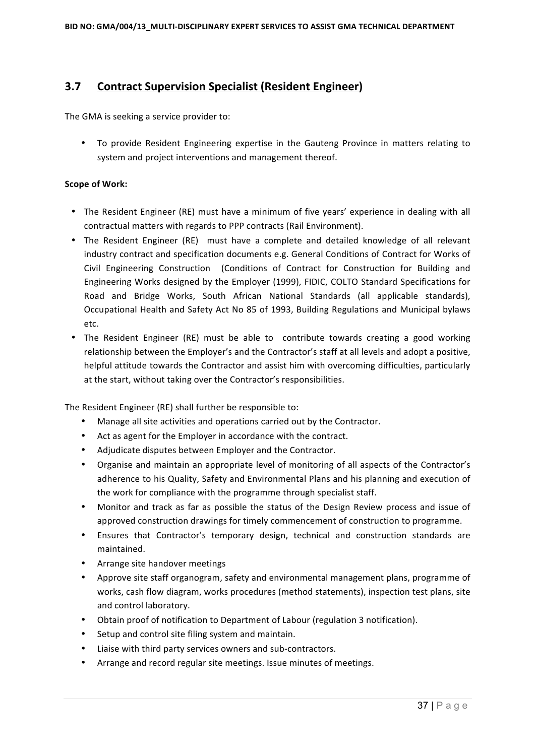# **3.7 Contract Supervision Specialist (Resident Engineer)**

The GMA is seeking a service provider to:

• To provide Resident Engineering expertise in the Gauteng Province in matters relating to system and project interventions and management thereof.

### **Scope of Work:**

- The Resident Engineer (RE) must have a minimum of five years' experience in dealing with all contractual matters with regards to PPP contracts (Rail Environment).
- The Resident Engineer (RE) must have a complete and detailed knowledge of all relevant industry contract and specification documents e.g. General Conditions of Contract for Works of Civil Engineering Construction (Conditions of Contract for Construction for Building and Engineering Works designed by the Employer (1999), FIDIC, COLTO Standard Specifications for Road and Bridge Works, South African National Standards (all applicable standards), Occupational Health and Safety Act No 85 of 1993, Building Regulations and Municipal bylaws etc.
- The Resident Engineer (RE) must be able to contribute towards creating a good working relationship between the Employer's and the Contractor's staff at all levels and adopt a positive, helpful attitude towards the Contractor and assist him with overcoming difficulties, particularly at the start, without taking over the Contractor's responsibilities.

The Resident Engineer (RE) shall further be responsible to:

- Manage all site activities and operations carried out by the Contractor.
- Act as agent for the Employer in accordance with the contract.
- Adjudicate disputes between Employer and the Contractor.
- Organise and maintain an appropriate level of monitoring of all aspects of the Contractor's adherence to his Quality, Safety and Environmental Plans and his planning and execution of the work for compliance with the programme through specialist staff.
- Monitor and track as far as possible the status of the Design Review process and issue of approved construction drawings for timely commencement of construction to programme.
- Ensures that Contractor's temporary design, technical and construction standards are maintained.
- Arrange site handover meetings
- Approve site staff organogram, safety and environmental management plans, programme of works, cash flow diagram, works procedures (method statements), inspection test plans, site and control laboratory.
- Obtain proof of notification to Department of Labour (regulation 3 notification).
- Setup and control site filing system and maintain.
- Liaise with third party services owners and sub-contractors.
- Arrange and record regular site meetings. Issue minutes of meetings.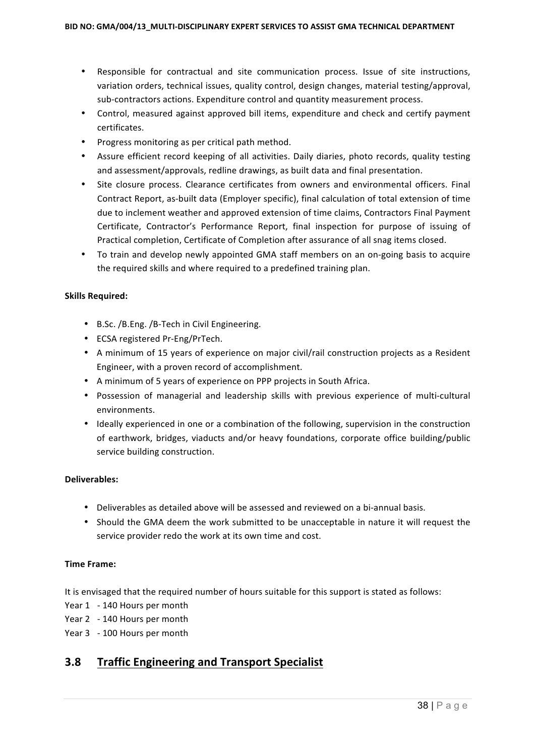- Responsible for contractual and site communication process. Issue of site instructions, variation orders, technical issues, quality control, design changes, material testing/approval, sub-contractors actions. Expenditure control and quantity measurement process.
- Control, measured against approved bill items, expenditure and check and certify payment certificates.
- Progress monitoring as per critical path method.
- Assure efficient record keeping of all activities. Daily diaries, photo records, quality testing and assessment/approvals, redline drawings, as built data and final presentation.
- Site closure process. Clearance certificates from owners and environmental officers. Final Contract Report, as-built data (Employer specific), final calculation of total extension of time due to inclement weather and approved extension of time claims, Contractors Final Payment Certificate, Contractor's Performance Report, final inspection for purpose of issuing of Practical completion, Certificate of Completion after assurance of all snag items closed.
- To train and develop newly appointed GMA staff members on an on-going basis to acquire the required skills and where required to a predefined training plan.

### **Skills Required:**

- B.Sc. / B.Eng. / B-Tech in Civil Engineering.
- ECSA registered Pr-Eng/PrTech.
- A minimum of 15 years of experience on major civil/rail construction projects as a Resident Engineer, with a proven record of accomplishment.
- A minimum of 5 years of experience on PPP projects in South Africa.
- Possession of managerial and leadership skills with previous experience of multi-cultural environments.
- Ideally experienced in one or a combination of the following, supervision in the construction of earthwork, bridges, viaducts and/or heavy foundations, corporate office building/public service building construction.

### **Deliverables:**

- Deliverables as detailed above will be assessed and reviewed on a bi-annual basis.
- Should the GMA deem the work submitted to be unacceptable in nature it will request the service provider redo the work at its own time and cost.

### **Time Frame:**

It is envisaged that the required number of hours suitable for this support is stated as follows:

- Year 1 140 Hours per month
- Year 2 140 Hours per month
- Year 3 100 Hours per month

# **3.8** Traffic Engineering and Transport Specialist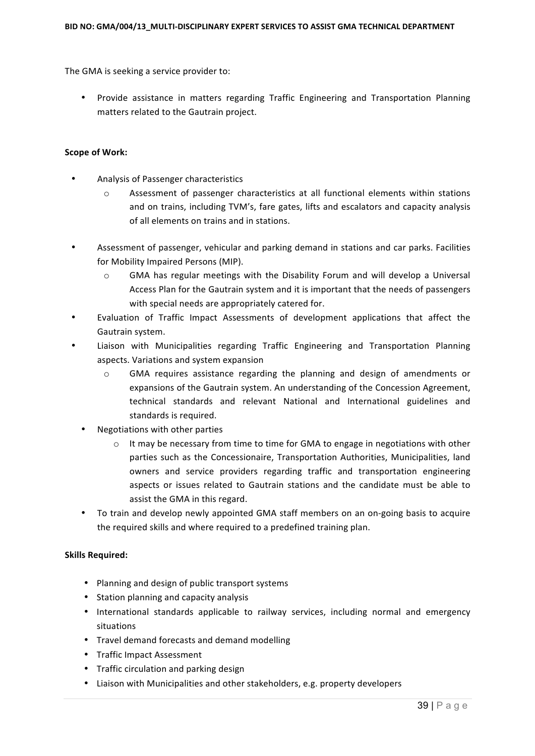The GMA is seeking a service provider to:

• Provide assistance in matters regarding Traffic Engineering and Transportation Planning matters related to the Gautrain project.

#### **Scope of Work:**

- Analysis of Passenger characteristics
	- $\circ$  Assessment of passenger characteristics at all functional elements within stations and on trains, including TVM's, fare gates, lifts and escalators and capacity analysis of all elements on trains and in stations.
- Assessment of passenger, vehicular and parking demand in stations and car parks. Facilities for Mobility Impaired Persons (MIP).
	- $\circ$  GMA has regular meetings with the Disability Forum and will develop a Universal Access Plan for the Gautrain system and it is important that the needs of passengers with special needs are appropriately catered for.
- Evaluation of Traffic Impact Assessments of development applications that affect the Gautrain system.
- Liaison with Municipalities regarding Traffic Engineering and Transportation Planning aspects. Variations and system expansion
	- $\circ$  GMA requires assistance regarding the planning and design of amendments or expansions of the Gautrain system. An understanding of the Concession Agreement, technical standards and relevant National and International guidelines and standards is required.
	- Negotiations with other parties
		- $\circ$  It may be necessary from time to time for GMA to engage in negotiations with other parties such as the Concessionaire, Transportation Authorities, Municipalities, land owners and service providers regarding traffic and transportation engineering aspects or issues related to Gautrain stations and the candidate must be able to assist the GMA in this regard.
	- To train and develop newly appointed GMA staff members on an on-going basis to acquire the required skills and where required to a predefined training plan.

### **Skills Required:**

- Planning and design of public transport systems
- Station planning and capacity analysis
- International standards applicable to railway services, including normal and emergency situations
- Travel demand forecasts and demand modelling
- Traffic Impact Assessment
- Traffic circulation and parking design
- Liaison with Municipalities and other stakeholders, e.g. property developers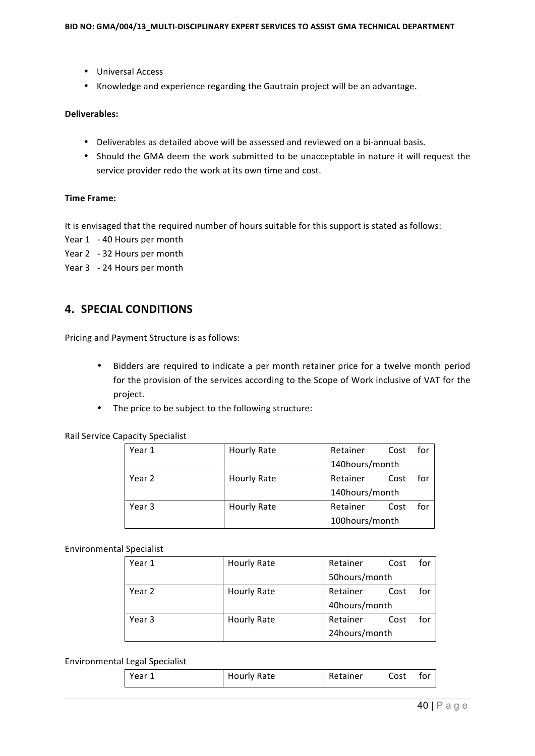- Universal Access
- Knowledge and experience regarding the Gautrain project will be an advantage.

### **Deliverables:**

- Deliverables as detailed above will be assessed and reviewed on a bi-annual basis.
- Should the GMA deem the work submitted to be unacceptable in nature it will request the service provider redo the work at its own time and cost.

### **Time Frame:**

It is envisaged that the required number of hours suitable for this support is stated as follows:

- Year 1 40 Hours per month
- Year 2 32 Hours per month
- Year 3 24 Hours per month

# **4. SPECIAL CONDITIONS**

Pricing and Payment Structure is as follows:

- Bidders are required to indicate a per month retainer price for a twelve month period for the provision of the services according to the Scope of Work inclusive of VAT for the project.
- The price to be subject to the following structure:

Rail Service Capacity Specialist

| Year 1 | Hourly Rate | Retainer       | Cost | for |
|--------|-------------|----------------|------|-----|
|        |             | 140hours/month |      |     |
| Year 2 | Hourly Rate | Retainer       | Cost | for |
|        |             | 140hours/month |      |     |
| Year 3 | Hourly Rate | Retainer       | Cost | for |
|        |             | 100hours/month |      |     |

### Environmental Specialist

| Year 1 | Hourly Rate | Retainer      | Cost | for |
|--------|-------------|---------------|------|-----|
|        |             | 50hours/month |      |     |
| Year 2 | Hourly Rate | Retainer      | Cost | for |
|        |             | 40hours/month |      |     |
| Year 3 | Hourly Rate | Retainer      | Cost | for |
|        |             | 24hours/month |      |     |

#### Environmental Legal Specialist

|  | Year | <b>Hourly Rate</b> | Retainer | Cost | tor |
|--|------|--------------------|----------|------|-----|
|--|------|--------------------|----------|------|-----|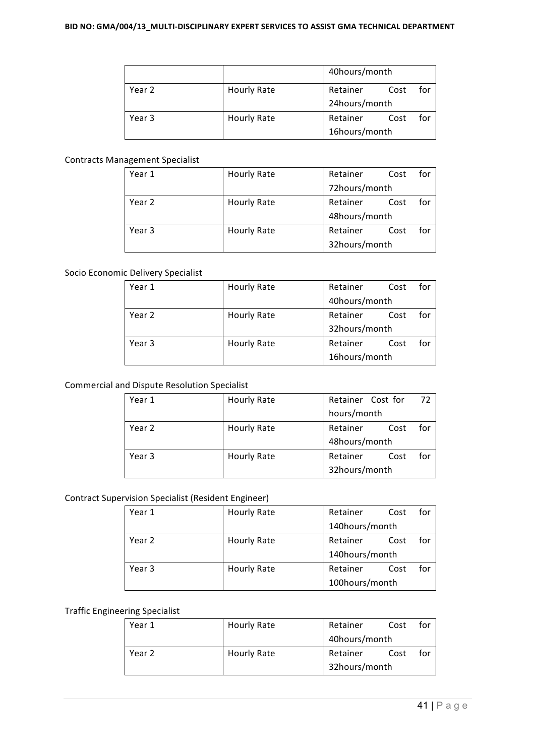|        |                    | 40hours/month |      |     |
|--------|--------------------|---------------|------|-----|
| Year 2 | <b>Hourly Rate</b> | Retainer      | Cost | for |
|        |                    | 24hours/month |      |     |
| Year 3 | <b>Hourly Rate</b> | Retainer      | Cost | for |
|        |                    | 16hours/month |      |     |

### Contracts Management Specialist

| Year 1 | Hourly Rate | Retainer      | Cost | for |
|--------|-------------|---------------|------|-----|
|        |             | 72hours/month |      |     |
| Year 2 | Hourly Rate | Retainer      | Cost | for |
|        |             | 48hours/month |      |     |
| Year 3 | Hourly Rate | Retainer      | Cost | for |
|        |             | 32hours/month |      |     |

### Socio Economic Delivery Specialist

| Year 1 | Hourly Rate | Retainer<br>Cost | for |
|--------|-------------|------------------|-----|
|        |             | 40hours/month    |     |
| Year 2 | Hourly Rate | Retainer<br>Cost | for |
|        |             | 32hours/month    |     |
| Year 3 | Hourly Rate | Retainer<br>Cost | for |
|        |             | 16hours/month    |     |

### Commercial and Dispute Resolution Specialist

| Year 1 | Hourly Rate | Retainer Cost for<br>72 |
|--------|-------------|-------------------------|
|        |             | hours/month             |
| Year 2 | Hourly Rate | for<br>Retainer<br>Cost |
|        |             | 48hours/month           |
| Year 3 | Hourly Rate | for<br>Retainer<br>Cost |
|        |             | 32hours/month           |

### Contract Supervision Specialist (Resident Engineer)

| Year 1 | Hourly Rate | Retainer       | Cost | for |
|--------|-------------|----------------|------|-----|
|        |             | 140hours/month |      |     |
| Year 2 | Hourly Rate | Retainer       | Cost | for |
|        |             | 140hours/month |      |     |
| Year 3 | Hourly Rate | Retainer       | Cost | for |
|        |             | 100hours/month |      |     |

#### Traffic Engineering Specialist

| Year 1 | Hourly Rate | Retainer      | Cost | for |
|--------|-------------|---------------|------|-----|
|        |             | 40hours/month |      |     |
| Year 2 | Hourly Rate | Retainer      | Cost | for |
|        |             | 32hours/month |      |     |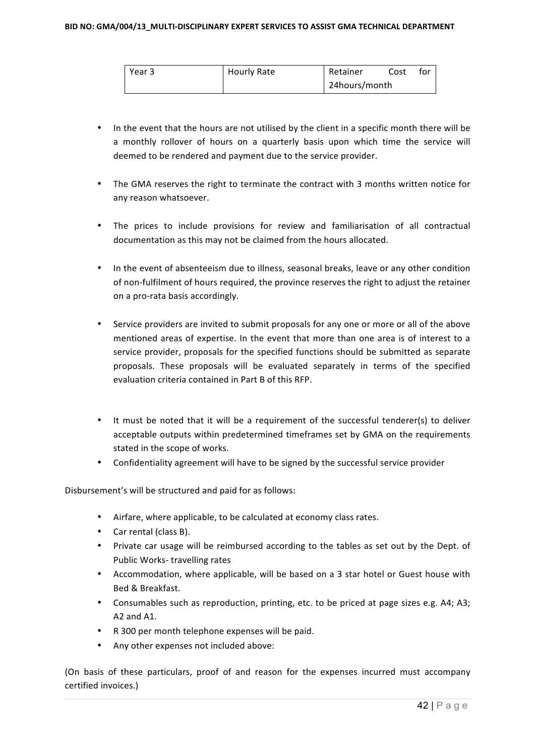| Year 3 | Hourly Rate | Retainer      | Cost | tor |
|--------|-------------|---------------|------|-----|
|        |             | 24hours/month |      |     |

- In the event that the hours are not utilised by the client in a specific month there will be a monthly rollover of hours on a quarterly basis upon which time the service will deemed to be rendered and payment due to the service provider.
- The GMA reserves the right to terminate the contract with 3 months written notice for any reason whatsoever.
- The prices to include provisions for review and familiarisation of all contractual documentation as this may not be claimed from the hours allocated.
- In the event of absenteeism due to illness, seasonal breaks, leave or any other condition of non-fulfilment of hours required, the province reserves the right to adjust the retainer on a pro-rata basis accordingly.
- Service providers are invited to submit proposals for any one or more or all of the above mentioned areas of expertise. In the event that more than one area is of interest to a service provider, proposals for the specified functions should be submitted as separate proposals. These proposals will be evaluated separately in terms of the specified evaluation criteria contained in Part B of this RFP.
- It must be noted that it will be a requirement of the successful tenderer(s) to deliver acceptable outputs within predetermined timeframes set by GMA on the requirements stated in the scope of works.
- Confidentiality agreement will have to be signed by the successful service provider

Disbursement's will be structured and paid for as follows:

- Airfare, where applicable, to be calculated at economy class rates.
- Car rental (class B).
- Private car usage will be reimbursed according to the tables as set out by the Dept. of Public Works- travelling rates
- Accommodation, where applicable, will be based on a 3 star hotel or Guest house with Bed & Breakfast.
- Consumables such as reproduction, printing, etc. to be priced at page sizes e.g. A4; A3; A<sub>2</sub> and A<sub>1</sub>.
- R 300 per month telephone expenses will be paid.
- Any other expenses not included above:

(On basis of these particulars, proof of and reason for the expenses incurred must accompany certified invoices.)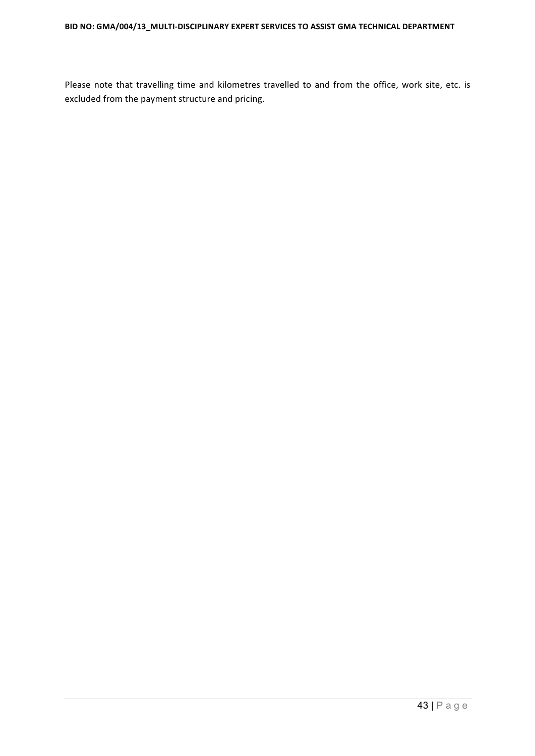Please note that travelling time and kilometres travelled to and from the office, work site, etc. is excluded from the payment structure and pricing.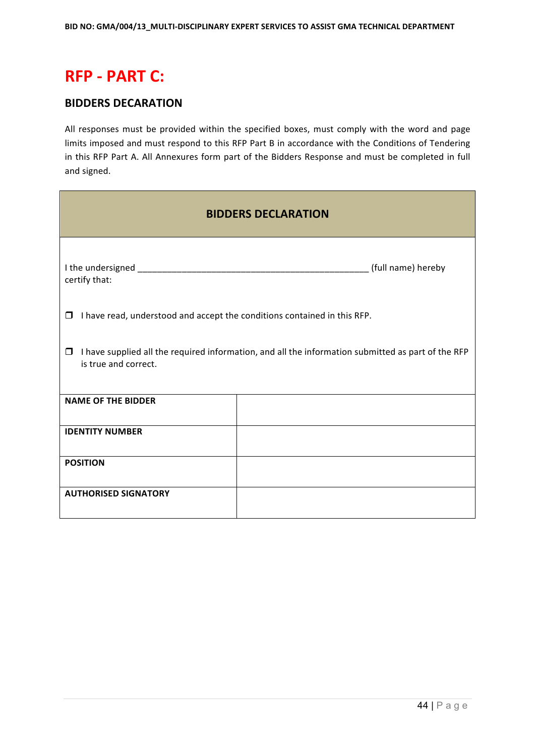# **RFP - PART C:**

# **BIDDERS DECARATION**

All responses must be provided within the specified boxes, must comply with the word and page limits imposed and must respond to this RFP Part B in accordance with the Conditions of Tendering in this RFP Part A. All Annexures form part of the Bidders Response and must be completed in full and signed.

| <b>BIDDERS DECLARATION</b>                                                         |                                                                                                    |  |  |  |  |
|------------------------------------------------------------------------------------|----------------------------------------------------------------------------------------------------|--|--|--|--|
| certify that:                                                                      |                                                                                                    |  |  |  |  |
| I have read, understood and accept the conditions contained in this RFP.<br>$\Box$ |                                                                                                    |  |  |  |  |
| □<br>is true and correct.                                                          | I have supplied all the required information, and all the information submitted as part of the RFP |  |  |  |  |
| <b>NAME OF THE BIDDER</b>                                                          |                                                                                                    |  |  |  |  |
| <b>IDENTITY NUMBER</b>                                                             |                                                                                                    |  |  |  |  |
| <b>POSITION</b>                                                                    |                                                                                                    |  |  |  |  |
| <b>AUTHORISED SIGNATORY</b>                                                        |                                                                                                    |  |  |  |  |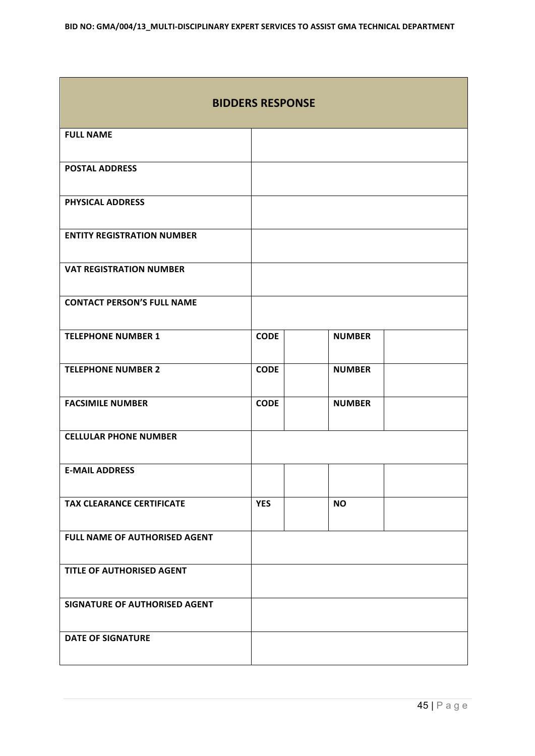$\overline{\phantom{a}}$ 

| <b>BIDDERS RESPONSE</b>           |             |               |  |  |  |
|-----------------------------------|-------------|---------------|--|--|--|
| <b>FULL NAME</b>                  |             |               |  |  |  |
| <b>POSTAL ADDRESS</b>             |             |               |  |  |  |
| <b>PHYSICAL ADDRESS</b>           |             |               |  |  |  |
| <b>ENTITY REGISTRATION NUMBER</b> |             |               |  |  |  |
| <b>VAT REGISTRATION NUMBER</b>    |             |               |  |  |  |
| <b>CONTACT PERSON'S FULL NAME</b> |             |               |  |  |  |
| <b>TELEPHONE NUMBER 1</b>         | <b>CODE</b> | <b>NUMBER</b> |  |  |  |
| <b>TELEPHONE NUMBER 2</b>         | <b>CODE</b> | <b>NUMBER</b> |  |  |  |
| <b>FACSIMILE NUMBER</b>           | <b>CODE</b> | <b>NUMBER</b> |  |  |  |
| <b>CELLULAR PHONE NUMBER</b>      |             |               |  |  |  |
| <b>E-MAIL ADDRESS</b>             |             |               |  |  |  |
| <b>TAX CLEARANCE CERTIFICATE</b>  | <b>YES</b>  | <b>NO</b>     |  |  |  |
| FULL NAME OF AUTHORISED AGENT     |             |               |  |  |  |
| TITLE OF AUTHORISED AGENT         |             |               |  |  |  |
| SIGNATURE OF AUTHORISED AGENT     |             |               |  |  |  |
| <b>DATE OF SIGNATURE</b>          |             |               |  |  |  |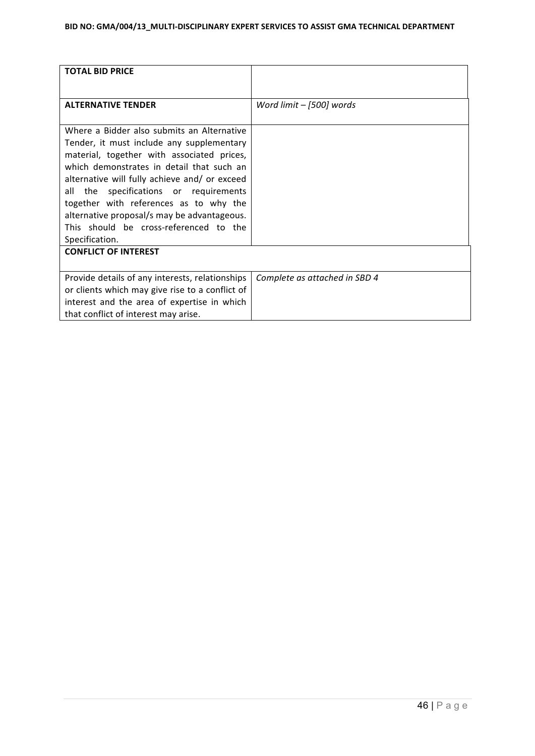| <b>TOTAL BID PRICE</b>                                                                 |                               |
|----------------------------------------------------------------------------------------|-------------------------------|
|                                                                                        |                               |
| <b>ALTERNATIVE TENDER</b>                                                              | Word limit $-$ [500] words    |
|                                                                                        |                               |
| Where a Bidder also submits an Alternative                                             |                               |
| Tender, it must include any supplementary                                              |                               |
| material, together with associated prices,                                             |                               |
| which demonstrates in detail that such an                                              |                               |
| alternative will fully achieve and/ or exceed                                          |                               |
| specifications or requirements<br>all<br>the<br>together with references as to why the |                               |
| alternative proposal/s may be advantageous.                                            |                               |
| This should be cross-referenced to the                                                 |                               |
| Specification.                                                                         |                               |
| <b>CONFLICT OF INTEREST</b>                                                            |                               |
|                                                                                        |                               |
| Provide details of any interests, relationships                                        | Complete as attached in SBD 4 |
| or clients which may give rise to a conflict of                                        |                               |
| interest and the area of expertise in which                                            |                               |
| that conflict of interest may arise.                                                   |                               |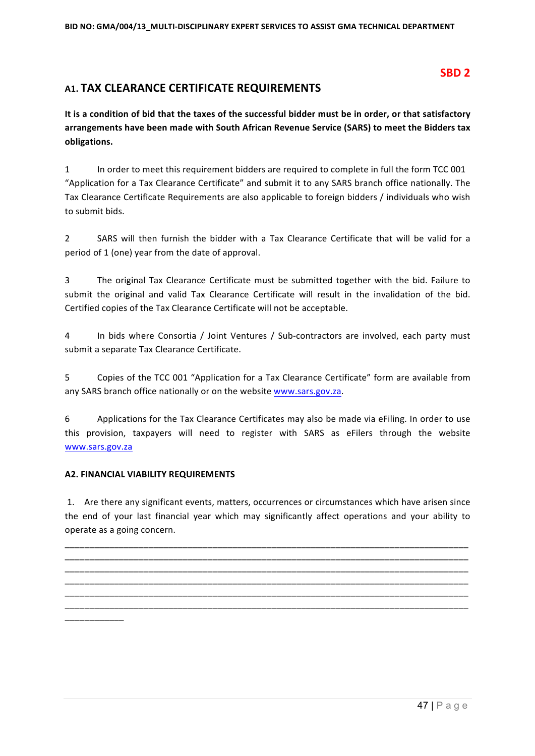# **SBD 2**

# A1. TAX CLEARANCE CERTIFICATE REQUIREMENTS

It is a condition of bid that the taxes of the successful bidder must be in order, or that satisfactory arrangements have been made with South African Revenue Service (SARS) to meet the Bidders tax **obligations.**

1 In order to meet this requirement bidders are required to complete in full the form TCC 001 "Application for a Tax Clearance Certificate" and submit it to any SARS branch office nationally. The Tax Clearance Certificate Requirements are also applicable to foreign bidders / individuals who wish to submit bids.

2 SARS will then furnish the bidder with a Tax Clearance Certificate that will be valid for a period of 1 (one) year from the date of approval.

3 The original Tax Clearance Certificate must be submitted together with the bid. Failure to submit the original and valid Tax Clearance Certificate will result in the invalidation of the bid. Certified copies of the Tax Clearance Certificate will not be acceptable.

4 In bids where Consortia / Joint Ventures / Sub-contractors are involved, each party must submit a separate Tax Clearance Certificate.

5 Copies of the TCC 001 "Application for a Tax Clearance Certificate" form are available from any SARS branch office nationally or on the website www.sars.gov.za.

6 Applications for the Tax Clearance Certificates may also be made via eFiling. In order to use this provision, taxpayers will need to register with SARS as eFilers through the website www.sars.gov.za

### **A2. FINANCIAL VIABILITY REQUIREMENTS**

1. Are there any significant events, matters, occurrences or circumstances which have arisen since the end of your last financial year which may significantly affect operations and your ability to operate as a going concern.

\_\_\_\_\_\_\_\_\_\_\_\_\_\_\_\_\_\_\_\_\_\_\_\_\_\_\_\_\_\_\_\_\_\_\_\_\_\_\_\_\_\_\_\_\_\_\_\_\_\_\_\_\_\_\_\_\_\_\_\_\_\_\_\_\_\_\_\_\_\_\_\_\_\_\_\_\_\_\_\_\_\_ \_\_\_\_\_\_\_\_\_\_\_\_\_\_\_\_\_\_\_\_\_\_\_\_\_\_\_\_\_\_\_\_\_\_\_\_\_\_\_\_\_\_\_\_\_\_\_\_\_\_\_\_\_\_\_\_\_\_\_\_\_\_\_\_\_\_\_\_\_\_\_\_\_\_\_\_\_\_\_\_\_\_

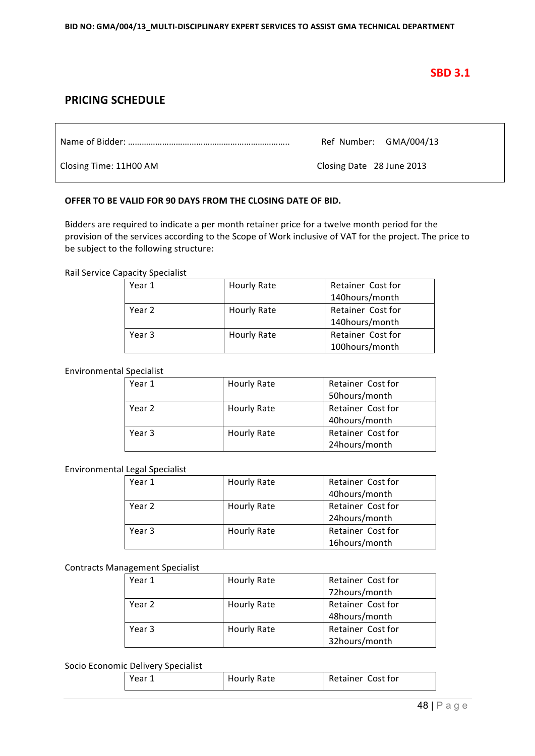# **SBD 3.1**

# **PRICING SCHEDULE**

Name of Bidder: …………………………………………………………….. Ref Number: GMA/004/13

Closing Time: 11H00 AM Closing Date 28 June 2013

### **OFFER TO BE VALID FOR 90 DAYS FROM THE CLOSING DATE OF BID.**

Bidders are required to indicate a per month retainer price for a twelve month period for the provision of the services according to the Scope of Work inclusive of VAT for the project. The price to be subject to the following structure:

Rail Service Capacity Specialist

| Year 1 | Hourly Rate | Retainer Cost for |  |
|--------|-------------|-------------------|--|
|        |             | 140hours/month    |  |
| Year 2 | Hourly Rate | Retainer Cost for |  |
|        |             | 140hours/month    |  |
| Year 3 | Hourly Rate | Retainer Cost for |  |
|        |             | 100hours/month    |  |

#### Environmental Specialist

| Year 1 | Hourly Rate | Retainer Cost for |  |
|--------|-------------|-------------------|--|
|        |             | 50hours/month     |  |
| Year 2 | Hourly Rate | Retainer Cost for |  |
|        |             | 40hours/month     |  |
| Year 3 | Hourly Rate | Retainer Cost for |  |
|        |             | 24hours/month     |  |

#### Environmental Legal Specialist

| Year 1 | <b>Hourly Rate</b> | Retainer Cost for |  |
|--------|--------------------|-------------------|--|
|        |                    | 40hours/month     |  |
| Year 2 | <b>Hourly Rate</b> | Retainer Cost for |  |
|        |                    | 24hours/month     |  |
| Year 3 | <b>Hourly Rate</b> | Retainer Cost for |  |
|        |                    | 16hours/month     |  |

#### Contracts Management Specialist

| Year 1 | <b>Hourly Rate</b> | Retainer Cost for |  |
|--------|--------------------|-------------------|--|
|        |                    | 72hours/month     |  |
| Year 2 | <b>Hourly Rate</b> | Retainer Cost for |  |
|        |                    | 48hours/month     |  |
| Year 3 | Hourly Rate        | Retainer Cost for |  |
|        |                    | 32hours/month     |  |

#### Socio Economic Delivery Specialist

| Year | Hourly Rate | Retainer Cost for |
|------|-------------|-------------------|
|------|-------------|-------------------|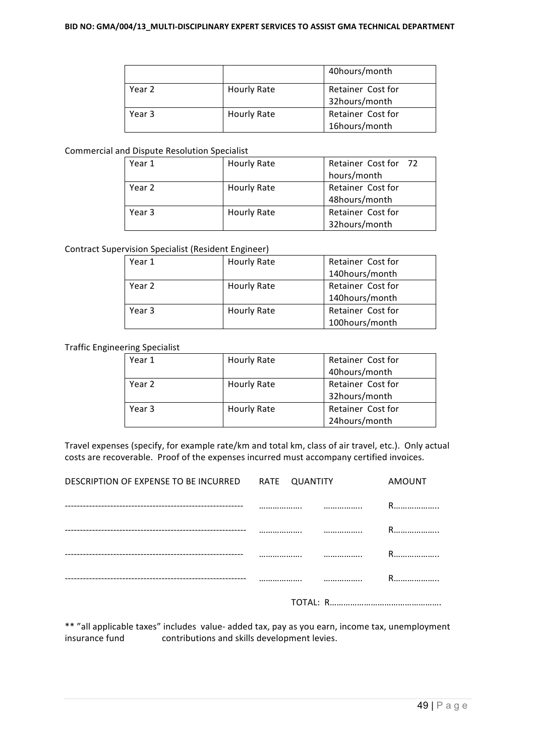|        |             | 40hours/month                      |
|--------|-------------|------------------------------------|
| Year 2 | Hourly Rate | Retainer Cost for<br>32hours/month |
| Year 3 | Hourly Rate | Retainer Cost for<br>16hours/month |

### Commercial and Dispute Resolution Specialist

| Year 1 | Hourly Rate | Retainer Cost for 72 |  |  |
|--------|-------------|----------------------|--|--|
|        |             | hours/month          |  |  |
| Year 2 | Hourly Rate | Retainer Cost for    |  |  |
|        |             | 48hours/month        |  |  |
| Year 3 | Hourly Rate | Retainer Cost for    |  |  |
|        |             | 32hours/month        |  |  |

### Contract Supervision Specialist (Resident Engineer)

| Year 1 | <b>Hourly Rate</b> | Retainer Cost for |  |
|--------|--------------------|-------------------|--|
|        |                    | 140hours/month    |  |
| Year 2 | <b>Hourly Rate</b> | Retainer Cost for |  |
|        |                    | 140hours/month    |  |
| Year 3 | <b>Hourly Rate</b> | Retainer Cost for |  |
|        |                    | 100hours/month    |  |

### Traffic Engineering Specialist

| Year 1 | Hourly Rate | Retainer Cost for |
|--------|-------------|-------------------|
|        |             | 40hours/month     |
| Year 2 | Hourly Rate | Retainer Cost for |
|        |             | 32hours/month     |
| Year 3 | Hourly Rate | Retainer Cost for |
|        |             | 24hours/month     |

Travel expenses (specify, for example rate/km and total km, class of air travel, etc.). Only actual costs are recoverable. Proof of the expenses incurred must accompany certified invoices.

|                                                     | ------ |               |
|-----------------------------------------------------|--------|---------------|
|                                                     |        | R             |
|                                                     |        | <br>R         |
|                                                     |        | <br>R         |
|                                                     |        | R.            |
| DESCRIPTION OF EXPENSE TO BE INCURRED RATE QUANTITY |        | <b>AMOUNT</b> |
|                                                     |        |               |

TOTAL: R…………………………………………

\*\* "all applicable taxes" includes value- added tax, pay as you earn, income tax, unemployment insurance fund contributions and skills development levies.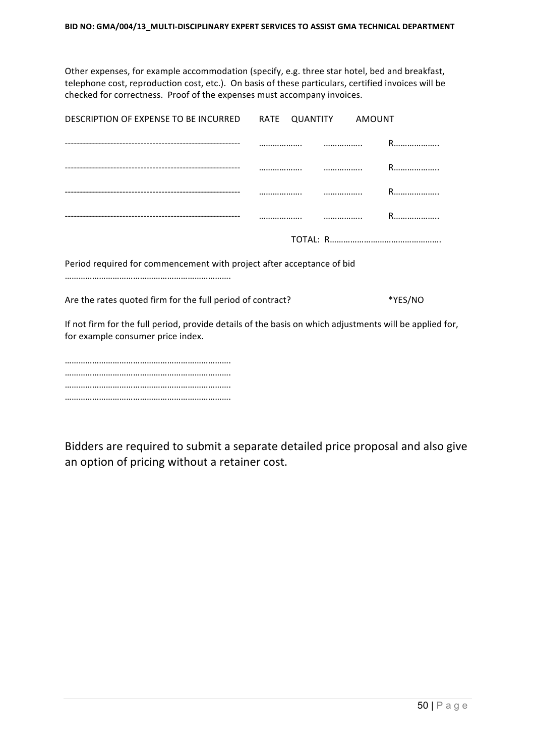Other expenses, for example accommodation (specify, e.g. three star hotel, bed and breakfast, telephone cost, reproduction cost, etc.). On basis of these particulars, certified invoices will be checked for correctness. Proof of the expenses must accompany invoices.

| DESCRIPTION OF EXPENSE TO BE INCURRED                                                                                                        | RATE<br>QUANTITY | AMOUNT |         |
|----------------------------------------------------------------------------------------------------------------------------------------------|------------------|--------|---------|
|                                                                                                                                              |                  |        | R       |
|                                                                                                                                              |                  |        | R       |
|                                                                                                                                              |                  |        | R       |
|                                                                                                                                              |                  |        | R       |
|                                                                                                                                              |                  |        |         |
| Period required for commencement with project after acceptance of bid                                                                        |                  |        |         |
|                                                                                                                                              |                  |        |         |
| Are the rates quoted firm for the full period of contract?                                                                                   |                  |        | *YES/NO |
| If not firm for the full period, provide details of the basis on which adjustments will be applied for,<br>for example consumer price index. |                  |        |         |

………………………………………………………………. ………………………………………………………………. ………………………………………………………………. ……………………………………………………………….

Bidders are required to submit a separate detailed price proposal and also give an option of pricing without a retainer cost.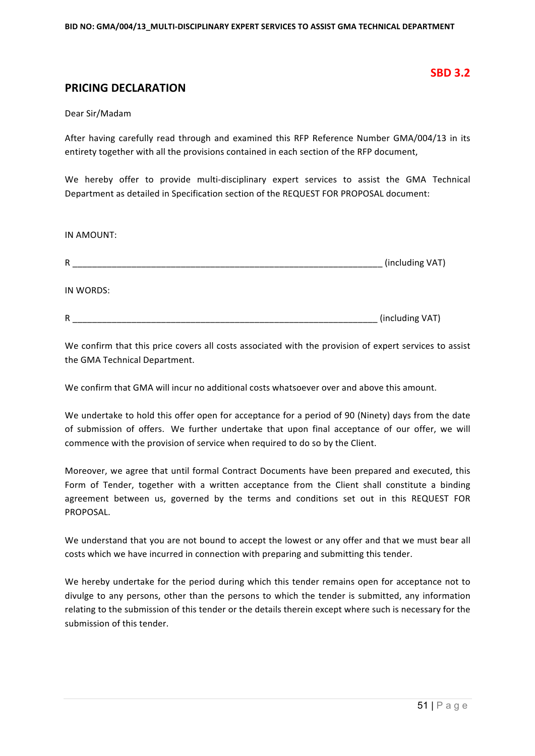### **SBD 3.2**

## **PRICING DECLARATION**

#### Dear Sir/Madam

After having carefully read through and examined this RFP Reference Number GMA/004/13 in its entirety together with all the provisions contained in each section of the RFP document,

We hereby offer to provide multi-disciplinary expert services to assist the GMA Technical Department as detailed in Specification section of the REQUEST FOR PROPOSAL document:

IN AMOUNT:

| R         | (including VAT) |
|-----------|-----------------|
| IN WORDS: |                 |
| R         | (including VAT) |

We confirm that this price covers all costs associated with the provision of expert services to assist the GMA Technical Department.

We confirm that GMA will incur no additional costs whatsoever over and above this amount.

We undertake to hold this offer open for acceptance for a period of 90 (Ninety) days from the date of submission of offers. We further undertake that upon final acceptance of our offer, we will commence with the provision of service when required to do so by the Client.

Moreover, we agree that until formal Contract Documents have been prepared and executed, this Form of Tender, together with a written acceptance from the Client shall constitute a binding agreement between us, governed by the terms and conditions set out in this REQUEST FOR PROPOSAL.

We understand that you are not bound to accept the lowest or any offer and that we must bear all costs which we have incurred in connection with preparing and submitting this tender.

We hereby undertake for the period during which this tender remains open for acceptance not to divulge to any persons, other than the persons to which the tender is submitted, any information relating to the submission of this tender or the details therein except where such is necessary for the submission of this tender.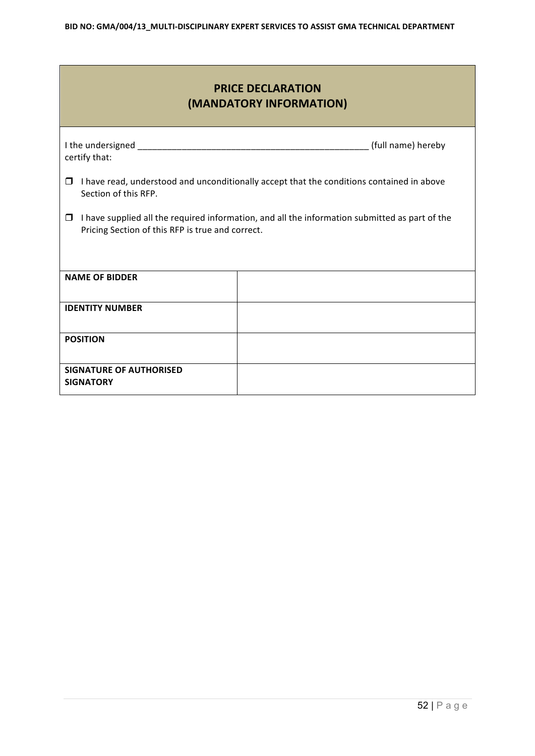| <b>PRICE DECLARATION</b><br>(MANDATORY INFORMATION)                                                                                                          |                    |  |  |  |  |  |  |
|--------------------------------------------------------------------------------------------------------------------------------------------------------------|--------------------|--|--|--|--|--|--|
| certify that:                                                                                                                                                | (full name) hereby |  |  |  |  |  |  |
| I have read, understood and unconditionally accept that the conditions contained in above<br>$\Box$<br>Section of this RFP.                                  |                    |  |  |  |  |  |  |
| I have supplied all the required information, and all the information submitted as part of the<br>$\Box$<br>Pricing Section of this RFP is true and correct. |                    |  |  |  |  |  |  |
| <b>NAME OF BIDDER</b>                                                                                                                                        |                    |  |  |  |  |  |  |
| <b>IDENTITY NUMBER</b>                                                                                                                                       |                    |  |  |  |  |  |  |
| <b>POSITION</b>                                                                                                                                              |                    |  |  |  |  |  |  |
| <b>SIGNATURE OF AUTHORISED</b><br><b>SIGNATORY</b>                                                                                                           |                    |  |  |  |  |  |  |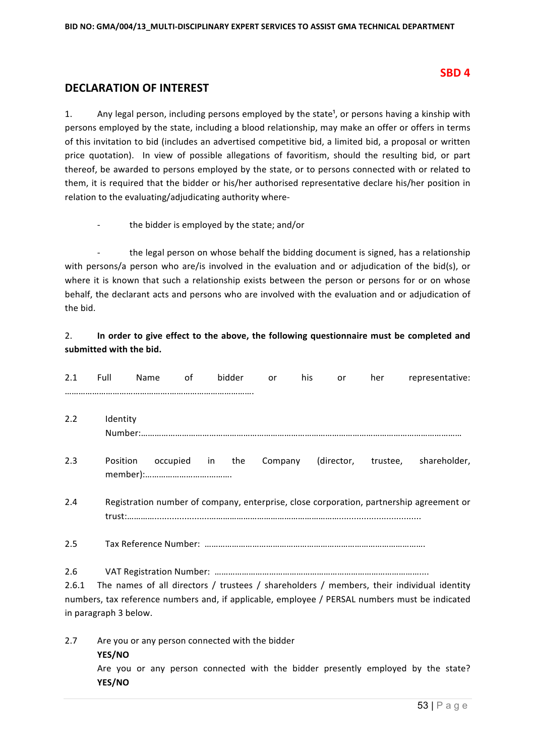### **SBD 4**

# **DECLARATION OF INTEREST**

**YES/NO**

1. Any legal person, including persons employed by the state<sup>1</sup>, or persons having a kinship with persons employed by the state, including a blood relationship, may make an offer or offers in terms of this invitation to bid (includes an advertised competitive bid, a limited bid, a proposal or written price quotation). In view of possible allegations of favoritism, should the resulting bid, or part thereof, be awarded to persons employed by the state, or to persons connected with or related to them, it is required that the bidder or his/her authorised representative declare his/her position in relation to the evaluating/adjudicating authority where-

the bidder is employed by the state; and/or

the legal person on whose behalf the bidding document is signed, has a relationship with persons/a person who are/is involved in the evaluation and or adjudication of the bid(s), or where it is known that such a relationship exists between the person or persons for or on whose behalf, the declarant acts and persons who are involved with the evaluation and or adjudication of the bid.

### 2. **In order to give effect to the above, the following questionnaire must be completed and** submitted with the bid.

| 2.1          | Full                  | Name                                            | 0f | bidder | or      | his | or         | her      | representative:                                                                                                                                                                             |
|--------------|-----------------------|-------------------------------------------------|----|--------|---------|-----|------------|----------|---------------------------------------------------------------------------------------------------------------------------------------------------------------------------------------------|
| 2.2          | Identity              |                                                 |    |        |         |     |            |          |                                                                                                                                                                                             |
| 2.3          | Position              | occupied                                        | in | the    | Company |     | (director, | trustee, | shareholder,                                                                                                                                                                                |
| 2.4          |                       |                                                 |    |        |         |     |            |          | Registration number of company, enterprise, close corporation, partnership agreement or                                                                                                     |
| 2.5          |                       |                                                 |    |        |         |     |            |          |                                                                                                                                                                                             |
| 2.6<br>2.6.1 | in paragraph 3 below. |                                                 |    |        |         |     |            |          | The names of all directors / trustees / shareholders / members, their individual identity<br>numbers, tax reference numbers and, if applicable, employee / PERSAL numbers must be indicated |
| 2.7          | YES/NO                | Are you or any person connected with the bidder |    |        |         |     |            |          | Are you or any person connected with the bidder presently employed by the state?                                                                                                            |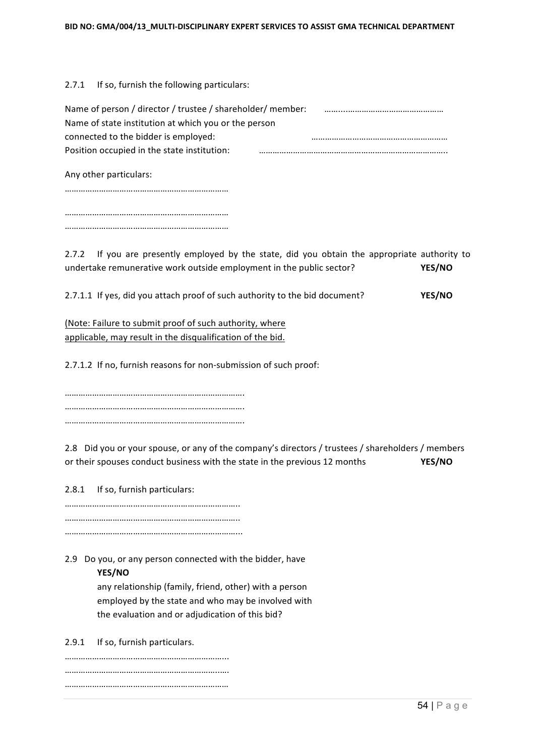$2.7.1$  If so, furnish the following particulars:

| Name of person / director / trustee / shareholder/ member: |  |
|------------------------------------------------------------|--|
| Name of state institution at which you or the person       |  |
| connected to the bidder is employed:                       |  |
| Position occupied in the state institution:                |  |
|                                                            |  |

Any other particulars:

……………………………………………………………… ……………………………………………………………… ………………………………………………………………

2.7.2 If you are presently employed by the state, did you obtain the appropriate authority to undertake remunerative work outside employment in the public sector? **YES/NO** 

2.7.1.1 If yes, did you attach proof of such authority to the bid document? **YES/NO** 

(Note: Failure to submit proof of such authority, where applicable, may result in the disqualification of the bid.

2.7.1.2 If no, furnish reasons for non-submission of such proof:

……………………………………………………………………. ……………………………………………………………………. …………………………………………………………………….

2.8 Did you or your spouse, or any of the company's directors / trustees / shareholders / members or their spouses conduct business with the state in the previous 12 months **YES/NO** 

2.8.1 If so, furnish particulars:

………………………………………………………………….. ………………………………………………………………….. …………………………………………………………………...

2.9 Do you, or any person connected with the bidder, have

### **YES/NO**

any relationship (family, friend, other) with a person employed by the state and who may be involved with the evaluation and or adjudication of this bid?

2.9.1 If so, furnish particulars.

……………………………………………………………... …………………………………………………………..…. ………………………………………………………………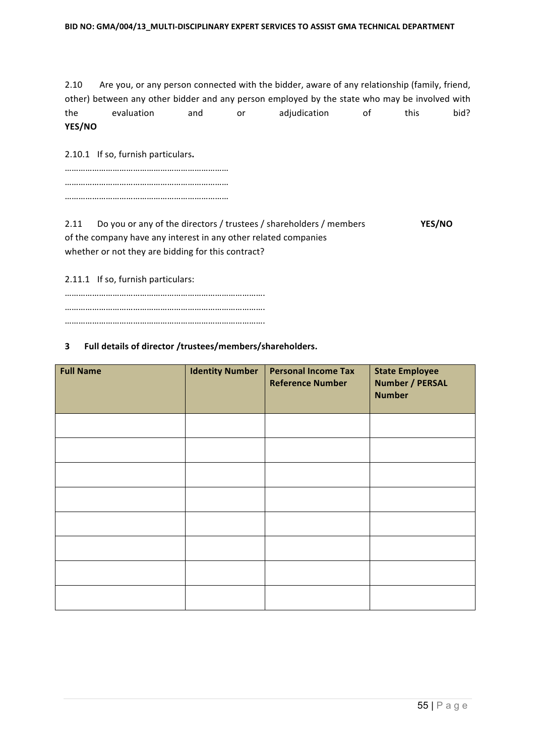2.10 Are you, or any person connected with the bidder, aware of any relationship (family, friend, other) between any other bidder and any person employed by the state who may be involved with the evaluation and or adjudication of this bid? **YES/NO**

2.10.1 If so, furnish particulars.

2.11 Do you or any of the directors / trustees / shareholders / members **YES/NO** of the company have any interest in any other related companies whether or not they are bidding for this contract?

2.11.1 If so, furnish particulars:

### **3 Full details of director /trustees/members/shareholders.**

| <b>Full Name</b> | <b>Identity Number</b> | <b>Personal Income Tax</b><br><b>Reference Number</b> | <b>State Employee</b><br><b>Number / PERSAL</b><br><b>Number</b> |
|------------------|------------------------|-------------------------------------------------------|------------------------------------------------------------------|
|                  |                        |                                                       |                                                                  |
|                  |                        |                                                       |                                                                  |
|                  |                        |                                                       |                                                                  |
|                  |                        |                                                       |                                                                  |
|                  |                        |                                                       |                                                                  |
|                  |                        |                                                       |                                                                  |
|                  |                        |                                                       |                                                                  |
|                  |                        |                                                       |                                                                  |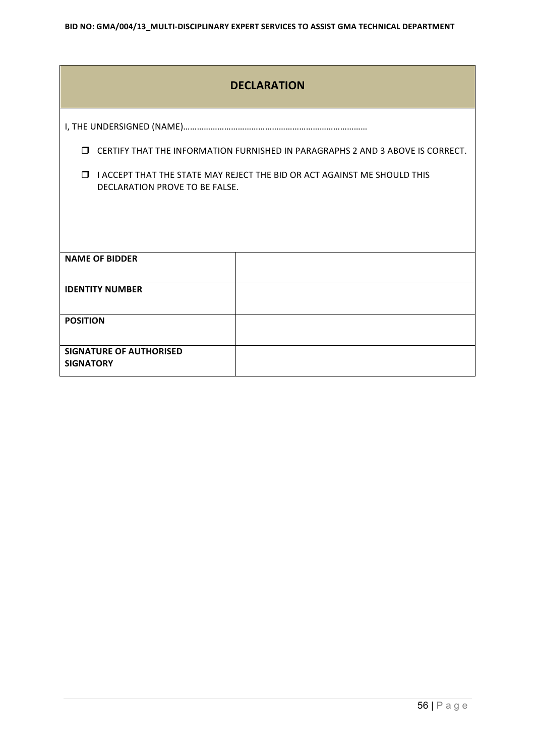| <b>DECLARATION</b>                                                                                                   |                                                                                |  |  |  |  |  |  |
|----------------------------------------------------------------------------------------------------------------------|--------------------------------------------------------------------------------|--|--|--|--|--|--|
|                                                                                                                      |                                                                                |  |  |  |  |  |  |
| $\Box$                                                                                                               | CERTIFY THAT THE INFORMATION FURNISHED IN PARAGRAPHS 2 AND 3 ABOVE IS CORRECT. |  |  |  |  |  |  |
| I ACCEPT THAT THE STATE MAY REJECT THE BID OR ACT AGAINST ME SHOULD THIS<br>$\Box$<br>DECLARATION PROVE TO BE FALSE. |                                                                                |  |  |  |  |  |  |
|                                                                                                                      |                                                                                |  |  |  |  |  |  |
|                                                                                                                      |                                                                                |  |  |  |  |  |  |
| <b>NAME OF BIDDER</b>                                                                                                |                                                                                |  |  |  |  |  |  |
| <b>IDENTITY NUMBER</b>                                                                                               |                                                                                |  |  |  |  |  |  |
| <b>POSITION</b>                                                                                                      |                                                                                |  |  |  |  |  |  |
| <b>SIGNATURE OF AUTHORISED</b><br><b>SIGNATORY</b>                                                                   |                                                                                |  |  |  |  |  |  |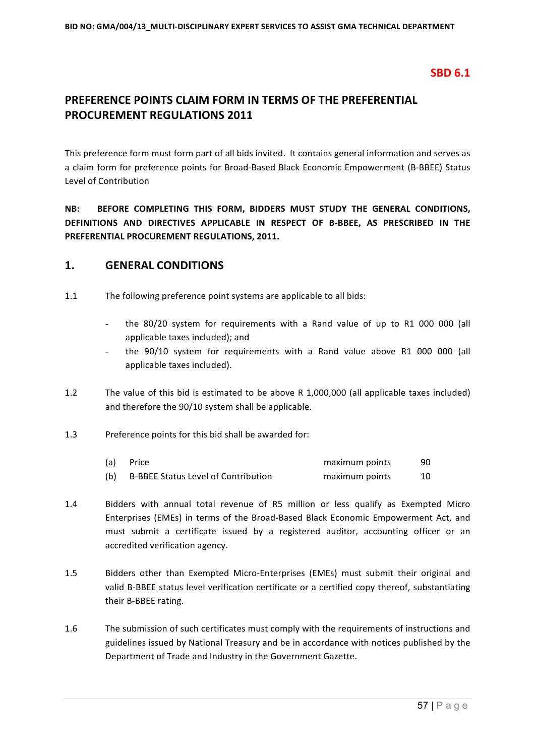# **SBD 6.1**

# **PREFERENCE POINTS CLAIM FORM IN TERMS OF THE PREFERENTIAL PROCUREMENT REGULATIONS 2011**

This preference form must form part of all bids invited. It contains general information and serves as a claim form for preference points for Broad-Based Black Economic Empowerment (B-BBEE) Status Level of Contribution 

**NB: BEFORE COMPLETING THIS FORM, BIDDERS MUST STUDY THE GENERAL CONDITIONS,** DEFINITIONS AND DIRECTIVES APPLICABLE IN RESPECT OF B-BBEE, AS PRESCRIBED IN THE **PREFERENTIAL PROCUREMENT REGULATIONS, 2011.** 

# **1. GENERAL CONDITIONS**

- 1.1 The following preference point systems are applicable to all bids:
	- the 80/20 system for requirements with a Rand value of up to R1 000 000 (all applicable taxes included); and
	- the 90/10 system for requirements with a Rand value above R1 000 000 (all applicable taxes included).
- 1.2 The value of this bid is estimated to be above R 1,000,000 (all applicable taxes included) and therefore the 90/10 system shall be applicable.
- 1.3 Preference points for this bid shall be awarded for:

| (a) | Price                                      | maximum points | 90 |
|-----|--------------------------------------------|----------------|----|
| (b) | <b>B-BBEE Status Level of Contribution</b> | maximum points |    |

- 1.4 Bidders with annual total revenue of R5 million or less qualify as Exempted Micro Enterprises (EMEs) in terms of the Broad-Based Black Economic Empowerment Act, and must submit a certificate issued by a registered auditor, accounting officer or an accredited verification agency.
- 1.5 Bidders other than Exempted Micro-Enterprises (EMEs) must submit their original and valid B-BBEE status level verification certificate or a certified copy thereof, substantiating their B-BBEE rating.
- 1.6 The submission of such certificates must comply with the requirements of instructions and guidelines issued by National Treasury and be in accordance with notices published by the Department of Trade and Industry in the Government Gazette.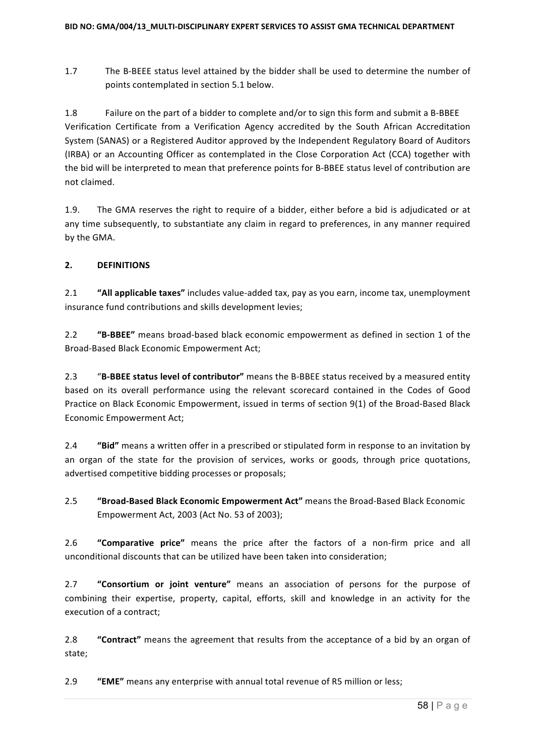1.7 The B-BEEE status level attained by the bidder shall be used to determine the number of points contemplated in section 5.1 below.

1.8 Failure on the part of a bidder to complete and/or to sign this form and submit a B-BBEE Verification Certificate from a Verification Agency accredited by the South African Accreditation System (SANAS) or a Registered Auditor approved by the Independent Regulatory Board of Auditors (IRBA) or an Accounting Officer as contemplated in the Close Corporation Act (CCA) together with the bid will be interpreted to mean that preference points for B-BBEE status level of contribution are not claimed.

1.9. The GMA reserves the right to require of a bidder, either before a bid is adjudicated or at any time subsequently, to substantiate any claim in regard to preferences, in any manner required by the GMA.

### **2. DEFINITIONS**

2.1 "All applicable taxes" includes value-added tax, pay as you earn, income tax, unemployment insurance fund contributions and skills development levies;

2.2 **"B-BBEE"** means broad-based black economic empowerment as defined in section 1 of the Broad-Based Black Economic Empowerment Act:

2.3 "B-BBEE status level of contributor" means the B-BBEE status received by a measured entity based on its overall performance using the relevant scorecard contained in the Codes of Good Practice on Black Economic Empowerment, issued in terms of section 9(1) of the Broad-Based Black Economic Empowerment Act;

2.4 **"Bid"** means a written offer in a prescribed or stipulated form in response to an invitation by an organ of the state for the provision of services, works or goods, through price quotations, advertised competitive bidding processes or proposals;

**2.5 "Broad-Based Black Economic Empowerment Act"** means the Broad-Based Black Economic Empowerment Act, 2003 (Act No. 53 of 2003);

2.6 **"Comparative price"** means the price after the factors of a non-firm price and all unconditional discounts that can be utilized have been taken into consideration;

2.7 **"Consortium or joint venture"** means an association of persons for the purpose of combining their expertise, property, capital, efforts, skill and knowledge in an activity for the execution of a contract;

2.8 **"Contract"** means the agreement that results from the acceptance of a bid by an organ of state;

2.9 **"EME"** means any enterprise with annual total revenue of R5 million or less;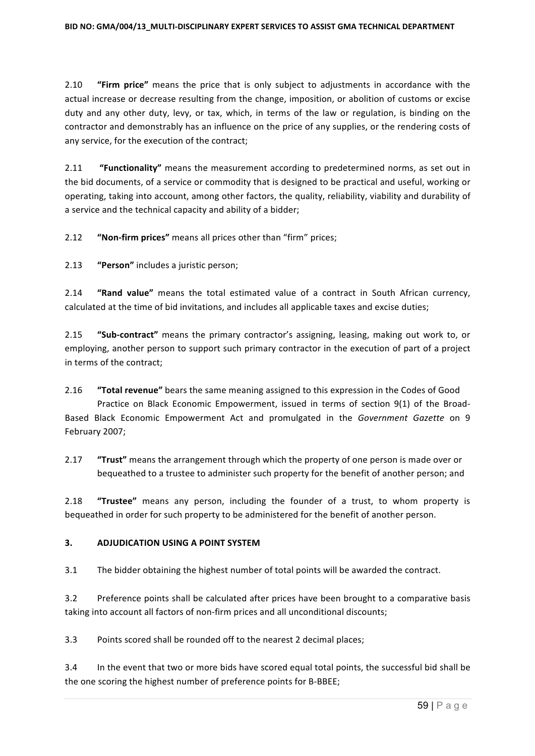2.10 **"Firm price"** means the price that is only subject to adjustments in accordance with the actual increase or decrease resulting from the change, imposition, or abolition of customs or excise duty and any other duty, levy, or tax, which, in terms of the law or regulation, is binding on the contractor and demonstrably has an influence on the price of any supplies, or the rendering costs of any service, for the execution of the contract;

2.11 **"Functionality"** means the measurement according to predetermined norms, as set out in the bid documents, of a service or commodity that is designed to be practical and useful, working or operating, taking into account, among other factors, the quality, reliability, viability and durability of a service and the technical capacity and ability of a bidder;

2.12 **"Non-firm prices"** means all prices other than "firm" prices;

2.13 **"Person"** includes a juristic person;

2.14 **"Rand value"** means the total estimated value of a contract in South African currency, calculated at the time of bid invitations, and includes all applicable taxes and excise duties;

2.15 "Sub-contract" means the primary contractor's assigning, leasing, making out work to, or employing, another person to support such primary contractor in the execution of part of a project in terms of the contract;

2.16 **"Total revenue"** bears the same meaning assigned to this expression in the Codes of Good Practice on Black Economic Empowerment, issued in terms of section 9(1) of the Broad-Based Black Economic Empowerment Act and promulgated in the *Government Gazette* on 9 February 2007;

2.17 **"Trust"** means the arrangement through which the property of one person is made over or bequeathed to a trustee to administer such property for the benefit of another person; and

2.18 **"Trustee"** means any person, including the founder of a trust, to whom property is bequeathed in order for such property to be administered for the benefit of another person.

### **3. ADJUDICATION USING A POINT SYSTEM**

3.1 The bidder obtaining the highest number of total points will be awarded the contract.

3.2 Preference points shall be calculated after prices have been brought to a comparative basis taking into account all factors of non-firm prices and all unconditional discounts;

3.3 Points scored shall be rounded off to the nearest 2 decimal places;

3.4 In the event that two or more bids have scored equal total points, the successful bid shall be the one scoring the highest number of preference points for B-BBEE;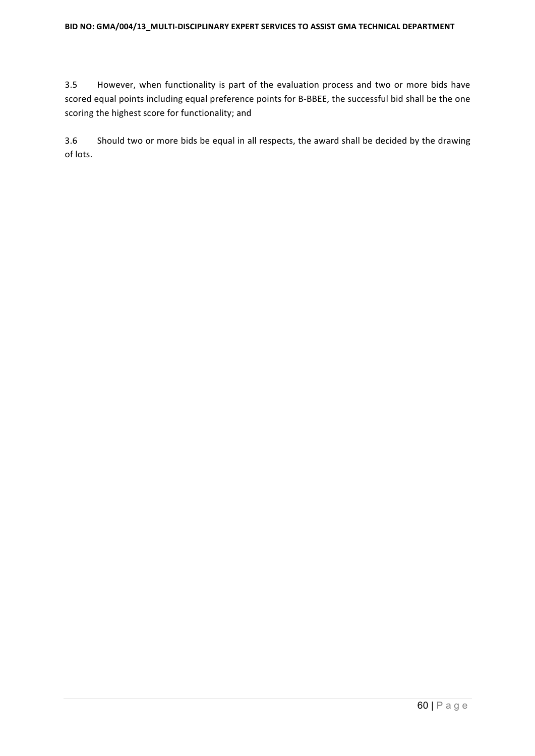3.5 However, when functionality is part of the evaluation process and two or more bids have scored equal points including equal preference points for B-BBEE, the successful bid shall be the one scoring the highest score for functionality; and

3.6 Should two or more bids be equal in all respects, the award shall be decided by the drawing of lots.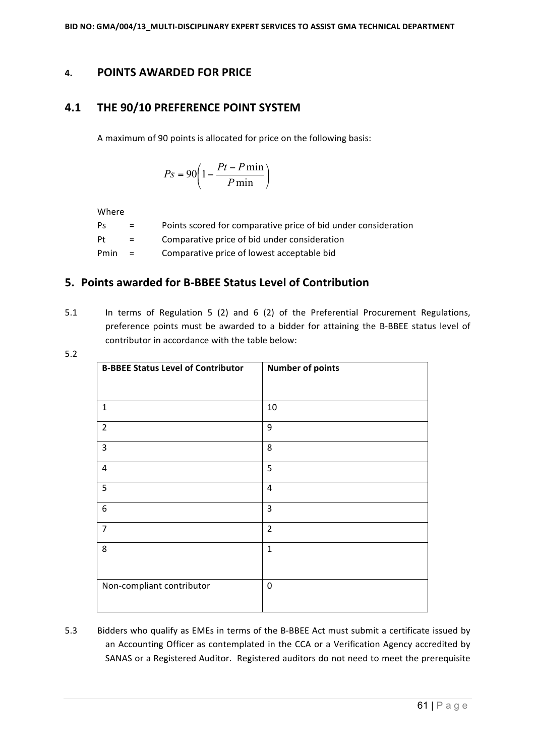# **4. POINTS AWARDED FOR PRICE**

# **4.1 THE 90/10 PREFERENCE POINT SYSTEM**

A maximum of 90 points is allocated for price on the following basis:

$$
Ps = 90 \left( 1 - \frac{Pt - P \min}{P \min} \right)
$$

Where

| Ps   | $=$ | Points scored for comparative price of bid under consideration |
|------|-----|----------------------------------------------------------------|
| Pt   | $=$ | Comparative price of bid under consideration                   |
| Pmin | $=$ | Comparative price of lowest acceptable bid                     |

# **5.** Points awarded for B-BBEE Status Level of Contribution

5.1 In terms of Regulation 5 (2) and 6 (2) of the Preferential Procurement Regulations, preference points must be awarded to a bidder for attaining the B-BBEE status level of contributor in accordance with the table below:

|                    | ٠<br>an a |
|--------------------|-----------|
| -<br>۰,<br>۰.<br>M |           |

| <b>B-BBEE Status Level of Contributor</b> | <b>Number of points</b> |
|-------------------------------------------|-------------------------|
|                                           |                         |
| $\mathbf{1}$                              | 10                      |
| $\overline{2}$                            | 9                       |
| 3                                         | 8                       |
| 4                                         | 5                       |
| 5                                         | $\overline{4}$          |
| 6                                         | $\overline{3}$          |
| $\overline{7}$                            | $\overline{2}$          |
| 8                                         | $\mathbf 1$             |
|                                           |                         |
| Non-compliant contributor                 | $\boldsymbol{0}$        |

5.3 Bidders who qualify as EMEs in terms of the B-BBEE Act must submit a certificate issued by an Accounting Officer as contemplated in the CCA or a Verification Agency accredited by SANAS or a Registered Auditor. Registered auditors do not need to meet the prerequisite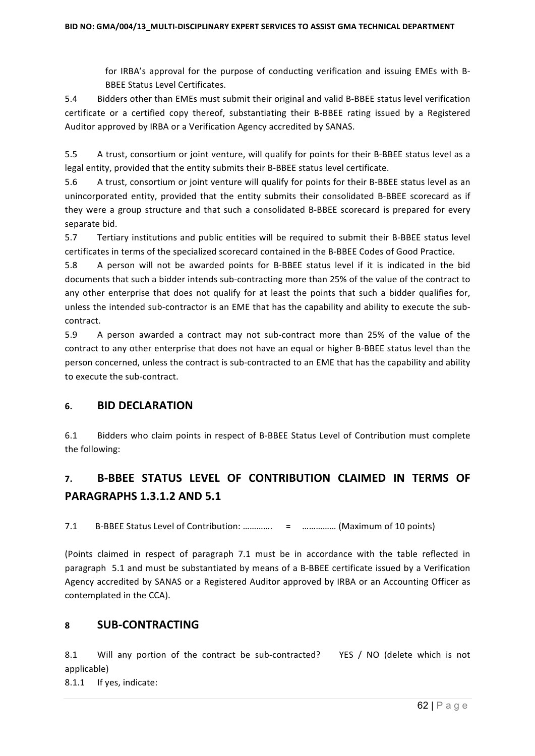for IRBA's approval for the purpose of conducting verification and issuing EMEs with B-**BBEE Status Level Certificates.** 

5.4 Bidders other than EMEs must submit their original and valid B-BBEE status level verification certificate or a certified copy thereof, substantiating their B-BBEE rating issued by a Registered Auditor approved by IRBA or a Verification Agency accredited by SANAS.

5.5 A trust, consortium or joint venture, will qualify for points for their B-BBEE status level as a legal entity, provided that the entity submits their B-BBEE status level certificate.

5.6 A trust, consortium or joint venture will qualify for points for their B-BBEE status level as an unincorporated entity, provided that the entity submits their consolidated B-BBEE scorecard as if they were a group structure and that such a consolidated B-BBEE scorecard is prepared for every separate bid.

5.7 Tertiary institutions and public entities will be required to submit their B-BBEE status level certificates in terms of the specialized scorecard contained in the B-BBEE Codes of Good Practice.

5.8 A person will not be awarded points for B-BBEE status level if it is indicated in the bid documents that such a bidder intends sub-contracting more than 25% of the value of the contract to any other enterprise that does not qualify for at least the points that such a bidder qualifies for, unless the intended sub-contractor is an EME that has the capability and ability to execute the subcontract.

5.9 A person awarded a contract may not sub-contract more than 25% of the value of the contract to any other enterprise that does not have an equal or higher B-BBEE status level than the person concerned, unless the contract is sub-contracted to an EME that has the capability and ability to execute the sub-contract.

### **6. BID DECLARATION**

6.1 Bidders who claim points in respect of B-BBEE Status Level of Contribution must complete the following:

# **7. B-BBEE STATUS LEVEL OF CONTRIBUTION CLAIMED IN TERMS OF PARAGRAPHS 1.3.1.2 AND 5.1**

7.1 B-BBEE Status Level of Contribution: ………….. = ................ (Maximum of 10 points)

(Points claimed in respect of paragraph 7.1 must be in accordance with the table reflected in paragraph 5.1 and must be substantiated by means of a B-BBEE certificate issued by a Verification Agency accredited by SANAS or a Registered Auditor approved by IRBA or an Accounting Officer as contemplated in the CCA).

### **8 SUB-CONTRACTING**

8.1 Will any portion of the contract be sub-contracted? YES / NO (delete which is not applicable) 

8.1.1 If yes, indicate: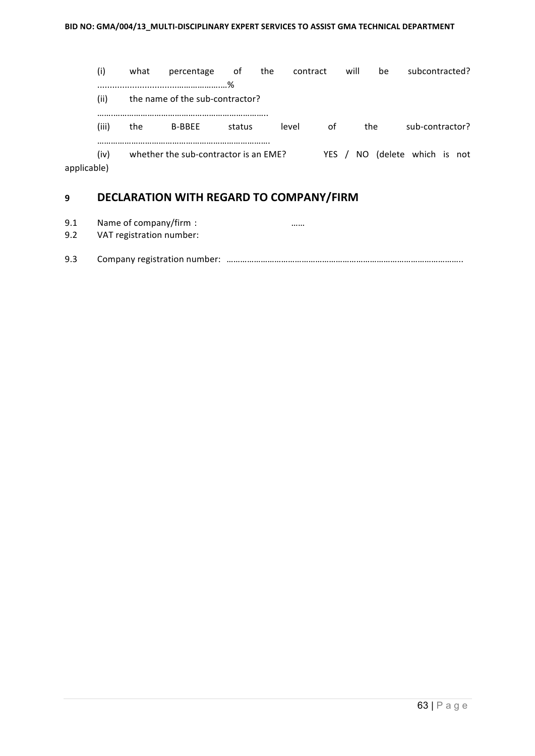(i) what percentage of the contract will be subcontracted? ................................……………….…% (ii) the name of the sub-contractor? …….………………………………………………………….. (iii) the B-BBEE status level of the sub-contractor? …………………………………………………………………. (iv) whether the sub-contractor is an EME? YES / NO (delete which is not applicable)

# **9 DECLARATION WITH REGARD TO COMPANY/FIRM**

9.1 Name of company/firm : many company is a summer of  $\sim$  2000 mm.

9.2 VAT registration number:

```
9.3 Company	registration	number: …………………………………………………………………………………………..
```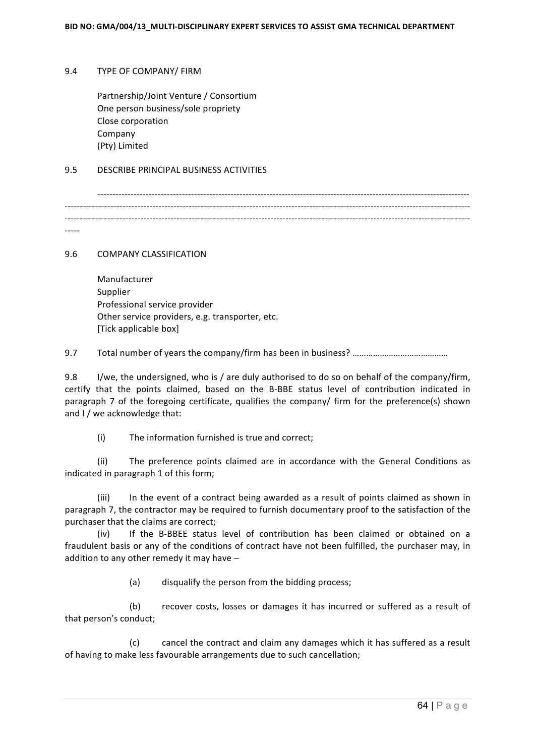### 9.4 TYPE OF COMPANY/ FIRM

Partnership/Joint Venture / Consortium One person business/sole propriety Close corporation Company (Pty) Limited

### 9.5 DESCRIBE PRINCIPAL BUSINESS ACTIVITIES

--------------------------------------------------------------------------------------------------------------------------- -------------------------------------------------------------------------------------------------------------------------------------- --------------------------------------------------------------------------------------------------------------------------------------

-----

9.6 COMPANY CLASSIFICATION

| Manufacturer                                    |
|-------------------------------------------------|
| Supplier                                        |
| Professional service provider                   |
| Other service providers, e.g. transporter, etc. |
| [Tick applicable box]                           |

9.7 Total number of years the company/firm has been in business? ………………………………………

9.8 I/we, the undersigned, who is / are duly authorised to do so on behalf of the company/firm, certify that the points claimed, based on the B-BBE status level of contribution indicated in paragraph 7 of the foregoing certificate, qualifies the company/ firm for the preference(s) shown and I / we acknowledge that:

 $(i)$  The information furnished is true and correct;

(ii) The preference points claimed are in accordance with the General Conditions as indicated in paragraph 1 of this form;

(iii) In the event of a contract being awarded as a result of points claimed as shown in paragraph 7, the contractor may be required to furnish documentary proof to the satisfaction of the purchaser that the claims are correct;

(iv) If the B-BBEE status level of contribution has been claimed or obtained on a fraudulent basis or any of the conditions of contract have not been fulfilled, the purchaser may, in addition to any other remedy it may have  $-$ 

(a) disqualify the person from the bidding process;

(b) recover costs, losses or damages it has incurred or suffered as a result of that person's conduct;

(c) cancel the contract and claim any damages which it has suffered as a result of having to make less favourable arrangements due to such cancellation;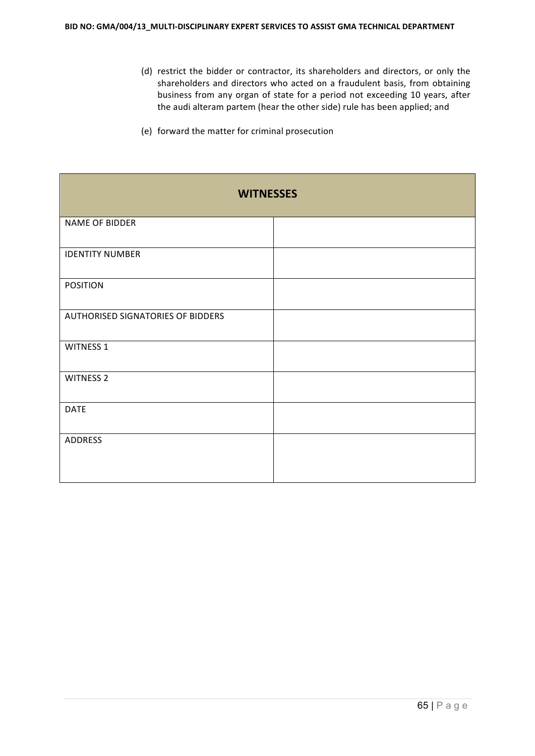- (d) restrict the bidder or contractor, its shareholders and directors, or only the shareholders and directors who acted on a fraudulent basis, from obtaining business from any organ of state for a period not exceeding 10 years, after the audi alteram partem (hear the other side) rule has been applied; and
- (e) forward the matter for criminal prosecution

| <b>WITNESSES</b>                  |  |  |
|-----------------------------------|--|--|
| NAME OF BIDDER                    |  |  |
| <b>IDENTITY NUMBER</b>            |  |  |
| <b>POSITION</b>                   |  |  |
| AUTHORISED SIGNATORIES OF BIDDERS |  |  |
| WITNESS 1                         |  |  |
| <b>WITNESS 2</b>                  |  |  |
| <b>DATE</b>                       |  |  |
| ADDRESS                           |  |  |
|                                   |  |  |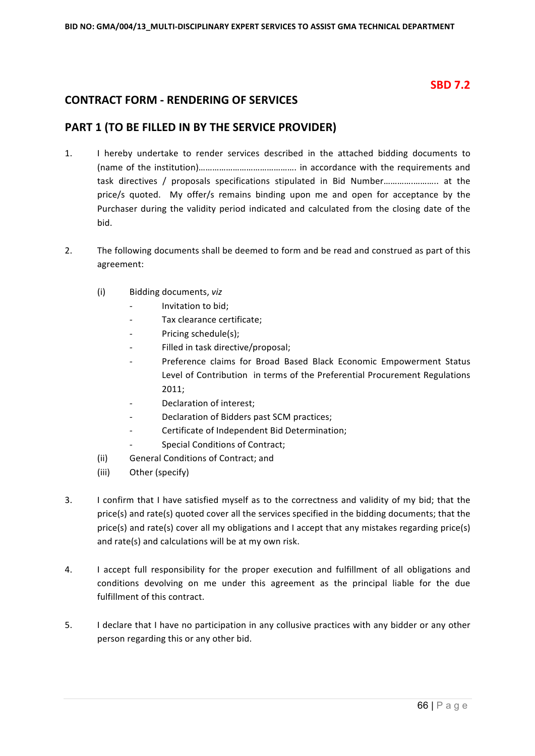# **SBD 7.2**

# **CONTRACT FORM - RENDERING OF SERVICES**

# **PART 1 (TO BE FILLED IN BY THE SERVICE PROVIDER)**

- 1. I hereby undertake to render services described in the attached bidding documents to (name of the institution)………………………………………… in accordance with the requirements and task directives / proposals specifications stipulated in Bid Number……………………….. at the price/s quoted. My offer/s remains binding upon me and open for acceptance by the Purchaser during the validity period indicated and calculated from the closing date of the bid.
- 2. The following documents shall be deemed to form and be read and construed as part of this agreement:
	- (i) Bidding documents, *viz*
		- *-* Invitation to bid;
		- Tax clearance certificate;
		- Pricing schedule(s):
		- Filled in task directive/proposal;
		- Preference claims for Broad Based Black Economic Empowerment Status Level of Contribution in terms of the Preferential Procurement Regulations 2011;
		- **Declaration of interest:**
		- Declaration of Bidders past SCM practices;
		- Certificate of Independent Bid Determination;
		- **Special Conditions of Contract;**
	- (ii) General Conditions of Contract; and
	- (iii) Other (specify)
- 3. I confirm that I have satisfied myself as to the correctness and validity of my bid; that the price(s) and rate(s) quoted cover all the services specified in the bidding documents; that the price(s) and rate(s) cover all my obligations and I accept that any mistakes regarding price(s) and rate(s) and calculations will be at my own risk.
- 4. I accept full responsibility for the proper execution and fulfillment of all obligations and conditions devolving on me under this agreement as the principal liable for the due fulfillment of this contract.
- 5. I declare that I have no participation in any collusive practices with any bidder or any other person regarding this or any other bid.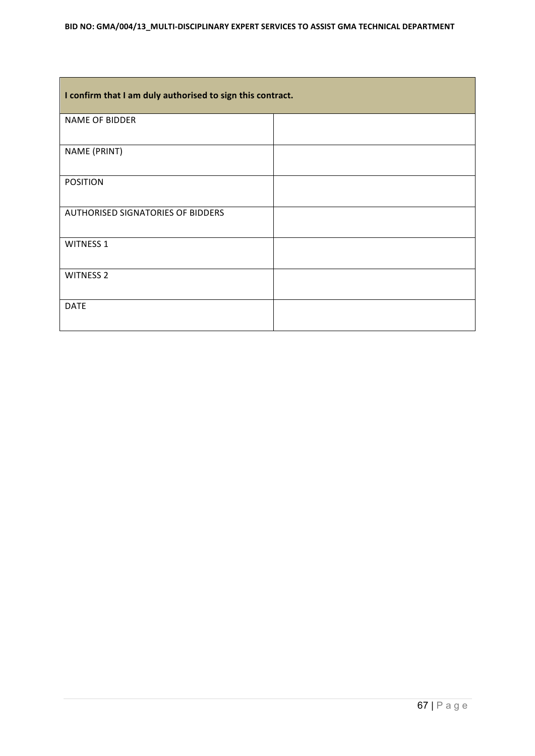| I confirm that I am duly authorised to sign this contract. |  |  |
|------------------------------------------------------------|--|--|
| <b>NAME OF BIDDER</b>                                      |  |  |
| NAME (PRINT)                                               |  |  |
| <b>POSITION</b>                                            |  |  |
| <b>AUTHORISED SIGNATORIES OF BIDDERS</b>                   |  |  |
| <b>WITNESS 1</b>                                           |  |  |
| <b>WITNESS 2</b>                                           |  |  |
| <b>DATE</b>                                                |  |  |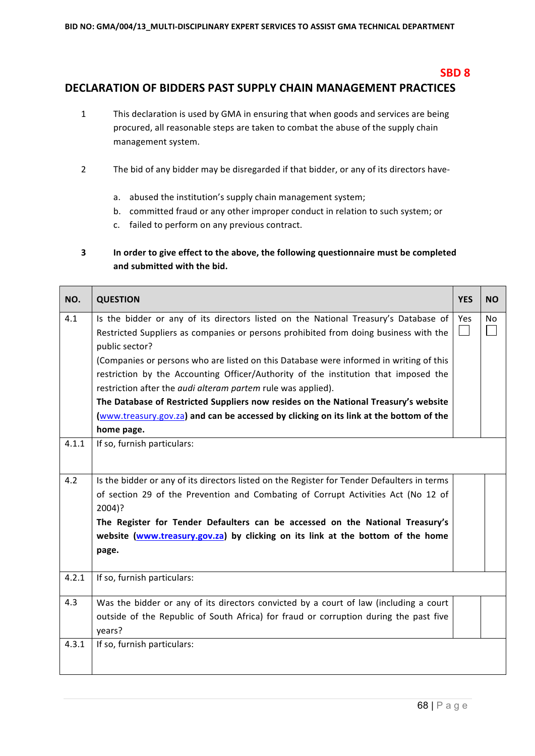### **SBD 8**

# DECLARATION OF BIDDERS PAST SUPPLY CHAIN MANAGEMENT PRACTICES

- 1 This declaration is used by GMA in ensuring that when goods and services are being procured, all reasonable steps are taken to combat the abuse of the supply chain management system.
- 2 The bid of any bidder may be disregarded if that bidder, or any of its directors have
	- a. abused the institution's supply chain management system;
	- b. committed fraud or any other improper conduct in relation to such system; or
	- c. failed to perform on any previous contract.

### **3** In order to give effect to the above, the following questionnaire must be completed and submitted with the bid.

| NO.   | <b>QUESTION</b>                                                                                                                                                                                                                                                                                                                                                                                                                                                                                                                                                                                                                                      | <b>YES</b> | <b>NO</b>      |
|-------|------------------------------------------------------------------------------------------------------------------------------------------------------------------------------------------------------------------------------------------------------------------------------------------------------------------------------------------------------------------------------------------------------------------------------------------------------------------------------------------------------------------------------------------------------------------------------------------------------------------------------------------------------|------------|----------------|
| 4.1   | Is the bidder or any of its directors listed on the National Treasury's Database of<br>Restricted Suppliers as companies or persons prohibited from doing business with the<br>public sector?<br>(Companies or persons who are listed on this Database were informed in writing of this<br>restriction by the Accounting Officer/Authority of the institution that imposed the<br>restriction after the <i>audi alteram partem</i> rule was applied).<br>The Database of Restricted Suppliers now resides on the National Treasury's website<br>(www.treasury.gov.za) and can be accessed by clicking on its link at the bottom of the<br>home page. | Yes        | N <sub>o</sub> |
| 4.1.1 | If so, furnish particulars:                                                                                                                                                                                                                                                                                                                                                                                                                                                                                                                                                                                                                          |            |                |
| 4.2   | Is the bidder or any of its directors listed on the Register for Tender Defaulters in terms<br>of section 29 of the Prevention and Combating of Corrupt Activities Act (No 12 of<br>2004)?<br>The Register for Tender Defaulters can be accessed on the National Treasury's<br>website (www.treasury.gov.za) by clicking on its link at the bottom of the home<br>page.                                                                                                                                                                                                                                                                              |            |                |
| 4.2.1 | If so, furnish particulars:                                                                                                                                                                                                                                                                                                                                                                                                                                                                                                                                                                                                                          |            |                |
| 4.3   | Was the bidder or any of its directors convicted by a court of law (including a court<br>outside of the Republic of South Africa) for fraud or corruption during the past five<br>years?                                                                                                                                                                                                                                                                                                                                                                                                                                                             |            |                |
| 4.3.1 | If so, furnish particulars:                                                                                                                                                                                                                                                                                                                                                                                                                                                                                                                                                                                                                          |            |                |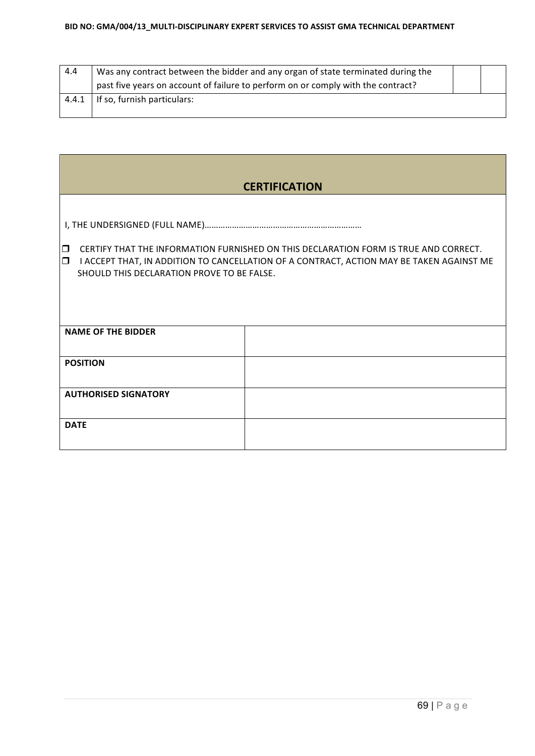| 4.4   | Was any contract between the bidder and any organ of state terminated during the |  |
|-------|----------------------------------------------------------------------------------|--|
|       | past five years on account of failure to perform on or comply with the contract? |  |
| 4.4.1 | If so, furnish particulars:                                                      |  |
|       |                                                                                  |  |

| <b>CERTIFICATION</b>                                                                                                                                                                                                                               |  |  |
|----------------------------------------------------------------------------------------------------------------------------------------------------------------------------------------------------------------------------------------------------|--|--|
|                                                                                                                                                                                                                                                    |  |  |
| CERTIFY THAT THE INFORMATION FURNISHED ON THIS DECLARATION FORM IS TRUE AND CORRECT.<br>$\Box$<br>$\Box$<br>I ACCEPT THAT, IN ADDITION TO CANCELLATION OF A CONTRACT, ACTION MAY BE TAKEN AGAINST ME<br>SHOULD THIS DECLARATION PROVE TO BE FALSE. |  |  |
|                                                                                                                                                                                                                                                    |  |  |
| <b>NAME OF THE BIDDER</b>                                                                                                                                                                                                                          |  |  |
| <b>POSITION</b>                                                                                                                                                                                                                                    |  |  |
| <b>AUTHORISED SIGNATORY</b>                                                                                                                                                                                                                        |  |  |
| <b>DATE</b>                                                                                                                                                                                                                                        |  |  |

ī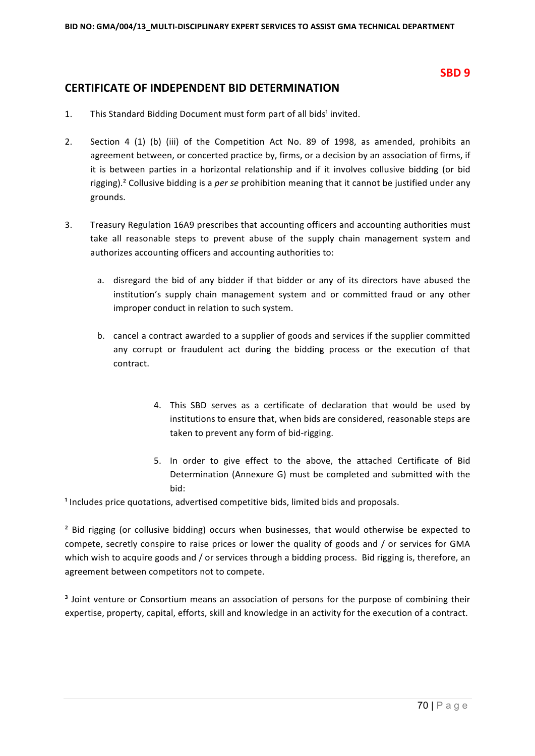### **SBD 9**

# **CERTIFICATE OF INDEPENDENT BID DETERMINATION**

- 1. This Standard Bidding Document must form part of all bids<sup>1</sup> invited.
- 2. Section 4 (1) (b) (iii) of the Competition Act No. 89 of 1998, as amended, prohibits an agreement between, or concerted practice by, firms, or a decision by an association of firms, if it is between parties in a horizontal relationship and if it involves collusive bidding (or bid rigging).<sup>2</sup> Collusive bidding is a *per se* prohibition meaning that it cannot be justified under any grounds.
- 3. Treasury Regulation 16A9 prescribes that accounting officers and accounting authorities must take all reasonable steps to prevent abuse of the supply chain management system and authorizes accounting officers and accounting authorities to:
	- a. disregard the bid of any bidder if that bidder or any of its directors have abused the institution's supply chain management system and or committed fraud or any other improper conduct in relation to such system.
	- b. cancel a contract awarded to a supplier of goods and services if the supplier committed any corrupt or fraudulent act during the bidding process or the execution of that contract.
		- 4. This SBD serves as a certificate of declaration that would be used by institutions to ensure that, when bids are considered, reasonable steps are taken to prevent any form of bid-rigging.
		- 5. In order to give effect to the above, the attached Certificate of Bid Determination (Annexure G) must be completed and submitted with the bid:

<sup>1</sup> Includes price quotations, advertised competitive bids, limited bids and proposals.

<sup>2</sup> Bid rigging (or collusive bidding) occurs when businesses, that would otherwise be expected to compete, secretly conspire to raise prices or lower the quality of goods and / or services for GMA which wish to acquire goods and / or services through a bidding process. Bid rigging is, therefore, an agreement between competitors not to compete.

<sup>3</sup> Joint venture or Consortium means an association of persons for the purpose of combining their expertise, property, capital, efforts, skill and knowledge in an activity for the execution of a contract.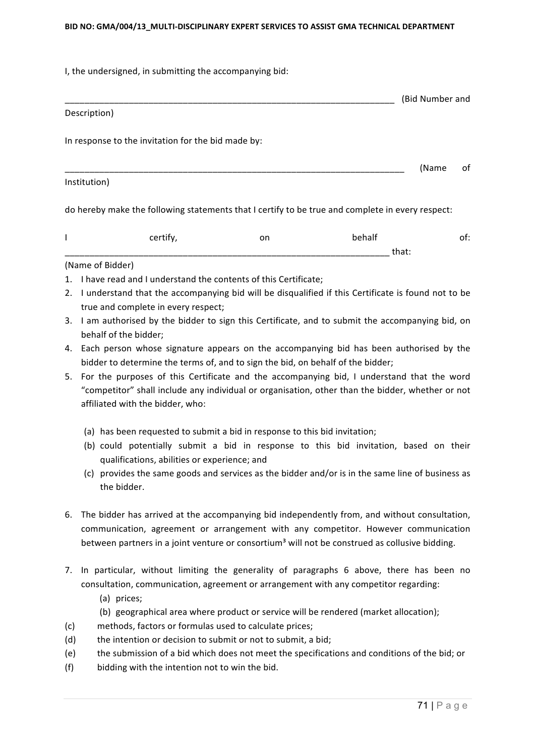#### BID NO: GMA/004/13 MULTI-DISCIPLINARY EXPERT SERVICES TO ASSIST GMA TECHNICAL DEPARTMENT

I, the undersigned, in submitting the accompanying bid:

#### Description)

In response to the invitation for the bid made by:

Institution)

do hereby make the following statements that I certify to be true and complete in every respect:

| - -<br>_ _ _ | - -<br>Οľ<br>___ | ___                           |  |
|--------------|------------------|-------------------------------|--|
|              |                  | . <b>.</b><br>_______________ |  |

\_\_\_\_\_\_\_\_\_\_\_\_\_\_\_\_\_\_\_\_\_\_\_\_\_\_\_\_\_\_\_\_\_\_\_\_\_\_\_\_\_\_\_\_\_\_\_\_\_\_\_\_\_\_\_\_\_\_\_\_\_\_\_\_\_\_\_\_\_ (Name of 

#### (Name of Bidder)

- 1. I have read and I understand the contents of this Certificate;
- 2. I understand that the accompanying bid will be disqualified if this Certificate is found not to be true and complete in every respect;
- 3. I am authorised by the bidder to sign this Certificate, and to submit the accompanying bid, on behalf of the bidder;
- 4. Each person whose signature appears on the accompanying bid has been authorised by the bidder to determine the terms of, and to sign the bid, on behalf of the bidder;
- 5. For the purposes of this Certificate and the accompanying bid, I understand that the word "competitor" shall include any individual or organisation, other than the bidder, whether or not affiliated with the bidder, who:
	- (a) has been requested to submit a bid in response to this bid invitation;
	- (b) could potentially submit a bid in response to this bid invitation, based on their qualifications, abilities or experience; and
	- (c) provides the same goods and services as the bidder and/or is in the same line of business as the bidder.
- 6. The bidder has arrived at the accompanying bid independently from, and without consultation, communication, agreement or arrangement with any competitor. However communication between partners in a joint venture or consortium<sup>3</sup> will not be construed as collusive bidding.
- 7. In particular, without limiting the generality of paragraphs 6 above, there has been no consultation, communication, agreement or arrangement with any competitor regarding:
	- (a) prices;
	- (b) geographical area where product or service will be rendered (market allocation);
- (c) methods, factors or formulas used to calculate prices;
- $(d)$  the intention or decision to submit or not to submit, a bid;
- (e) the submission of a bid which does not meet the specifications and conditions of the bid; or
- $(f)$  bidding with the intention not to win the bid.

\_\_\_\_\_\_\_\_\_\_\_\_\_\_\_\_\_\_\_\_\_\_\_\_\_\_\_\_\_\_\_\_\_\_\_\_\_\_\_\_\_\_\_\_\_\_\_\_\_\_\_\_\_\_\_\_\_\_\_\_\_\_\_\_\_\_\_ (Bid Number and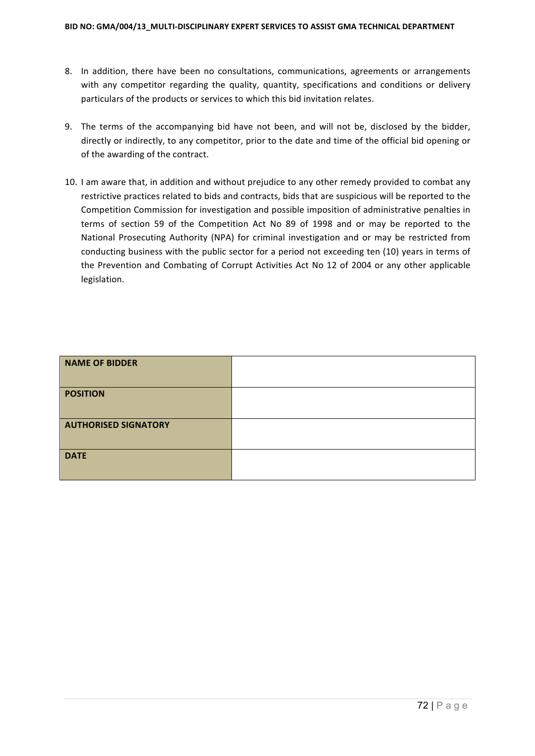- 8. In addition, there have been no consultations, communications, agreements or arrangements with any competitor regarding the quality, quantity, specifications and conditions or delivery particulars of the products or services to which this bid invitation relates.
- 9. The terms of the accompanying bid have not been, and will not be, disclosed by the bidder, directly or indirectly, to any competitor, prior to the date and time of the official bid opening or of the awarding of the contract.
- 10. I am aware that, in addition and without prejudice to any other remedy provided to combat any restrictive practices related to bids and contracts, bids that are suspicious will be reported to the Competition Commission for investigation and possible imposition of administrative penalties in terms of section 59 of the Competition Act No 89 of 1998 and or may be reported to the National Prosecuting Authority (NPA) for criminal investigation and or may be restricted from conducting business with the public sector for a period not exceeding ten (10) years in terms of the Prevention and Combating of Corrupt Activities Act No 12 of 2004 or any other applicable legislation.

| <b>NAME OF BIDDER</b>       |  |
|-----------------------------|--|
| <b>POSITION</b>             |  |
| <b>AUTHORISED SIGNATORY</b> |  |
| <b>DATE</b>                 |  |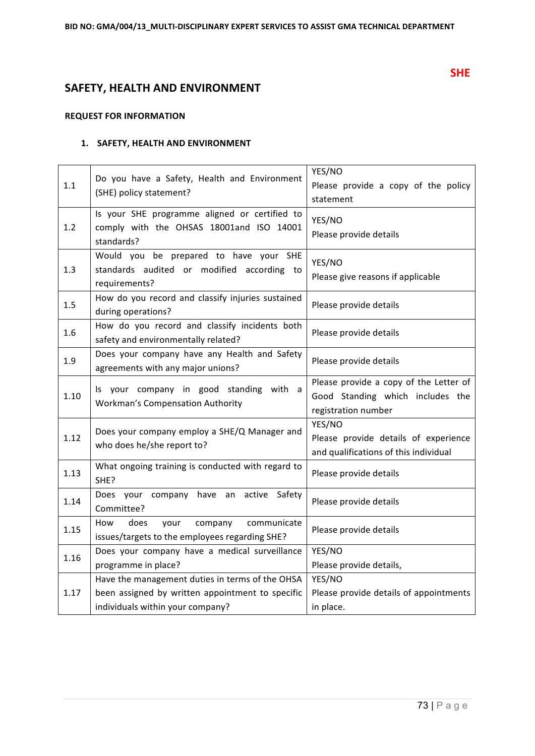# **SAFETY, HEALTH AND ENVIRONMENT**

### **REQUEST FOR INFORMATION**

#### **1. SAFETY, HEALTH AND ENVIRONMENT**

| 1.1  | Do you have a Safety, Health and Environment<br>(SHE) policy statement?                                                                 | YES/NO<br>Please provide a copy of the policy                                                     |  |
|------|-----------------------------------------------------------------------------------------------------------------------------------------|---------------------------------------------------------------------------------------------------|--|
| 1.2  | Is your SHE programme aligned or certified to<br>comply with the OHSAS 18001and ISO 14001<br>standards?                                 | statement<br>YES/NO<br>Please provide details                                                     |  |
| 1.3  | Would you be prepared to have your SHE<br>standards audited or modified according to<br>requirements?                                   | YES/NO<br>Please give reasons if applicable                                                       |  |
| 1.5  | How do you record and classify injuries sustained<br>during operations?                                                                 | Please provide details                                                                            |  |
| 1.6  | How do you record and classify incidents both<br>safety and environmentally related?                                                    | Please provide details                                                                            |  |
| 1.9  | Does your company have any Health and Safety<br>agreements with any major unions?                                                       | Please provide details                                                                            |  |
| 1.10 | Is your company in good standing with a<br><b>Workman's Compensation Authority</b>                                                      | Please provide a copy of the Letter of<br>Good Standing which includes the<br>registration number |  |
| 1.12 | Does your company employ a SHE/Q Manager and<br>who does he/she report to?                                                              | YES/NO<br>Please provide details of experience<br>and qualifications of this individual           |  |
| 1.13 | What ongoing training is conducted with regard to<br>SHE?                                                                               | Please provide details                                                                            |  |
| 1.14 | Does your<br>company have an<br>Safety<br>active<br>Committee?                                                                          | Please provide details                                                                            |  |
| 1.15 | does<br>company<br>communicate<br>How<br>your<br>issues/targets to the employees regarding SHE?                                         | Please provide details                                                                            |  |
| 1.16 | Does your company have a medical surveillance<br>programme in place?                                                                    | YES/NO<br>Please provide details,                                                                 |  |
| 1.17 | Have the management duties in terms of the OHSA<br>been assigned by written appointment to specific<br>individuals within your company? | YES/NO<br>Please provide details of appointments<br>in place.                                     |  |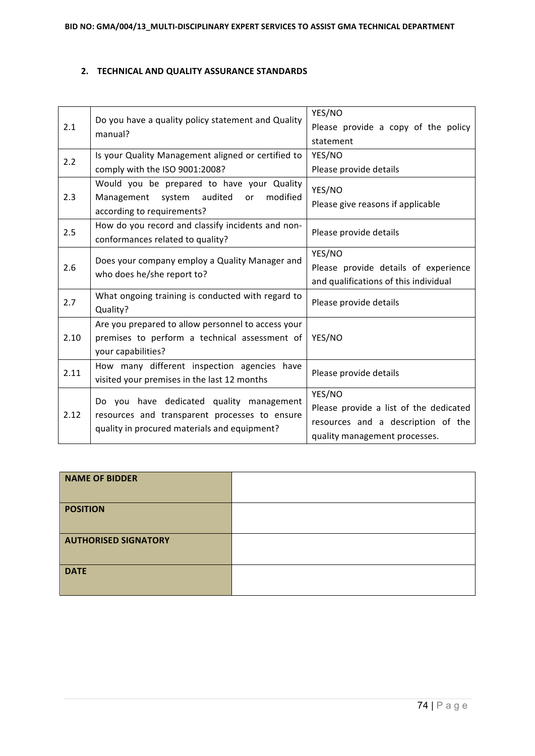#### **2. TECHNICAL AND QUALITY ASSURANCE STANDARDS**

| 2.1  | Do you have a quality policy statement and Quality<br>manual?                                                                             | YES/NO<br>Please provide a copy of the policy<br>statement                                                              |  |
|------|-------------------------------------------------------------------------------------------------------------------------------------------|-------------------------------------------------------------------------------------------------------------------------|--|
| 2.2  | Is your Quality Management aligned or certified to<br>comply with the ISO 9001:2008?                                                      | YES/NO<br>Please provide details                                                                                        |  |
| 2.3  | Would you be prepared to have your Quality<br>system audited<br>modified<br>Management<br><b>or</b><br>according to requirements?         | YES/NO<br>Please give reasons if applicable                                                                             |  |
| 2.5  | How do you record and classify incidents and non-<br>conformances related to quality?                                                     | Please provide details                                                                                                  |  |
| 2.6  | Does your company employ a Quality Manager and<br>who does he/she report to?                                                              | YES/NO<br>Please provide details of experience<br>and qualifications of this individual                                 |  |
| 2.7  | What ongoing training is conducted with regard to<br>Quality?                                                                             | Please provide details                                                                                                  |  |
| 2.10 | Are you prepared to allow personnel to access your<br>premises to perform a technical assessment of<br>your capabilities?                 | YES/NO                                                                                                                  |  |
| 2.11 | How many different inspection agencies have<br>visited your premises in the last 12 months                                                | Please provide details                                                                                                  |  |
| 2.12 | Do you have dedicated quality management<br>resources and transparent processes to ensure<br>quality in procured materials and equipment? | YES/NO<br>Please provide a list of the dedicated<br>resources and a description of the<br>quality management processes. |  |

| <b>NAME OF BIDDER</b>       |  |
|-----------------------------|--|
| <b>POSITION</b>             |  |
| <b>AUTHORISED SIGNATORY</b> |  |
| <b>DATE</b>                 |  |